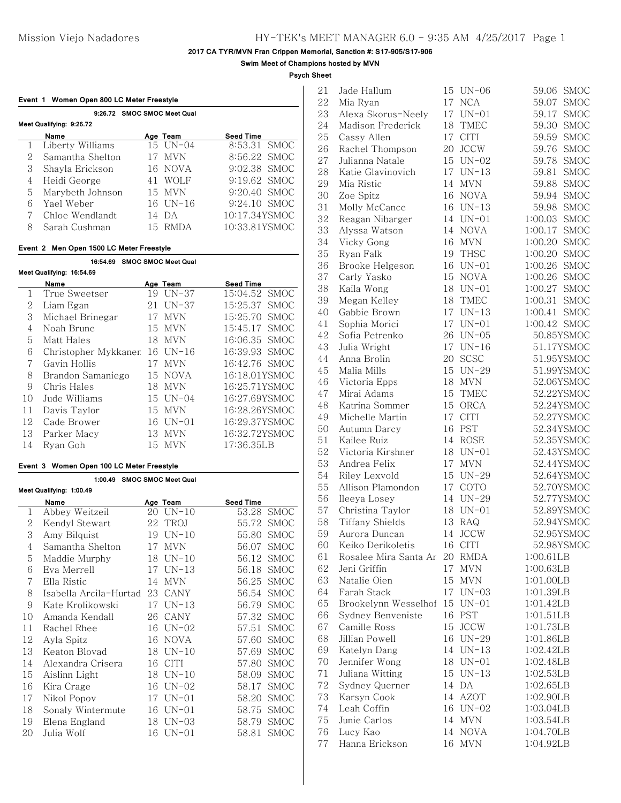**Swim Meet of Champions hosted by MVN**

**Psych Sheet**

|                | 9:26.72 SMOC SMOC Meet Qual               |    |                      |                            |
|----------------|-------------------------------------------|----|----------------------|----------------------------|
|                | Meet Qualifying: 9:26.72                  |    |                      |                            |
|                | Name                                      |    | Age Team             | Seed Time                  |
| $\mathbf{1}$   | Liberty Williams                          |    | 15 UN-04             | 8:53.31 SMOC               |
| $\overline{2}$ | Samantha Shelton                          |    | 17 MVN               | 8:56.22 SMOC               |
| 3              | Shayla Erickson                           |    | 16 NOVA              | 9:02.38 SMOC               |
| 4              | Heidi George                              |    | 41 WOLF              | 9:19.62 SMOC               |
| 5              | Marybeth Johnson                          |    | 15 MVN               | 9:20.40 SMOC               |
| 6              | Yael Weber                                |    | 16 UN-16             | 9:24.10 SMOC               |
| 7              | Chloe Wendlandt                           |    | 14 DA                | 10:17.34YSMOC              |
| 8              | Sarah Cushman                             |    | 15 RMDA              | 10:33.81YSMOC              |
|                | Event 2 Men Open 1500 LC Meter Freestyle  |    |                      |                            |
|                | 16:54.69 SMOC SMOC Meet Qual              |    |                      |                            |
|                | Meet Qualifying: 16:54.69                 |    |                      |                            |
| 1              | Name<br>True Sweetser                     |    | Age Team<br>19 UN-37 | Seed Time<br>15:04.52 SMOC |
| $\overline{2}$ | Liam Egan                                 |    | 21 UN-37             | 15:25.37 SMOC              |
| 3              | Michael Brinegar                          |    | 17 MVN               | 15:25.70 SMOC              |
| 4              | Noah Brune                                |    | 15 MVN               | 15:45.17 SMOC              |
| 5              | Matt Hales                                |    | 18 MVN               | 16:06.35 SMOC              |
| 6              | Christopher Mykkaner 16 UN-16             |    |                      | 16:39.93 SMOC              |
| 7              | Gavin Hollis                              |    | 17 MVN               | 16:42.76 SMOC              |
| 8              | Brandon Samaniego                         |    | 15 NOVA              | 16:18.01YSMOC              |
|                |                                           |    |                      |                            |
| 9              | Chris Hales                               |    | 18 MVN               | 16:25.71YSMOC              |
| 10             | Jude Williams                             |    | 15 UN-04             | 16:27.69YSMOC              |
| 11             | Davis Taylor                              |    | 15 MVN               | 16:28.26YSMOC              |
| 12             | Cade Brower                               |    | 16 UN-01             | 16:29.37YSMOC              |
| 13             | Parker Macy                               |    | 13 MVN               | 16:32.72YSMOC              |
| 14             | Ryan Goh                                  |    | 15 MVN               | 17:36.35LB                 |
|                | Event 3 Women Open 100 LC Meter Freestyle |    |                      |                            |
|                | 1:00.49 SMOC SMOC Meet Qual               |    |                      |                            |
|                | Meet Qualifying: 1:00.49<br>Name          |    | Age Team             | Seed Time                  |
| 1              | Abbey Weitzeil                            |    | $20$ UN-10           | 53.28 SMOC                 |
| 2              | Kendyl Stewart                            |    | 22 TROJ              | 55.72 SMOC                 |
|                | 3 Amy Bilquist                            |    | 19 UN-10             | 55.80 SMOC                 |
| 4              | Samantha Shelton                          |    | 17 MVN               | 56.07 SMOC                 |
| 5              | Maddie Murphy                             |    | 18 UN-10             | 56.12<br>SMOC              |
| 6              | Eva Merrell                               | 17 | UN-13                | 56.18<br>SMOC              |
| 7              | Ella Ristic                               | 14 | $\operatorname{MVN}$ | 56.25<br>SMOC              |
| 8              | Isabella Arcila-Hurtad                    |    | 23 CANY              | 56.54<br>SMOC              |
| 9              | Kate Krolikowski                          |    | 17 UN-13             | 56.79<br>SMOC              |
| 10             | Amanda Kendall                            |    | 26 CANY              | 57.32 SMOC                 |
| 11             | Rachel Rhee                               | 16 | UN-02                | 57.51<br>SMOC              |
| 12             | Ayla Spitz                                | 16 | NOVA                 | 57.60<br><b>SMOC</b>       |
| 13             | Keaton Blovad                             |    | 18 UN-10             | 57.69 SMOC                 |
|                |                                           |    |                      |                            |

14 Alexandra Crisera 16 CITI 57.80 SMOC Aislinn Light 18 UN-10 58.09 SMOC Kira Crage 16 UN-02 58.17 SMOC Nikol Popov 17 UN-01 58.20 SMOC Sonaly Wintermute 16 UN-01 58.75 SMOC Elena England 18 UN-03 58.79 SMOC Julia Wolf 16 UN-01 58.81 SMOC

| 21       | Jade Hallum                   |          | 15 UN-06           |                         | 59.06 SMOC  |
|----------|-------------------------------|----------|--------------------|-------------------------|-------------|
| 22       | Mia Ryan                      | 17       | <b>NCA</b>         | 59.07                   | SMOC        |
| 23       | Alexa Skorus-Neely            |          | 17 UN-01           | 59.17                   | SMOC        |
| 24       | Madison Frederick             | 18       | TMEC               | 59.30                   | SMOC        |
| 25       | Cassy Allen                   | 17       | <b>CITI</b>        | 59.59                   | SMOC        |
| 26       | Rachel Thompson               | 20       | $\rm JCCW$         | 59.76                   | SMOC        |
| 27       | Julianna Natale               | 15       | $UN-02$            | 59.78                   | SMOC        |
| 28       | Katie Glavinovich             | 17       | $UN-13$            | 59.81                   | SMOC        |
| 29       | Mia Ristic                    | 14       | <b>MVN</b>         | 59.88                   | SMOC        |
| 30       | Zoe Spitz                     | 16       | NOVA               | 59.94                   | <b>SMOC</b> |
| 31       | Molly McCance                 |          | 16 UN-13           | 59.98                   | SMOC        |
| 32       | Reagan Nibarger               |          | 14 UN-01           | 1:00.03                 | SMOC        |
| 33       | Alyssa Watson                 | 14       | <b>NOVA</b>        | 1:00.17                 | SMOC        |
| 34       | Vicky Gong                    |          | 16 MVN             | 1:00.20                 | <b>SMOC</b> |
| 35       | Ryan Falk                     | 19       | THSC               | 1:00.20                 | SMOC        |
| 36       | Brooke Helgeson               | 16       | $UN-01$            | 1:00.26                 | SMOC        |
| 37       | Carly Yasko                   | 15       | <b>NOVA</b>        | 1:00.26                 | <b>SMOC</b> |
| 38       | Kaila Wong                    | 18       | $UN-01$            | 1:00.27                 | <b>SMOC</b> |
| 39       | Megan Kelley                  | 18       | TMEC               | 1:00.31                 | SMOC        |
| 40<br>41 | Gabbie Brown<br>Sophia Morici | 17<br>17 | $UN-13$<br>$UN-01$ | 1:00.41<br>1:00.42 SMOC | SMOC        |
| 42       | Sofia Petrenko                | 26       | $UN-05$            |                         | 50.85YSMOC  |
| 43       | Julia Wright                  | 17       | $UN-16$            |                         | 51.17YSMOC  |
| 44       | Anna Brolin                   | 20       | SCSC               |                         | 51.95YSMOC  |
| 45       | Malia Mills                   |          | 15 UN-29           |                         | 51.99YSMOC  |
| 46       | Victoria Epps                 | 18       | <b>MVN</b>         |                         | 52.06YSMOC  |
| 47       | Mirai Adams                   |          | 15 TMEC            |                         | 52.22YSMOC  |
| 48       | Katrina Sommer                | 15       | ORCA               |                         | 52.24YSMOC  |
| 49       | Michelle Martin               | 17       | <b>CITI</b>        |                         | 52.27YSMOC  |
| 50       | Autumn Darcy                  | 16       | <b>PST</b>         |                         | 52.34YSMOC  |
| 51       | Kailee Ruiz                   | 14       | <b>ROSE</b>        |                         | 52.35YSMOC  |
| 52       | Victoria Kirshner             |          | 18 UN-01           |                         | 52.43YSMOC  |
| 53       | Andrea Felix                  | 17       | <b>MVN</b>         |                         | 52.44YSMOC  |
| 54       | Riley Lexvold                 | 15       | $UN-29$            |                         | 52.64YSMOC  |
| 55       | Allison Plamondon             | 17       | COTO               |                         | 52.70YSMOC  |
| 56       | Ileeya Losey                  |          | 14 UN-29           |                         | 52.77YSMOC  |
| 57       | Christina Taylor              | 18       | $UN-01$            |                         | 52.89YSMOC  |
| 58       | Tiffany Shields               | 13       | RAQ                |                         | 52.94YSMOC  |
| 59       | Aurora Duncan                 |          | 14 JCCW            |                         | 52.95YSMOC  |
| 60       | Keiko Derikoletis             |          | 16 CITI            |                         | 52.98YSMOC  |
| 61       | Rosalee Mira Santa Ar         |          | 20 RMDA            | 1:00.61LB               |             |
| 62       | Jeni Griffin                  | 17       | <b>MVN</b>         | 1:00.63LB               |             |
| 63       | Natalie Oien                  | 15       | MVN                | 1:01.00LB               |             |
| 64       | Farah Stack                   |          | 17 UN-03           | 1:01.39LB               |             |
| 65       | Brookelynn Wesselhof          |          | 15 UN-01           | 1:01.42LB               |             |
| 66       | Sydney Benveniste             |          | 16 PST             | 1:01.51LB               |             |
| 67       | Camille Ross                  | 15       | JCCW               | 1:01.73LB               |             |
| 68       | Jillian Powell                |          | 16 UN-29           | 1:01.86LB               |             |
| 69       | Katelyn Dang                  | 14       | UN-13              | 1:02.42LB               |             |
| 70       | Jennifer Wong                 |          | 18 UN-01           | 1:02.48LB               |             |
| 71       | Juliana Witting               |          | 15 UN-13           | 1:02.53LB               |             |
| 72       | Sydney Querner                |          | 14 DA              | 1:02.65LB               |             |
| 73       | Karsyn Cook                   |          | 14 AZOT            | 1:02.90LB               |             |
| 74       | Leah Coffin                   |          | 16 UN-02           | 1:03.04LB               |             |
| 75<br>76 | Junie Carlos<br>Lucy Kao      | 14       | MVN<br>14 NOVA     | 1:03.54LB               |             |
| 77       | Hanna Erickson                |          | 16 MVN             | 1:04.70LB<br>1:04.92LB  |             |
|          |                               |          |                    |                         |             |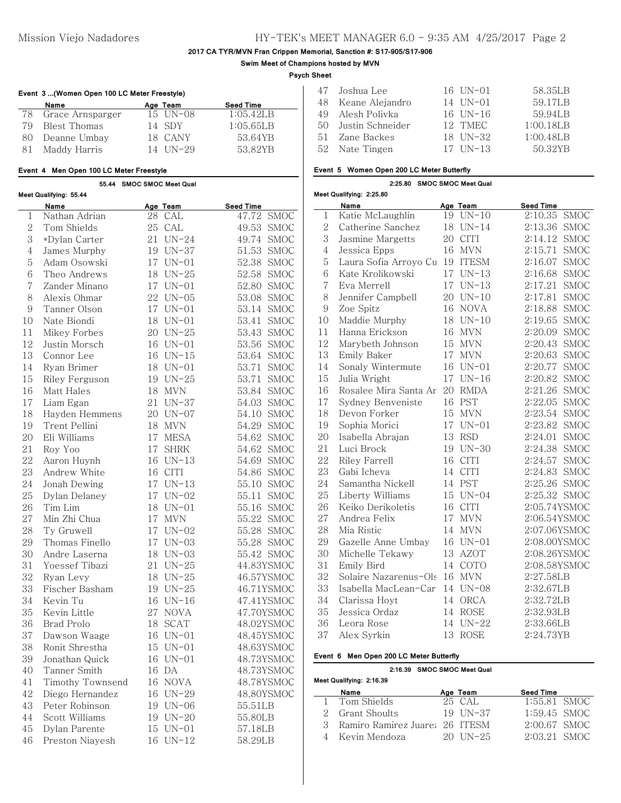**Swim Meet of Champions hosted by MVN**

**Psych Sheet**

### **Event 3 ...(Women Open 100 LC Meter Freestyle)**

|     | Name                | Age Team      | Seed Time |
|-----|---------------------|---------------|-----------|
|     | 78 Grace Arnsparger | 15 UN-08      | 1:05.42LB |
|     | 79 Blest Thomas     | 14 SDY        | 1:05.65LB |
| 80. | Deanne Umbay        | 18 CANY       | 53.64YB   |
| 81. | Maddy Harris        | $14$ $1/N-29$ | 53.82YB   |

#### **Event 4 Men Open 100 LC Meter Freestyle**

|                |                        | 55.44 SMOC SMOC Meet Qual |             |                      |                               |
|----------------|------------------------|---------------------------|-------------|----------------------|-------------------------------|
|                | Meet Qualifying: 55.44 |                           |             |                      | <b>Meet Qua</b>               |
|                | Name                   |                           | Age Team    | Seed Time            |                               |
| 1              | Nathan Adrian          |                           | 28 CAL      | 47.72 SMOC           | ŀ<br>$\mathbf 1$              |
| $\overline{2}$ | Tom Shields            |                           | 25 CAL      | 49.53 SMOC           | $\overline{2}$<br>$\big($     |
| 3              | *Dylan Carter          | 21                        | $UN-24$     | 49.74<br><b>SMOC</b> | $\overline{\text{J}}$<br>3    |
| $\overline{4}$ | James Murphy           |                           | 19 UN-37    | 51.53<br>SMOC        | $\mathbf J$<br>$\overline{4}$ |
| 5              | Adam Osowski           |                           | 17 UN-01    | 52.38 SMOC           | 5<br>$\overline{I}$           |
| 6              | Theo Andrews           | 18                        | $UN-25$     | 52.58 SMOC           | 6<br>ŀ                        |
| $\overline{7}$ | Zander Minano          |                           | 17 UN-01    | 52.80 SMOC           | $\overline{7}$<br>E           |
| 8              | Alexis Ohmar           |                           | 22 UN-05    | 53.08 SMOC           | 8<br>$_{\rm J}$               |
| 9              | Tanner Olson           |                           | 17 UN-01    | 53.14 SMOC           | Z<br>9                        |
| 10             | Nate Biondi            |                           | 18 UN-01    | <b>SMOC</b><br>53.41 | N<br>10                       |
| 11             | Mikey Forbes           |                           | 20 UN-25    | 53.43<br><b>SMOC</b> | ŀ<br>11                       |
| 12             | Justin Morsch          |                           | 16 UN-01    | 53.56<br>SMOC        | 12<br>$\mathbb{N}$            |
| 13             | Connor Lee             |                           | 16 UN-15    | 53.64 SMOC           | F<br>13                       |
| 14             | Ryan Brimer            | 18                        | $UN-01$     | 53.71<br><b>SMOC</b> | S<br>14                       |
| 15             | Riley Ferguson         |                           | 19 UN-25    | 53.71<br><b>SMOC</b> | $_{\rm J}$<br>15              |
| 16             | Matt Hales             |                           | 18 MVN      | 53.84 SMOC           | F<br>16                       |
| 17             | Liam Egan              |                           | 21 UN-37    | 54.03 SMOC           | S<br>17                       |
| 18             | Hayden Hemmens         |                           | 20 UN-07    | 54.10 SMOC           | $\Gamma$<br>18                |
| 19             | Trent Pellini          |                           | 18 MVN      | 54.29 SMOC           | Š<br>19                       |
| 20             | Eli Williams           | 17                        | <b>MESA</b> | 54.62 SMOC           | 20<br>I                       |
| 21             |                        |                           | <b>SHRK</b> |                      | I<br>21                       |
| 22             | Roy Yoo                | 17                        |             | 54.62 SMOC           | 22<br>$\overline{F}$          |
| 23             | Aaron Huynh            |                           | 16 UN-13    | 54.69 SMOC           | 23                            |
|                | Andrew White           |                           | 16 CITI     | 54.86 SMOC           | $\big($                       |
| 24             | Jonah Dewing           |                           | 17 UN-13    | 55.10 SMOC           | S<br>24                       |
| 25             | Dylan Delaney          |                           | 17 UN-02    | 55.11 SMOC           | 25<br>I                       |
| 26             | Tim Lim                | 18                        | UN-01       | 55.16 SMOC           | ŀ<br>26                       |
| 27             | Min Zhi Chua           | 17                        | <b>MVN</b>  | 55.22 SMOC           | 27<br>Ĥ                       |
| 28             | Ty Gruwell             | 17                        | $UN-02$     | 55.28 SMOC           | 28<br>Ν                       |
| 29             | Thomas Finello         |                           | 17 UN-03    | 55.28 SMOC           | $\big($<br>29                 |
| 30             | Andre Laserna          | 18                        | UN-03       | 55.42 SMOC           | 30<br>N                       |
| 31             | Yoessef Tibazi         | 21                        | $UN-25$     | 44.83YSMOC           | F<br>31                       |
| 32             | Ryan Levy              |                           | 18 UN-25    | 46.57YSMOC           | S<br>32                       |
| 33             | Fischer Basham         |                           | 19 UN-25    | 46.71YSMOC           | 33<br>I                       |
| 34             | Kevin Tu               |                           | 16 UN-16    | 47.41YSMOC           | $\big($<br>34                 |
| 35             | Kevin Little           | 27                        | <b>NOVA</b> | 47.70YSMOC           | J<br>35                       |
| 36             | <b>Brad Prolo</b>      | 18                        | <b>SCAT</b> | 48.02YSMOC           | I<br>36                       |
| 37             | Dawson Waage           |                           | 16 UN-01    | 48.45YSMOC           | 37<br>£                       |
| 38             | Ronit Shrestha         |                           | 15 UN-01    | 48.63YSMOC           |                               |
| 39             | Jonathan Quick         |                           | 16 UN-01    | 48.73YSMOC           | Event 6                       |
| 40             | Tanner Smith           |                           | 16 DA       | 48.73YSMOC           |                               |
| 41             | Timothy Townsend       |                           | 16 NOVA     | 48.78YSMOC           | <b>Meet Qua</b>               |
| 42             | Diego Hernandez        |                           | 16 UN-29    | 48.80YSMOC           |                               |
| 43             | Peter Robinson         |                           | 19 UN-06    | 55.51LB              | Ί<br>1                        |
| 44             | Scott Williams         |                           | 19 UN-20    | 55.80LB              | 2<br>C                        |
| 45             | Dylan Parente          |                           | 15 UN-01    | 57.18LB              | F<br>3                        |

Preston Niayesh 16 UN-12 58.29LB

| 47 Joshua Lee       | 16 UN-01   | 58.35LB   |
|---------------------|------------|-----------|
| 48 Keane Alejandro  | 14 UN-01   | 59.17LB   |
| 49 Alesh Polivka    | $16$ UN-16 | 59.94LB   |
| 50 Justin Schneider | 12 TMEC    | 1:00.18LB |
| 51 Zane Backes      | 18 UN-32   | 1:00.48LB |
| 52 Nate Tingen      | $17$ UN-13 | 50.32YB   |

#### **Event 5 Women Open 200 LC Meter Butterfly**

#### **2:25.80 SMOC SMOC Meet Qual**

|                | Meet Qualifying: 2:25.80 |    |              |              |             |
|----------------|--------------------------|----|--------------|--------------|-------------|
|                | Name                     |    | Age Team     | Seed Time    |             |
| 1              | Katie McLaughlin         | 19 | $UN-10$      | 2:10.35      | SMOC        |
| $\overline{2}$ | Catherine Sanchez        |    | 18 UN-14     | 2:13.36      | <b>SMOC</b> |
| 3              | Jasmine Margetts         |    | 20 CITI      | 2:14.12      | <b>SMOC</b> |
| 4              | Jessica Epps             | 16 | <b>MVN</b>   | 2:15.71      | SMOC        |
| 5              | Laura Sofia Arroyo Cu    | 19 | <b>ITESM</b> | 2:16.07      | SMOC        |
| 6              | Kate Krolikowski         | 17 | $UN-13$      | 2:16.68      | <b>SMOC</b> |
| 7              | Eva Merrell              |    | 17 UN-13     | 2:17.21      | SMOC        |
| 8              | Jennifer Campbell        | 20 | $UN-10$      | 2:17.81      | SMOC        |
| 9              | Zoe Spitz                | 16 | <b>NOVA</b>  | 2:18.88      | SMOC        |
| 10             | Maddie Murphy            | 18 | $UN-10$      | 2:19.65      | SMOC        |
| 11             | Hanna Erickson           | 16 | <b>MVN</b>   | 2:20.09      | <b>SMOC</b> |
| 12             | Marybeth Johnson         | 15 | <b>MVN</b>   | 2:20.43      | <b>SMOC</b> |
| 13             | Emily Baker              | 17 | <b>MVN</b>   | 2:20.63      | <b>SMOC</b> |
| 14             | Sonaly Wintermute        | 16 | $UN-01$      | 2:20.77      | SMOC        |
| 15             | Julia Wright             | 17 | $UN-16$      | 2:20.82      | SMOC        |
| 16             | Rosalee Mira Santa Ar    | 20 | <b>RMDA</b>  | 2:21.26      | SMOC        |
| 17             | Sydney Benveniste        | 16 | <b>PST</b>   | 2:22.05      | <b>SMOC</b> |
| 18             | Devon Forker             | 15 | <b>MVN</b>   | 2:23.54      | <b>SMOC</b> |
| 19             | Sophia Morici            |    | 17 UN-01     | 2:23.82      | <b>SMOC</b> |
| 20             | Isabella Abrajan         | 13 | <b>RSD</b>   | 2:24.01      | <b>SMOC</b> |
| 21             | Luci Brock               | 19 | UN-30        | 2:24.38      | <b>SMOC</b> |
| 22             | Riley Farrell            |    | 16 CITI      | 2:24.57      | SMOC        |
| 23             | Gabi Icheva              | 14 | <b>CITI</b>  | 2:24.83      | SMOC        |
| 24             | Samantha Nickell         | 14 | PST          | 2:25.26      | <b>SMOC</b> |
| 25             | Liberty Williams         | 15 | $UN-04$      | 2:25.32 SMOC |             |
| 26             | Keiko Derikoletis        | 16 | <b>CITI</b>  | 2:05.74YSMOC |             |
| 27             | Andrea Felix             | 17 | <b>MVN</b>   | 2:06.54YSMOC |             |
| 28             | Mia Ristic               | 14 | <b>MVN</b>   | 2:07.06YSMOC |             |
| 29             | Gazelle Anne Umbay       | 16 | $UN-01$      | 2:08.00YSMOC |             |
| 30             | Michelle Tekawy          | 13 | <b>AZOT</b>  | 2:08.26YSMOC |             |
| 31             | Emily Bird               | 14 | COTO         | 2:08.58YSMOC |             |
| 32             | Solaire Nazarenus-Ols    | 16 | <b>MVN</b>   | 2:27.58LB    |             |
| 33             | Isabella MacLean-Car     | 14 | $UN-08$      | 2:32.67LB    |             |
| 34             | Clarissa Hoyt            | 14 | ORCA         | 2:32.72LB    |             |
| 35             | Jessica Ordaz            | 14 | <b>ROSE</b>  | 2:32.93LB    |             |
| 36             | Leora Rose               | 14 | $UN-22$      | 2:33.66LB    |             |
| 37             | Alex Syrkin              | 13 | <b>ROSE</b>  | 2:24.73YB    |             |

#### **Men Open 200 LC Meter Butterfly**

### **2:16.39 SMOC SMOC Meet Qual**

|   | Meet Qualifying: 2:16.39           |          |                  |  |
|---|------------------------------------|----------|------------------|--|
|   | Name                               | Age Team | <b>Seed Time</b> |  |
|   | 1 Tom Shields                      | 25 CAL   | 1:55.81 SMOC     |  |
|   | 2 Grant Shoults                    | 19 UN-37 | $1:59.45$ SMOC   |  |
| 3 | - Ramiro Ramirez Juares, 26, ITESM |          | 2:00.67 SMOC     |  |
|   | - Kevin Mendoza                    | 20 UN-25 | $2:03.21$ SMOC   |  |
|   |                                    |          |                  |  |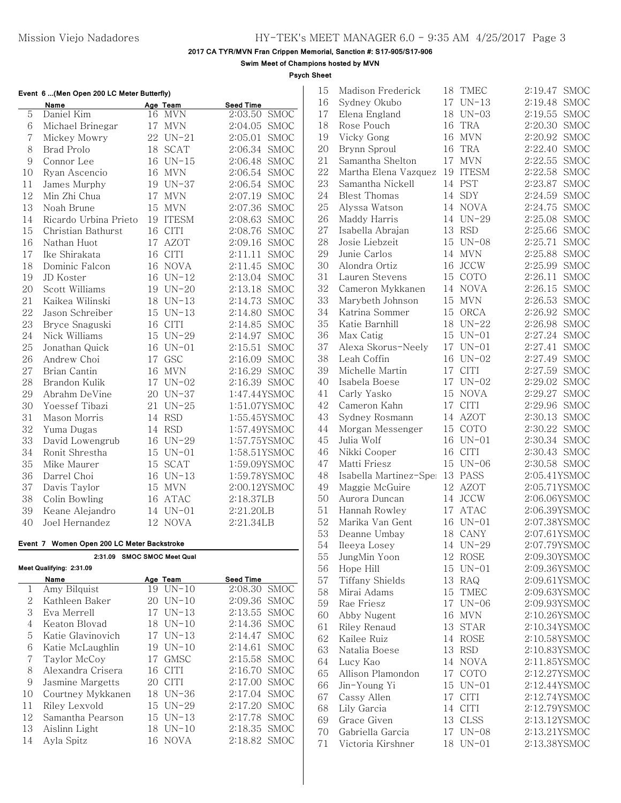Madison Frederick 18 TMEC 2:19.47 SMOC

## **2017 CA TYR/MVN Fran Crippen Memorial, Sanction #: S17-905/S17-906**

**Swim Meet of Champions hosted by MVN**

### **Psych Sheet**

| Event 6  (Men Open 200 LC Meter Butterfly) |  |  |  |
|--------------------------------------------|--|--|--|
|                                            |  |  |  |

|    | Name                  |    | Age Team     | Seed Time    |             |
|----|-----------------------|----|--------------|--------------|-------------|
| 5  | Daniel Kim            | 16 | <b>MVN</b>   | 2:03.50      | SMOC        |
| 6  | Michael Brinegar      | 17 | <b>MVN</b>   | 2:04.05      | <b>SMOC</b> |
| 7  | Mickey Mowry          | 22 | $UN-21$      | 2:05.01      | SMOC        |
| 8  | Brad Prolo            | 18 | <b>SCAT</b>  | 2:06.34      | <b>SMOC</b> |
| 9  | Connor Lee            | 16 | $UN-15$      | 2:06.48      | SMOC        |
| 10 | Ryan Ascencio         | 16 | <b>MVN</b>   | 2:06.54      | <b>SMOC</b> |
| 11 | James Murphy          | 19 | $UN-37$      | 2:06.54      | <b>SMOC</b> |
| 12 | Min Zhi Chua          | 17 | <b>MVN</b>   | 2:07.19      | SMOC        |
| 13 | Noah Brune            | 15 | <b>MVN</b>   | 2:07.36      | <b>SMOC</b> |
| 14 | Ricardo Urbina Prieto | 19 | <b>ITESM</b> | 2:08.63      | <b>SMOC</b> |
| 15 | Christian Bathurst    | 16 | <b>CITI</b>  | 2:08.76      | <b>SMOC</b> |
| 16 | Nathan Huot           | 17 | <b>AZOT</b>  | 2:09.16      | <b>SMOC</b> |
| 17 | Ike Shirakata         | 16 | <b>CITI</b>  | 2:11.11      | <b>SMOC</b> |
| 18 | Dominic Falcon        | 16 | <b>NOVA</b>  | 2:11.45      | <b>SMOC</b> |
| 19 | JD Koster             | 16 | $UN-12$      | 2:13.04      | <b>SMOC</b> |
| 20 | Scott Williams        | 19 | $UN-20$      | 2:13.18      | <b>SMOC</b> |
| 21 | Kaikea Wilinski       | 18 | $UN-13$      | 2:14.73      | <b>SMOC</b> |
| 22 | Jason Schreiber       | 15 | $UN-13$      | 2:14.80      | <b>SMOC</b> |
| 23 | Bryce Snaguski        | 16 | <b>CITI</b>  | 2:14.85      | <b>SMOC</b> |
| 24 | Nick Williams         | 15 | $UN-29$      | 2:14.97      | <b>SMOC</b> |
| 25 | Jonathan Quick        | 16 | $UN-01$      | 2:15.51      | SMOC        |
| 26 | Andrew Choi           | 17 | GSC          | 2:16.09      | <b>SMOC</b> |
| 27 | Brian Cantin          | 16 | <b>MVN</b>   | 2:16.29      | SMOC        |
| 28 | Brandon Kulik         | 17 | $UN-02$      | 2:16.39      | <b>SMOC</b> |
| 29 | Abrahm DeVine         | 20 | $UN-37$      | 1:47.44YSMOC |             |
| 30 | Yoessef Tibazi        | 21 | $UN-25$      | 1:51.07YSMOC |             |
| 31 | Mason Morris          | 14 | <b>RSD</b>   | 1:55.45YSMOC |             |
| 32 | Yuma Dugas            | 14 | <b>RSD</b>   | 1:57.49YSMOC |             |
| 33 | David Lowengrub       | 16 | $UN-29$      | 1:57.75YSMOC |             |
| 34 | Ronit Shrestha        | 15 | $UN-01$      | 1:58.51YSMOC |             |
| 35 | Mike Maurer           | 15 | <b>SCAT</b>  | 1:59.09YSMOC |             |
| 36 | Darrel Choi           | 16 | $UN-13$      | 1:59.78YSMOC |             |
| 37 | Davis Taylor          | 15 | <b>MVN</b>   | 2:00.12YSMOC |             |
| 38 | Colin Bowling         | 16 | ATAC         | 2:18.37LB    |             |
| 39 | Keane Alejandro       | 14 | $UN-01$      | 2:21.20LB    |             |
| 40 | Joel Hernandez        | 12 | <b>NOVA</b>  | 2:21.34LB    |             |

#### **Event 7 Women Open 200 LC Meter Backstroke**

|    | 2:31.09                  | <b>SMOC SMOC Meet Qual</b> |                        |
|----|--------------------------|----------------------------|------------------------|
|    | Meet Qualifying: 2:31.09 |                            |                        |
|    | Name                     | Age Team                   | <b>Seed Time</b>       |
| 1  | Amy Bilguist             | UN-10<br>19                | 2:08.30<br>SMOC        |
| 2  | Kathleen Baker           | $UN-10$<br>20              | <b>SMOC</b><br>2:09.36 |
| 3  | Eva Merrell              | $UN-13$<br>17              | 2:13.55<br>SMOC        |
| 4  | Keaton Blovad            | $UN-10$<br>18              | 2:14.36<br><b>SMOC</b> |
| 5  | Katie Glavinovich        | $UN-13$<br>17.             | <b>SMOC</b><br>2:14.47 |
| 6  | Katie McLaughlin         | $UN-10$<br>19              | SMOC<br>2:14.61        |
| 7  | Taylor McCoy             | <b>GMSC</b><br>17          | 2:15.58 SMOC           |
| 8  | Alexandra Crisera        | <b>CITI</b><br>16          | 2:16.70<br>SMOC        |
| 9  | Jasmine Margetts         | CITI<br>20                 | <b>SMOC</b><br>2:17.00 |
| 10 | Courtney Mykkanen        | UN-36<br>18                | 2:17.04<br><b>SMOC</b> |
| 11 | Riley Lexvold            | $UN-29$<br>15              | 2:17.20<br><b>SMOC</b> |
| 12 | Samantha Pearson         | $UN-13$<br>15.             | 2:17.78<br><b>SMOC</b> |
| 13 | Aislinn Light            | $UN-10$<br>18              | <b>SMOC</b><br>2:18.35 |
| 14 | Ayla Spitz               | <b>NOVA</b><br>16          | 2:18.82 SMOC           |

| 16 | Sydney Okubo           |          | 17 UN-13                  | 2:19.48 SMOC |             |
|----|------------------------|----------|---------------------------|--------------|-------------|
| 17 | Elena England          |          | 18 UN-03                  | 2:19.55      | SMOC        |
| 18 | Rose Pouch             | 16       | <b>TRA</b>                | 2:20.30      | SMOC        |
| 19 | Vicky Gong             | 16       | <b>MVN</b>                | 2:20.92      | SMOC        |
| 20 | Brynn Sproul           | 16       | <b>TRA</b>                | 2:22.40      | SMOC        |
| 21 | Samantha Shelton       | 17       | <b>MVN</b>                | 2:22.55      | SMOC        |
| 22 | Martha Elena Vazquez   | 19       | <b>ITESM</b>              | 2:22.58      | SMOC        |
| 23 | Samantha Nickell       | 14       | <b>PST</b>                | 2:23.87      | SMOC        |
| 24 | <b>Blest Thomas</b>    | 14       | <b>SDY</b>                | 2:24.59      | SMOC        |
| 25 | Alyssa Watson          | 14       | <b>NOVA</b>               | 2:24.75      | SMOC        |
| 26 | Maddy Harris           |          | 14 UN-29                  | 2:25.08      | SMOC        |
| 27 | Isabella Abrajan       | 13       | RSD                       | 2:25.66      | SMOC        |
| 28 | Josie Liebzeit         |          | 15 UN-08                  | 2:25.71      | SMOC        |
| 29 | Junie Carlos           | 14       | <b>MVN</b>                | 2:25.88      | SMOC        |
| 30 | Alondra Ortiz          | 16       | JCCW                      | 2:25.99      | SMOC        |
| 31 | Lauren Stevens         | 15       | COTO                      | 2:26.11      | SMOC        |
| 32 | Cameron Mykkanen       | 14       | <b>NOVA</b>               | 2:26.15      | SMOC        |
| 33 | Marybeth Johnson       | 15       | <b>MVN</b>                | 2:26.53      | SMOC        |
| 34 | Katrina Sommer         | 15       | ORCA                      | 2:26.92      | SMOC        |
| 35 | Katie Barnhill         |          | 18 UN-22                  | 2:26.98      | SMOC        |
| 36 | Max Catig              |          | 15 UN-01                  | 2:27.24      | <b>SMOC</b> |
| 37 | Alexa Skorus-Neely     |          | 17 UN-01                  | 2:27.41      | <b>SMOC</b> |
| 38 | Leah Coffin            | 16       | $UN-02$                   | 2:27.49      | SMOC        |
| 39 | Michelle Martin        | 17       | <b>CITI</b>               | 2:27.59      | <b>SMOC</b> |
| 40 | Isabela Boese          |          | 17 UN-02                  | 2:29.02      | <b>SMOC</b> |
| 41 | Carly Yasko            | 15       | <b>NOVA</b>               | 2:29.27      | SMOC        |
| 42 | Cameron Kahn           | 17       | <b>CITI</b>               | 2:29.96      | SMOC        |
| 43 | Sydney Rosmann         | 14       | <b>AZOT</b>               | 2:30.13      | SMOC        |
| 44 | Morgan Messenger       | 15       | COTO                      | 2:30.22      | SMOC        |
| 45 | Julia Wolf             | 16       | $UN-01$                   | 2:30.34      | SMOC        |
| 46 | Nikki Cooper           | 16       | <b>CITI</b>               | 2:30.43      | SMOC        |
| 47 | Matti Friesz           | 15       | $UN-06$                   | 2:30.58      | SMOC        |
| 48 | Isabella Martinez-Sper | 13       | PASS                      | 2:05.41YSMOC |             |
| 49 | Maggie McGuire         | 12       | <b>AZOT</b>               | 2:05.71YSMOC |             |
| 50 | Aurora Duncan          | 14       | <b>JCCW</b>               | 2:06.06YSMOC |             |
|    |                        |          |                           | 2:06.39YSMOC |             |
| 51 | Hannah Rowley          | 17       | ATAC                      |              |             |
| 52 | Marika Van Gent        |          | 16 UN-01                  | 2:07.38YSMOC |             |
| 53 | Deanne Umbay           | 18       | CANY                      | 2:07.61YSMOC |             |
| 54 | Ileeya Losey           | 14<br>12 | $UN-29$                   | 2:07.79YSMOC |             |
| 55 | JungMin Yoon           |          | <b>ROSE</b>               | 2:09.30YSMOC |             |
| 56 | Hope Hill              | 15       | $UN-01$                   | 2:09.36YSMOC |             |
| 57 | Tiffany Shields        | 13       | RAQ                       | 2:09.61YSMOC |             |
| 58 | Mirai Adams            | 15       | TMEC                      | 2:09.63YSMOC |             |
| 59 | Rae Friesz             | 17       | $UN-06$                   | 2:09.93YSMOC |             |
| 60 | Abby Nugent            | 16       | $\ensuremath{\text{MVN}}$ | 2:10.26YSMOC |             |
| 61 | Riley Renaud           | 13       | <b>STAR</b>               | 2:10.34YSMOC |             |
| 62 | Kailee Ruiz            | 14       | <b>ROSE</b>               | 2:10.58YSMOC |             |
| 63 | Natalia Boese          | 13       | <b>RSD</b>                | 2:10.83YSMOC |             |
| 64 | Lucy Kao               | 14       | <b>NOVA</b>               | 2:11.85YSMOC |             |
| 65 | Allison Plamondon      | 17       | COTO                      | 2:12.27YSMOC |             |
| 66 | Jin-Young Yi           | 15       | $UN-01$                   | 2:12.44YSMOC |             |
| 67 | Cassy Allen            | 17       | <b>CITI</b>               | 2:12.74YSMOC |             |
| 68 | Lily Garcia            | 14       | CITI                      | 2:12.79YSMOC |             |
| 69 | Grace Given            | 13       | CLSS                      | 2:13.12YSMOC |             |
| 70 | Gabriella Garcia       | 17       | $UN-08$                   | 2:13.21YSMOC |             |
| 71 | Victoria Kirshner      |          | 18 UN-01                  | 2:13.38YSMOC |             |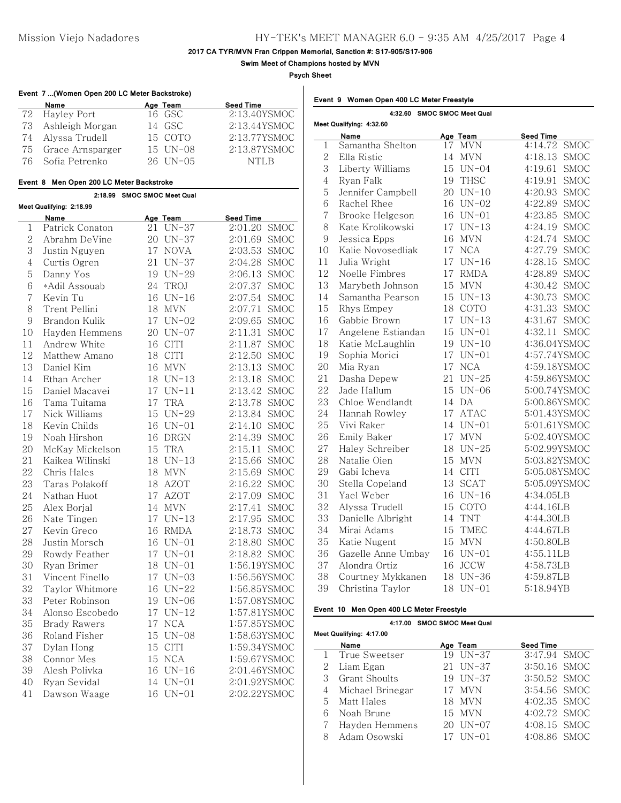**Event 7 ...(Women Open 200 LC Meter Backstroke)**

## **2017 CA TYR/MVN Fran Crippen Memorial, Sanction #: S17-905/S17-906**

**Swim Meet of Champions hosted by MVN**

**Psych Sheet**

|                | Name                             |    | Age Team                  | <b>Seed Time</b>          |  |  |  |  |  |  |
|----------------|----------------------------------|----|---------------------------|---------------------------|--|--|--|--|--|--|
| 72             | Hayley Port                      | 16 | GSC                       | 2:13.40YSMOC              |  |  |  |  |  |  |
| 73             | Ashleigh Morgan                  |    | 14 GSC                    | 2:13.44YSMOC              |  |  |  |  |  |  |
| 74             | Alyssa Trudell                   |    | 15 COTO                   | 2:13.77YSMOC              |  |  |  |  |  |  |
| 75             | Grace Arnsparger                 |    | 15 UN-08                  | 2:13.87YSMOC              |  |  |  |  |  |  |
| 76             | Sofia Petrenko                   |    | 26 UN-05                  | <b>NTLB</b>               |  |  |  |  |  |  |
| Event 8        | Men Open 200 LC Meter Backstroke |    |                           |                           |  |  |  |  |  |  |
|                | 2:18.99 SMOC SMOC Meet Qual      |    |                           |                           |  |  |  |  |  |  |
|                | Meet Qualifying: 2:18.99         |    |                           |                           |  |  |  |  |  |  |
| 1              | Name<br>Patrick Conaton          | 21 | Age Team<br>UN-37         | Seed Time<br>2:01.20 SMOC |  |  |  |  |  |  |
| $\overline{2}$ | Abrahm DeVine                    |    | 20 UN-37                  | 2:01.69 SMOC              |  |  |  |  |  |  |
| 3              |                                  |    |                           | 2:03.53 SMOC              |  |  |  |  |  |  |
|                | Justin Nguyen                    |    | 17 NOVA                   |                           |  |  |  |  |  |  |
| $\overline{4}$ | Curtis Ogren                     | 21 | $UN-37$                   | 2:04.28 SMOC              |  |  |  |  |  |  |
| 5              | Danny Yos                        |    | 19 UN-29                  | 2:06.13<br><b>SMOC</b>    |  |  |  |  |  |  |
| 6              | *Adil Assouab                    | 24 | TROJ                      | 2:07.37<br><b>SMOC</b>    |  |  |  |  |  |  |
| 7              | Kevin Tu                         | 16 | $UN-16$                   | SMOC<br>2:07.54           |  |  |  |  |  |  |
| 8              | Trent Pellini                    | 18 | <b>MVN</b>                | 2:07.71<br><b>SMOC</b>    |  |  |  |  |  |  |
| 9              | Brandon Kulik                    |    | 17 UN-02                  | 2:09.65<br>SMOC           |  |  |  |  |  |  |
| 10             | Hayden Hemmens                   |    | 20 UN-07                  | <b>SMOC</b><br>2:11.31    |  |  |  |  |  |  |
| 11             | Andrew White                     | 16 | <b>CITI</b>               | <b>SMOC</b><br>2:11.87    |  |  |  |  |  |  |
| 12             | Matthew Amano                    | 18 | <b>CITI</b>               | 2:12.50 SMOC              |  |  |  |  |  |  |
| 13             | Daniel Kim                       | 16 | <b>MVN</b>                | 2:13.13 SMOC              |  |  |  |  |  |  |
| 14             | Ethan Archer                     |    | 18 UN-13                  | 2:13.18 SMOC              |  |  |  |  |  |  |
| 15             | Daniel Macavei                   |    | 17 UN-11                  | 2:13.42 SMOC              |  |  |  |  |  |  |
| 16             | Tama Tuitama                     | 17 | <b>TRA</b>                | 2:13.78 SMOC              |  |  |  |  |  |  |
| 17             | Nick Williams                    | 15 | $UN-29$                   | 2:13.84<br><b>SMOC</b>    |  |  |  |  |  |  |
| 18             | Kevin Childs                     | 16 | $UN-01$                   | 2:14.10 SMOC              |  |  |  |  |  |  |
| 19             | Noah Hirshon                     | 16 | <b>DRGN</b>               | SMOC<br>2:14.39           |  |  |  |  |  |  |
| 20             | McKay Mickelson                  | 15 | <b>TRA</b>                | 2:15.11<br>SMOC           |  |  |  |  |  |  |
| 21             | Kaikea Wilinski                  | 18 | $UN-13$                   | 2:15.66<br>SMOC           |  |  |  |  |  |  |
| 22             | Chris Hales                      | 18 | $\ensuremath{\text{MVN}}$ | 2:15.69<br><b>SMOC</b>    |  |  |  |  |  |  |
| 23             | Taras Polakoff                   | 18 | <b>AZOT</b>               | 2:16.22<br><b>SMOC</b>    |  |  |  |  |  |  |
| 24             | Nathan Huot                      | 17 | <b>AZOT</b>               | 2:17.09 SMOC              |  |  |  |  |  |  |
| 25             | Alex Borjal                      | 14 | <b>MVN</b>                | 2:17.41<br><b>SMOC</b>    |  |  |  |  |  |  |
| 26             | Nate Tingen                      |    | 17 UN-13                  | 2:17.95 SMOC              |  |  |  |  |  |  |
| 27             | Kevin Greco                      | 16 | <b>RMDA</b>               | 2:18.73 SMOC              |  |  |  |  |  |  |
| 28             | Justin Morsch                    |    | 16 UN-01                  | 2:18.80<br><b>SMOC</b>    |  |  |  |  |  |  |
| 29             | Rowdy Feather                    |    | 17 UN-01                  | 2:18.82 SMOC              |  |  |  |  |  |  |
| 30             | Ryan Brimer                      |    | 18 UN-01                  | 1:56.19YSMOC              |  |  |  |  |  |  |
| 31             | Vincent Finello                  | 17 | $UN-03$                   | 1:56.56YSMOC              |  |  |  |  |  |  |
| 32             |                                  |    |                           | 1:56.85YSMOC              |  |  |  |  |  |  |
|                | Taylor Whitmore                  | 16 | $UN-22$                   |                           |  |  |  |  |  |  |
| 33             | Peter Robinson                   | 19 | $UN-06$                   | 1:57.08YSMOC              |  |  |  |  |  |  |
| 34             | Alonso Escobedo                  | 17 | $UN-12$                   | 1:57.81YSMOC              |  |  |  |  |  |  |
| 35             | <b>Brady Rawers</b>              | 17 | <b>NCA</b>                | 1:57.85YSMOC              |  |  |  |  |  |  |
| 36             | Roland Fisher                    | 15 | $UN-08$                   | 1:58.63YSMOC              |  |  |  |  |  |  |
| 37             | Dylan Hong                       | 15 | <b>CITI</b>               | 1:59.34YSMOC              |  |  |  |  |  |  |
| 38             | Connor Mes                       | 15 | <b>NCA</b>                | 1:59.67YSMOC              |  |  |  |  |  |  |
| 39             | Alesh Polivka                    | 16 | $UN-16$                   | 2:01.46YSMOC              |  |  |  |  |  |  |
| 40             | Ryan Sevidal                     | 14 | $UN-01$                   | 2:01.92YSMOC              |  |  |  |  |  |  |
| 41             | Dawson Waage                     | 16 | $UN-01$                   | 2:02.22YSMOC              |  |  |  |  |  |  |

|                | <b>SMOC SMOC Meet Qual</b><br>4:32.60 |    |             |                        |  |  |  |
|----------------|---------------------------------------|----|-------------|------------------------|--|--|--|
|                | Meet Qualifying: 4:32.60              |    |             |                        |  |  |  |
|                | Name                                  |    | Age Team    | Seed Time              |  |  |  |
| 1              | Samantha Shelton                      | 17 | MVN         | 4:14.72 SMOC           |  |  |  |
| $\overline{2}$ | Ella Ristic                           | 14 | <b>MVN</b>  | 4:18.13 SMOC           |  |  |  |
| 3              | Liberty Williams                      |    | 15 UN-04    | <b>SMOC</b><br>4:19.61 |  |  |  |
| 4              | Ryan Falk                             |    | 19 THSC     | <b>SMOC</b><br>4:19.91 |  |  |  |
| 5              | Jennifer Campbell                     |    | 20 UN-10    | 4:20.93<br><b>SMOC</b> |  |  |  |
| 6              | Rachel Rhee                           |    | 16 UN-02    | 4:22.89<br><b>SMOC</b> |  |  |  |
| $\overline{7}$ | Brooke Helgeson                       | 16 | $UN-01$     | 4:23.85<br><b>SMOC</b> |  |  |  |
| 8              | Kate Krolikowski                      | 17 | $UN-13$     | 4:24.19<br><b>SMOC</b> |  |  |  |
| 9              | Jessica Epps                          | 16 | <b>MVN</b>  | <b>SMOC</b><br>4:24.74 |  |  |  |
| 10             | Kalie Novosedliak                     |    | 17 NCA      | 4:27.79<br>SMOC        |  |  |  |
| 11             | Julia Wright                          |    | 17 UN-16    | 4:28.15<br>SMOC        |  |  |  |
| 12             | Noelle Fimbres                        | 17 | <b>RMDA</b> | 4:28.89<br>SMOC        |  |  |  |
| 13             | Marybeth Johnson                      | 15 | <b>MVN</b>  | 4:30.42<br>SMOC        |  |  |  |
| 14             | Samantha Pearson                      | 15 | $UN-13$     | 4:30.73<br>SMOC        |  |  |  |
| 15             | Rhys Empey                            |    | 18 COTO     | 4:31.33<br><b>SMOC</b> |  |  |  |
| 16             | Gabbie Brown                          |    | 17 UN-13    | 4:31.67<br><b>SMOC</b> |  |  |  |
| 17             | Angelene Estiandan                    | 15 | $UN-01$     | 4:32.11<br><b>SMOC</b> |  |  |  |
| 18             | Katie McLaughlin                      |    | 19 UN-10    | 4:36.04YSMOC           |  |  |  |
| 19             | Sophia Morici                         |    | 17 UN-01    | 4:57.74YSMOC           |  |  |  |
| 20             | Mia Ryan                              | 17 | <b>NCA</b>  | 4:59.18YSMOC           |  |  |  |
| 21             | Dasha Depew                           | 21 | $UN-25$     | 4:59.86YSMOC           |  |  |  |
| 22             | Jade Hallum                           | 15 | $UN-06$     | 5:00.74YSMOC           |  |  |  |
| 23             | Chloe Wendlandt                       | 14 | DA          | 5:00.86YSMOC           |  |  |  |
| 24             | Hannah Rowlev                         | 17 | <b>ATAC</b> | 5:01.43YSMOC           |  |  |  |
| 25             | Vivi Raker                            |    | 14 UN-01    | 5:01.61YSMOC           |  |  |  |
| 26             | Emily Baker                           | 17 | <b>MVN</b>  | 5:02.40YSMOC           |  |  |  |
| 27             | Haley Schreiber                       | 18 | $UN-25$     | 5:02.99YSMOC           |  |  |  |
| 28             | Natalie Oien                          | 15 | <b>MVN</b>  | 5:03.82YSMOC           |  |  |  |
| 29             | Gabi Icheva                           | 14 | <b>CITI</b> | 5:05.08YSMOC           |  |  |  |
| 30             | Stella Copeland                       |    | 13 SCAT     | 5:05.09YSMOC           |  |  |  |
| 31             | Yael Weber                            | 16 | $UN-16$     | 4:34.05LB              |  |  |  |
| 32             | Alyssa Trudell                        | 15 | COTO        | 4:44.16LB              |  |  |  |
| 33             | Danielle Albright                     | 14 | <b>TNT</b>  | 4:44.30LB              |  |  |  |
| 34             | Mirai Adams                           | 15 | TMEC        | 4:44.67LB              |  |  |  |
| 35             | Katie Nugent                          | 15 | <b>MVN</b>  | 4:50.80LB              |  |  |  |
| 36             | Gazelle Anne Umbay                    |    | 16 UN-01    | 4:55.11LB              |  |  |  |
| 37             | Alondra Ortiz                         | 16 | <b>JCCW</b> | 4:58.73LB              |  |  |  |
| 38             | Courtney Mykkanen                     | 18 | $UN-36$     | 4:59.87LB              |  |  |  |
| 39             | Christina Taylor                      | 18 | $UN-01$     | 5:18.94YB              |  |  |  |

#### **Event 10 Men Open 400 LC Meter Freestyle**

### **4:17.00 SMOC SMOC Meet Qual**

|    | Meet Qualifying: 4:17.00 |  |            |              |  |  |  |
|----|--------------------------|--|------------|--------------|--|--|--|
|    | Name                     |  | Age Team   | Seed Time    |  |  |  |
|    | 1 True Sweetser          |  | 19 UN-37   | 3:47.94 SMOC |  |  |  |
|    | 2 Liam Egan              |  | 21 UN-37   | 3:50.16 SMOC |  |  |  |
| З. | Grant Shoults            |  | 19 UN-37   | 3:50.52 SMOC |  |  |  |
| 4  | Michael Brinegar         |  | 17 MVN     | 3:54.56 SMOC |  |  |  |
|    | 5 Matt Hales             |  | 18 MVN     | 4:02.35 SMOC |  |  |  |
| 6  | Noah Brune               |  | 15 MVN     | 4:02.72 SMOC |  |  |  |
|    | Hayden Hemmens           |  | 20 UN-07   | 4:08.15 SMOC |  |  |  |
|    | Adam Osowski             |  | $17$ UN-01 | 4:08.86 SMOC |  |  |  |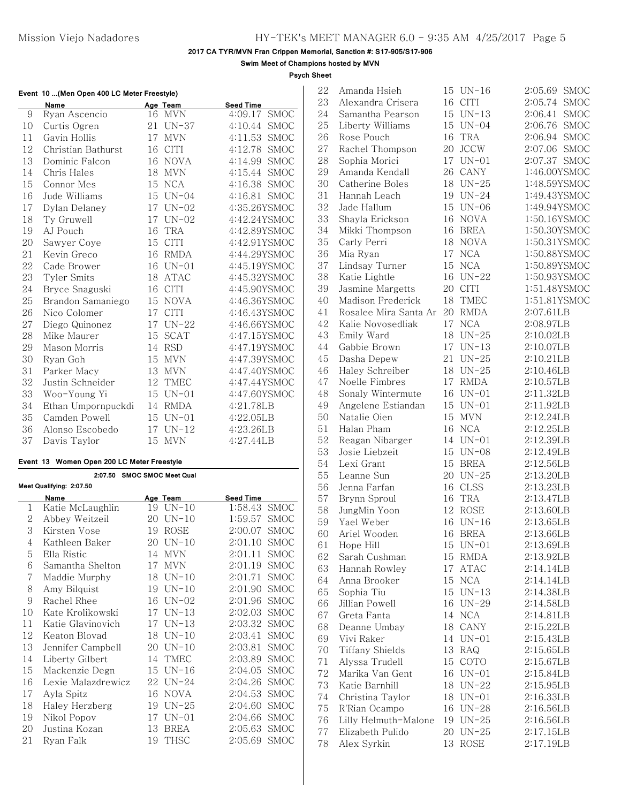**Swim Meet of Champions hosted by MVN**

**Psych Sheet**

| Event 10  (Men Open 400 LC Meter Freestyle) |  |  |
|---------------------------------------------|--|--|
|                                             |  |  |

|    | Name               | Age Team          | <b>Seed Time</b>       |
|----|--------------------|-------------------|------------------------|
| 9  | Ryan Ascencio      | <b>MVN</b><br>16  | 4:09.17<br><b>SMOC</b> |
| 10 | Curtis Ogren       | 21<br>$UN-37$     | <b>SMOC</b><br>4:10.44 |
| 11 | Gavin Hollis       | <b>MVN</b><br>17  | <b>SMOC</b><br>4:11.53 |
| 12 | Christian Bathurst | <b>CITI</b><br>16 | 4:12.78<br><b>SMOC</b> |
| 13 | Dominic Falcon     | <b>NOVA</b><br>16 | <b>SMOC</b><br>4:14.99 |
| 14 | Chris Hales        | <b>MVN</b><br>18  | 4:15.44<br><b>SMOC</b> |
| 15 | Connor Mes         | <b>NCA</b><br>15  | 4:16.38<br><b>SMOC</b> |
| 16 | Jude Williams      | 15<br>$UN-04$     | 4:16.81<br><b>SMOC</b> |
| 17 | Dylan Delaney      | 17 UN-02          | 4:35.26YSMOC           |
| 18 | Ty Gruwell         | 17 UN-02          | 4:42.24YSMOC           |
| 19 | AJ Pouch           | <b>TRA</b><br>16  | 4:42.89YSMOC           |
| 20 | Sawyer Coye        | <b>CITI</b><br>15 | 4:42.91YSMOC           |
| 21 | Kevin Greco        | <b>RMDA</b><br>16 | 4:44.29YSMOC           |
| 22 | Cade Brower        | $UN-01$<br>16     | 4:45.19YSMOC           |
| 23 | <b>Tyler Smits</b> | <b>ATAC</b><br>18 | 4:45.32YSMOC           |
| 24 | Bryce Snaguski     | <b>CITI</b><br>16 | 4:45.90YSMOC           |
| 25 | Brandon Samaniego  | <b>NOVA</b><br>15 | 4:46.36YSMOC           |
| 26 | Nico Colomer       | <b>CITI</b><br>17 | 4:46.43YSMOC           |
| 27 | Diego Quinonez     | $UN-22$<br>17     | 4:46.66YSMOC           |
| 28 | Mike Maurer        | 15<br>SCAT        | 4:47.15YSMOC           |
| 29 | Mason Morris       | <b>RSD</b><br>14  | 4:47.19YSMOC           |
| 30 | Ryan Goh           | <b>MVN</b><br>15  | 4:47.39YSMOC           |
| 31 | Parker Macy        | <b>MVN</b><br>13  | 4:47.40YSMOC           |
| 32 | Justin Schneider   | 12 TMEC           | 4:47.44YSMOC           |
| 33 | Woo-Young Yi       | $UN-01$<br>15     | 4:47.60YSMOC           |
| 34 | Ethan Umpornpuckdi | RMDA<br>14        | 4:21.78LB              |
| 35 | Camden Powell      | $UN-01$<br>15     | 4:22.05LB              |
| 36 | Alonso Escobedo    | 17 UN-12          | 4:23.26LB              |
| 37 | Davis Taylor       | <b>MVN</b><br>15  | 4:27.44LB              |

### **Event 13 Women Open 200 LC Meter Freestyle**

| 2:07.50 SMOC SMOC Meet Qual |                          |                   |                        |  |  |  |
|-----------------------------|--------------------------|-------------------|------------------------|--|--|--|
|                             | Meet Qualifying: 2:07.50 |                   |                        |  |  |  |
|                             | Name                     | Age Team          | <b>Seed Time</b>       |  |  |  |
| 1                           | Katie McLaughlin         | 19<br>$UN-10$     | 1:58.43<br><b>SMOC</b> |  |  |  |
| 2                           | Abbey Weitzeil           | $UN-10$<br>20     | 1:59.57<br><b>SMOC</b> |  |  |  |
| 3                           | Kirsten Vose             | ROSE<br>19        | 2:00.07<br><b>SMOC</b> |  |  |  |
| 4                           | Kathleen Baker           | 20<br>$UN-10$     | <b>SMOC</b><br>2:01.10 |  |  |  |
| 5                           | Ella Ristic              | <b>MVN</b><br>14  | 2:01.11<br><b>SMOC</b> |  |  |  |
| 6                           | Samantha Shelton         | <b>MVN</b><br>17  | <b>SMOC</b><br>2:01.19 |  |  |  |
| 7                           | Maddie Murphy            | $UN-10$<br>18     | SMOC<br>2:01.71        |  |  |  |
| 8                           | Amy Bilquist             | $UN-10$<br>19     | <b>SMOC</b><br>2:01.90 |  |  |  |
| 9                           | Rachel Rhee              | $UN-02$<br>16     | <b>SMOC</b><br>2:01.96 |  |  |  |
| 10                          | Kate Krolikowski         | $UN-13$<br>17     | 2:02.03<br>SMOC        |  |  |  |
| 11                          | Katie Glavinovich        | $UN-13$<br>17     | 2:03.32<br><b>SMOC</b> |  |  |  |
| 12                          | Keaton Blovad            | $UN-10$<br>18     | 2:03.41<br><b>SMOC</b> |  |  |  |
| 13                          | Jennifer Campbell        | $UN-10$<br>20     | 2:03.81<br><b>SMOC</b> |  |  |  |
| 14                          | Liberty Gilbert          | TMEC<br>14        | <b>SMOC</b><br>2:03.89 |  |  |  |
| 15                          | Mackenzie Degn           | $UN-16$<br>15     | <b>SMOC</b><br>2:04.05 |  |  |  |
| 16                          | Lexie Malazdrewicz       | 22<br>$UN-24$     | SMOC<br>2:04.26        |  |  |  |
| 17                          | Ayla Spitz               | <b>NOVA</b><br>16 | SMOC<br>2:04.53        |  |  |  |
| 18                          | Haley Herzberg           | $UN-25$<br>19     | <b>SMOC</b><br>2:04.60 |  |  |  |
| 19                          | Nikol Popov              | 17<br>$UN-01$     | SMOC<br>2:04.66        |  |  |  |
| 20                          | Justina Kozan            | <b>BREA</b><br>13 | <b>SMOC</b><br>2:05.63 |  |  |  |
| 21                          | Ryan Falk                | <b>THSC</b><br>19 | <b>SMOC</b><br>2:05.69 |  |  |  |

| 22 | Amanda Hsieh                  | 15 | $UN-16$     | 2:05.69<br>SMOC        |
|----|-------------------------------|----|-------------|------------------------|
| 23 | Alexandra Crisera             |    | 16 CITI     | 2:05.74<br><b>SMOC</b> |
| 24 | Samantha Pearson              |    | 15 UN-13    | 2:06.41<br>SMOC        |
| 25 | Liberty Williams              |    | 15 UN-04    | 2:06.76<br>SMOC        |
| 26 | Rose Pouch                    | 16 | <b>TRA</b>  | 2:06.94<br><b>SMOC</b> |
| 27 | Rachel Thompson               | 20 | <b>JCCW</b> | <b>SMOC</b><br>2:07.06 |
| 28 | Sophia Morici                 | 17 | $UN-01$     | 2:07.37<br><b>SMOC</b> |
| 29 | Amanda Kendall                | 26 | CANY        | 1:46.00YSMOC           |
| 30 | Catherine Boles               |    | 18 UN-25    | 1:48.59YSMOC           |
| 31 | Hannah Leach                  |    | 19 UN-24    | 1:49.43YSMOC           |
| 32 | Jade Hallum                   |    | 15 UN-06    | 1:49.94YSMOC           |
| 33 | Shayla Erickson               |    | 16 NOVA     | 1:50.16YSMOC           |
| 34 | Mikki Thompson                |    | 16 BREA     | 1:50.30YSMOC           |
| 35 |                               |    |             |                        |
| 36 | Carly Perri                   |    | 18 NOVA     | 1:50.31YSMOC           |
|    | Mia Ryan                      | 17 | <b>NCA</b>  | 1:50.88YSMOC           |
| 37 | Lindsay Turner                | 15 | <b>NCA</b>  | 1:50.89YSMOC           |
| 38 | Katie Lightle                 | 16 | $UN-22$     | 1:50.93YSMOC           |
| 39 | Jasmine Margetts              |    | 20 CITI     | 1:51.48YSMOC           |
| 40 | Madison Frederick             | 18 | TMEC        | 1:51.81YSMOC           |
| 41 | Rosalee Mira Santa An         |    | 20 RMDA     | 2:07.61LB              |
| 42 | Kalie Novosedliak             | 17 | <b>NCA</b>  | 2:08.97LB              |
| 43 | Emily Ward                    | 18 | $UN-25$     | 2:10.02LB              |
| 44 | Gabbie Brown                  |    | 17 UN-13    | 2:10.07LB              |
| 45 | Dasha Depew                   | 21 | $UN-25$     | 2:10.21LB              |
| 46 | Haley Schreiber               |    | 18 UN-25    | 2:10.46LB              |
| 47 | Noelle Fimbres                | 17 | <b>RMDA</b> | 2:10.57LB              |
| 48 | Sonaly Wintermute             |    | 16 UN-01    | 2:11.32LB              |
| 49 | Angelene Estiandan            |    | 15 UN-01    | 2:11.92LB              |
| 50 | Natalie Oien                  | 15 | <b>MVN</b>  | 2:12.24LB              |
| 51 | Halan Pham                    | 16 | NCA         | 2:12.25LB              |
| 52 | Reagan Nibarger               | 14 | $UN-01$     | 2:12.39LB              |
| 53 | Josie Liebzeit                |    | 15 UN-08    | 2:12.49LB              |
| 54 | Lexi Grant                    | 15 | <b>BREA</b> | 2:12.56LB              |
| 55 | Leanne Sun                    |    | 20 UN-25    | 2:13.20LB              |
| 56 | Jenna Farfan                  |    | 16 CLSS     | 2:13.23LB              |
| 57 | Brynn Sproul                  | 16 | TRA         | 2:13.47LB              |
| 58 | JungMin Yoon                  |    | 12 ROSE     | 2:13.60LB              |
| 59 | Yael Weber                    | 16 | $UN-16$     | 2:13.65LB              |
| 60 | Ariel Wooden                  | 16 | <b>BREA</b> | 2:13.66LB              |
| 61 | Hope Hill                     |    | 15 UN-01    | 2:13.69LB              |
| 62 | Sarah Cushman                 | 15 | <b>RMDA</b> |                        |
| 63 |                               |    | ATAC        | 2:13.92LB              |
|    | Hannah Rowley<br>Anna Brooker | 17 |             | 2:14.14LB              |
| 64 |                               |    | 15 NCA      | 2:14.14LB              |
| 65 | Sophia Tiu                    |    | 15 UN-13    | 2:14.38LB              |
| 66 | Jillian Powell                |    | 16 UN-29    | 2:14.58LB              |
| 67 | Greta Fanta                   | 14 | NCA         | 2:14.81LB              |
| 68 | Deanne Umbay                  |    | 18 CANY     | 2:15.22LB              |
| 69 | Vivi Raker                    |    | 14 UN-01    | 2:15.43LB              |
| 70 | Tiffany Shields               |    | 13 RAQ      | 2:15.65LB              |
| 71 | Alyssa Trudell                | 15 | COTO        | 2:15.67LB              |
| 72 | Marika Van Gent               |    | 16 UN-01    | 2:15.84LB              |
| 73 | Katie Barnhill                |    | 18 UN-22    | 2:15.95LB              |
| 74 | Christina Taylor              |    | 18 UN-01    | 2:16.33LB              |
| 75 | R'Rian Ocampo                 |    | 16 UN-28    | 2:16.56LB              |
| 76 | Lilly Helmuth-Malone          |    | 19 UN-25    | 2:16.56LB              |
| 77 | Elizabeth Pulido              |    | 20 UN-25    | 2:17.15LB              |
| 78 | Alex Syrkin                   |    | 13 ROSE     | 2:17.19LB              |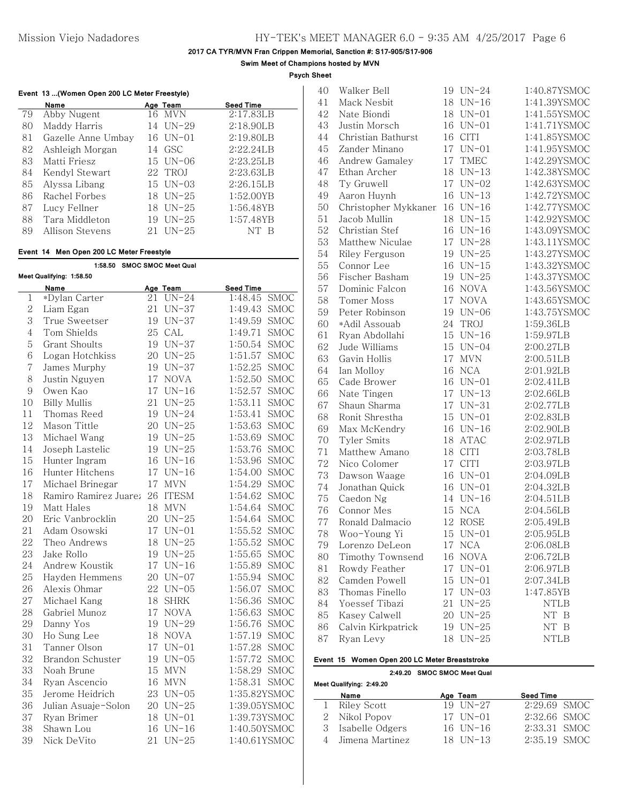**Swim Meet of Champions hosted by MVN**

**Psych Sheet**

|  | Event 13  (Women Open 200 LC Meter Freestyle) |
|--|-----------------------------------------------|
|  |                                               |

|    | Name               |     | Age Team   | <b>Seed Time</b> |
|----|--------------------|-----|------------|------------------|
| 79 | Abby Nugent        |     | 16 MVN     | 2:17.83LB        |
| 80 | Maddy Harris       |     | 14 UN-29   | 2:18.90LB        |
| 81 | Gazelle Anne Umbay | 16. | $UN-01$    | 2:19.80LB        |
| 82 | Ashleigh Morgan    |     | 14 GSC     | 2:22.24LR        |
| 83 | Matti Friesz       |     | $15$ UN-06 | 2:23.25LR        |
| 84 | Kendyl Stewart     |     | 22 TROJ    | 2:23.63LR        |
| 85 | Alyssa Libang      |     | $15$ UN-03 | 2:26.15LR        |
| 86 | Rachel Forbes      |     | 18 UN-25   | 1:52.00YB        |
| 87 | Lucy Fellner       |     | 18 UN-25   | 1:56.48YB        |
| 88 | Tara Middleton     | 19  | UN-25      | 1:57.48YB        |
| 89 | Allison Stevens    |     | UN-25      | - B              |

### **Event 14 Men Open 200 LC Meter Freestyle**

| Meet Qualifying: 1:58.50<br>Seed Time<br>Name<br>Age Team<br>$UN-24$<br>*Dylan Carter<br>1:48.45<br>SMOC<br>1<br>21<br>$\overline{2}$<br>21 UN-37<br>Liam Egan<br>1:49.43<br>SMOC<br>3<br>True Sweetser<br>19 UN-37<br>1:49.59<br><b>SMOC</b><br>Tom Shields<br>25<br>CAL<br><b>SMOC</b><br>4<br>1:49.71<br>5<br><b>Grant Shoults</b><br>$UN-37$<br>1:50.54<br><b>SMOC</b><br>19<br>20 UN-25<br>6<br>Logan Hotchkiss<br>1:51.57<br><b>SMOC</b><br>$\overline{7}$<br>1:52.25<br><b>SMOC</b><br>James Murphy<br>19 UN-37<br>8<br><b>NOVA</b><br>1:52.50<br>SMOC<br>Justin Nguyen<br>17<br>$\mathcal{G}% _{M_{1},M_{2}}^{\alpha,\beta}(\mathcal{G})$<br>Owen Kao<br>17 <sup>7</sup><br>$UN-16$<br>1:52.57<br><b>SMOC</b><br><b>Billy Mullis</b><br>21<br>10<br>$UN-25$<br>1:53.11<br>SMOC<br>Thomas Reed<br>1:53.41<br><b>SMOC</b><br>11<br>19 UN-24<br>12<br>Mason Tittle<br>20 UN-25<br>1:53.63<br><b>SMOC</b><br>13<br>Michael Wang<br>19 UN-25<br>1:53.69<br><b>SMOC</b><br>14<br>Joseph Lastelic<br>19 UN-25<br>1:53.76<br><b>SMOC</b><br>15<br>1:53.96<br>Hunter Ingram<br>16 UN-16<br><b>SMOC</b><br>16<br>17<br>Hunter Hitchens<br>$UN-16$<br>1:54.00<br><b>SMOC</b><br>Michael Brinegar<br>SMOC<br>17<br>17<br><b>MVN</b><br>1:54.29<br>26<br>18<br>Ramiro Ramirez Juarez<br><b>ITESM</b><br>1:54.62<br><b>SMOC</b><br>19<br>Matt Hales<br>18<br><b>MVN</b><br>1:54.64<br>SMOC<br>20<br>20 UN-25<br>Eric Vanbrocklin<br>1:54.64<br><b>SMOC</b><br>21<br>Adam Osowski<br>17 UN-01<br>1:55.52<br><b>SMOC</b><br>22<br>Theo Andrews<br>$UN-25$<br>1:55.52<br>SMOC<br>18<br>23<br>Jake Rollo<br><b>SMOC</b><br>19 UN-25<br>1:55.65<br>24<br>Andrew Koustik<br>17<br>$UN-16$<br>1:55.89<br>SMOC<br>25<br>20 UN-07<br>Hayden Hemmens<br>1:55.94<br><b>SMOC</b><br>26<br>22 UN-05<br>Alexis Ohmar<br>1:56.07<br><b>SMOC</b><br>27<br>Michael Kang<br>18<br><b>SHRK</b><br>1:56.36<br><b>SMOC</b><br>28<br>Gabriel Munoz<br><b>NOVA</b><br><b>SMOC</b><br>17<br>1:56.63<br>29<br>Danny Yos<br>1:56.76<br><b>SMOC</b><br>19<br>$UN-29$ |
|-------------------------------------------------------------------------------------------------------------------------------------------------------------------------------------------------------------------------------------------------------------------------------------------------------------------------------------------------------------------------------------------------------------------------------------------------------------------------------------------------------------------------------------------------------------------------------------------------------------------------------------------------------------------------------------------------------------------------------------------------------------------------------------------------------------------------------------------------------------------------------------------------------------------------------------------------------------------------------------------------------------------------------------------------------------------------------------------------------------------------------------------------------------------------------------------------------------------------------------------------------------------------------------------------------------------------------------------------------------------------------------------------------------------------------------------------------------------------------------------------------------------------------------------------------------------------------------------------------------------------------------------------------------------------------------------------------------------------------------------------------------------------------------------------------------------------------------------------------------------------------------------------------------------------------------------------------------------------------------------------------------------------------------|
|                                                                                                                                                                                                                                                                                                                                                                                                                                                                                                                                                                                                                                                                                                                                                                                                                                                                                                                                                                                                                                                                                                                                                                                                                                                                                                                                                                                                                                                                                                                                                                                                                                                                                                                                                                                                                                                                                                                                                                                                                                     |
|                                                                                                                                                                                                                                                                                                                                                                                                                                                                                                                                                                                                                                                                                                                                                                                                                                                                                                                                                                                                                                                                                                                                                                                                                                                                                                                                                                                                                                                                                                                                                                                                                                                                                                                                                                                                                                                                                                                                                                                                                                     |
|                                                                                                                                                                                                                                                                                                                                                                                                                                                                                                                                                                                                                                                                                                                                                                                                                                                                                                                                                                                                                                                                                                                                                                                                                                                                                                                                                                                                                                                                                                                                                                                                                                                                                                                                                                                                                                                                                                                                                                                                                                     |
|                                                                                                                                                                                                                                                                                                                                                                                                                                                                                                                                                                                                                                                                                                                                                                                                                                                                                                                                                                                                                                                                                                                                                                                                                                                                                                                                                                                                                                                                                                                                                                                                                                                                                                                                                                                                                                                                                                                                                                                                                                     |
|                                                                                                                                                                                                                                                                                                                                                                                                                                                                                                                                                                                                                                                                                                                                                                                                                                                                                                                                                                                                                                                                                                                                                                                                                                                                                                                                                                                                                                                                                                                                                                                                                                                                                                                                                                                                                                                                                                                                                                                                                                     |
|                                                                                                                                                                                                                                                                                                                                                                                                                                                                                                                                                                                                                                                                                                                                                                                                                                                                                                                                                                                                                                                                                                                                                                                                                                                                                                                                                                                                                                                                                                                                                                                                                                                                                                                                                                                                                                                                                                                                                                                                                                     |
|                                                                                                                                                                                                                                                                                                                                                                                                                                                                                                                                                                                                                                                                                                                                                                                                                                                                                                                                                                                                                                                                                                                                                                                                                                                                                                                                                                                                                                                                                                                                                                                                                                                                                                                                                                                                                                                                                                                                                                                                                                     |
|                                                                                                                                                                                                                                                                                                                                                                                                                                                                                                                                                                                                                                                                                                                                                                                                                                                                                                                                                                                                                                                                                                                                                                                                                                                                                                                                                                                                                                                                                                                                                                                                                                                                                                                                                                                                                                                                                                                                                                                                                                     |
|                                                                                                                                                                                                                                                                                                                                                                                                                                                                                                                                                                                                                                                                                                                                                                                                                                                                                                                                                                                                                                                                                                                                                                                                                                                                                                                                                                                                                                                                                                                                                                                                                                                                                                                                                                                                                                                                                                                                                                                                                                     |
|                                                                                                                                                                                                                                                                                                                                                                                                                                                                                                                                                                                                                                                                                                                                                                                                                                                                                                                                                                                                                                                                                                                                                                                                                                                                                                                                                                                                                                                                                                                                                                                                                                                                                                                                                                                                                                                                                                                                                                                                                                     |
|                                                                                                                                                                                                                                                                                                                                                                                                                                                                                                                                                                                                                                                                                                                                                                                                                                                                                                                                                                                                                                                                                                                                                                                                                                                                                                                                                                                                                                                                                                                                                                                                                                                                                                                                                                                                                                                                                                                                                                                                                                     |
|                                                                                                                                                                                                                                                                                                                                                                                                                                                                                                                                                                                                                                                                                                                                                                                                                                                                                                                                                                                                                                                                                                                                                                                                                                                                                                                                                                                                                                                                                                                                                                                                                                                                                                                                                                                                                                                                                                                                                                                                                                     |
|                                                                                                                                                                                                                                                                                                                                                                                                                                                                                                                                                                                                                                                                                                                                                                                                                                                                                                                                                                                                                                                                                                                                                                                                                                                                                                                                                                                                                                                                                                                                                                                                                                                                                                                                                                                                                                                                                                                                                                                                                                     |
|                                                                                                                                                                                                                                                                                                                                                                                                                                                                                                                                                                                                                                                                                                                                                                                                                                                                                                                                                                                                                                                                                                                                                                                                                                                                                                                                                                                                                                                                                                                                                                                                                                                                                                                                                                                                                                                                                                                                                                                                                                     |
|                                                                                                                                                                                                                                                                                                                                                                                                                                                                                                                                                                                                                                                                                                                                                                                                                                                                                                                                                                                                                                                                                                                                                                                                                                                                                                                                                                                                                                                                                                                                                                                                                                                                                                                                                                                                                                                                                                                                                                                                                                     |
|                                                                                                                                                                                                                                                                                                                                                                                                                                                                                                                                                                                                                                                                                                                                                                                                                                                                                                                                                                                                                                                                                                                                                                                                                                                                                                                                                                                                                                                                                                                                                                                                                                                                                                                                                                                                                                                                                                                                                                                                                                     |
|                                                                                                                                                                                                                                                                                                                                                                                                                                                                                                                                                                                                                                                                                                                                                                                                                                                                                                                                                                                                                                                                                                                                                                                                                                                                                                                                                                                                                                                                                                                                                                                                                                                                                                                                                                                                                                                                                                                                                                                                                                     |
|                                                                                                                                                                                                                                                                                                                                                                                                                                                                                                                                                                                                                                                                                                                                                                                                                                                                                                                                                                                                                                                                                                                                                                                                                                                                                                                                                                                                                                                                                                                                                                                                                                                                                                                                                                                                                                                                                                                                                                                                                                     |
|                                                                                                                                                                                                                                                                                                                                                                                                                                                                                                                                                                                                                                                                                                                                                                                                                                                                                                                                                                                                                                                                                                                                                                                                                                                                                                                                                                                                                                                                                                                                                                                                                                                                                                                                                                                                                                                                                                                                                                                                                                     |
|                                                                                                                                                                                                                                                                                                                                                                                                                                                                                                                                                                                                                                                                                                                                                                                                                                                                                                                                                                                                                                                                                                                                                                                                                                                                                                                                                                                                                                                                                                                                                                                                                                                                                                                                                                                                                                                                                                                                                                                                                                     |
|                                                                                                                                                                                                                                                                                                                                                                                                                                                                                                                                                                                                                                                                                                                                                                                                                                                                                                                                                                                                                                                                                                                                                                                                                                                                                                                                                                                                                                                                                                                                                                                                                                                                                                                                                                                                                                                                                                                                                                                                                                     |
|                                                                                                                                                                                                                                                                                                                                                                                                                                                                                                                                                                                                                                                                                                                                                                                                                                                                                                                                                                                                                                                                                                                                                                                                                                                                                                                                                                                                                                                                                                                                                                                                                                                                                                                                                                                                                                                                                                                                                                                                                                     |
|                                                                                                                                                                                                                                                                                                                                                                                                                                                                                                                                                                                                                                                                                                                                                                                                                                                                                                                                                                                                                                                                                                                                                                                                                                                                                                                                                                                                                                                                                                                                                                                                                                                                                                                                                                                                                                                                                                                                                                                                                                     |
|                                                                                                                                                                                                                                                                                                                                                                                                                                                                                                                                                                                                                                                                                                                                                                                                                                                                                                                                                                                                                                                                                                                                                                                                                                                                                                                                                                                                                                                                                                                                                                                                                                                                                                                                                                                                                                                                                                                                                                                                                                     |
|                                                                                                                                                                                                                                                                                                                                                                                                                                                                                                                                                                                                                                                                                                                                                                                                                                                                                                                                                                                                                                                                                                                                                                                                                                                                                                                                                                                                                                                                                                                                                                                                                                                                                                                                                                                                                                                                                                                                                                                                                                     |
|                                                                                                                                                                                                                                                                                                                                                                                                                                                                                                                                                                                                                                                                                                                                                                                                                                                                                                                                                                                                                                                                                                                                                                                                                                                                                                                                                                                                                                                                                                                                                                                                                                                                                                                                                                                                                                                                                                                                                                                                                                     |
|                                                                                                                                                                                                                                                                                                                                                                                                                                                                                                                                                                                                                                                                                                                                                                                                                                                                                                                                                                                                                                                                                                                                                                                                                                                                                                                                                                                                                                                                                                                                                                                                                                                                                                                                                                                                                                                                                                                                                                                                                                     |
|                                                                                                                                                                                                                                                                                                                                                                                                                                                                                                                                                                                                                                                                                                                                                                                                                                                                                                                                                                                                                                                                                                                                                                                                                                                                                                                                                                                                                                                                                                                                                                                                                                                                                                                                                                                                                                                                                                                                                                                                                                     |
|                                                                                                                                                                                                                                                                                                                                                                                                                                                                                                                                                                                                                                                                                                                                                                                                                                                                                                                                                                                                                                                                                                                                                                                                                                                                                                                                                                                                                                                                                                                                                                                                                                                                                                                                                                                                                                                                                                                                                                                                                                     |
|                                                                                                                                                                                                                                                                                                                                                                                                                                                                                                                                                                                                                                                                                                                                                                                                                                                                                                                                                                                                                                                                                                                                                                                                                                                                                                                                                                                                                                                                                                                                                                                                                                                                                                                                                                                                                                                                                                                                                                                                                                     |
|                                                                                                                                                                                                                                                                                                                                                                                                                                                                                                                                                                                                                                                                                                                                                                                                                                                                                                                                                                                                                                                                                                                                                                                                                                                                                                                                                                                                                                                                                                                                                                                                                                                                                                                                                                                                                                                                                                                                                                                                                                     |
| 30<br>Ho Sung Lee<br>18<br><b>NOVA</b><br>1:57.19<br><b>SMOC</b>                                                                                                                                                                                                                                                                                                                                                                                                                                                                                                                                                                                                                                                                                                                                                                                                                                                                                                                                                                                                                                                                                                                                                                                                                                                                                                                                                                                                                                                                                                                                                                                                                                                                                                                                                                                                                                                                                                                                                                    |
| 31<br>Tanner Olson<br>17<br>$UN-01$<br>1:57.28<br><b>SMOC</b>                                                                                                                                                                                                                                                                                                                                                                                                                                                                                                                                                                                                                                                                                                                                                                                                                                                                                                                                                                                                                                                                                                                                                                                                                                                                                                                                                                                                                                                                                                                                                                                                                                                                                                                                                                                                                                                                                                                                                                       |
| 32<br>Brandon Schuster<br>1:57.72<br><b>SMOC</b><br>19<br>$UN-05$                                                                                                                                                                                                                                                                                                                                                                                                                                                                                                                                                                                                                                                                                                                                                                                                                                                                                                                                                                                                                                                                                                                                                                                                                                                                                                                                                                                                                                                                                                                                                                                                                                                                                                                                                                                                                                                                                                                                                                   |
| 33<br>1:58.29<br><b>SMOC</b><br>Noah Brune<br>15<br><b>MVN</b>                                                                                                                                                                                                                                                                                                                                                                                                                                                                                                                                                                                                                                                                                                                                                                                                                                                                                                                                                                                                                                                                                                                                                                                                                                                                                                                                                                                                                                                                                                                                                                                                                                                                                                                                                                                                                                                                                                                                                                      |
| 34<br>Ryan Ascencio<br>16<br><b>MVN</b><br>1:58.31<br>SMOC                                                                                                                                                                                                                                                                                                                                                                                                                                                                                                                                                                                                                                                                                                                                                                                                                                                                                                                                                                                                                                                                                                                                                                                                                                                                                                                                                                                                                                                                                                                                                                                                                                                                                                                                                                                                                                                                                                                                                                          |
| 23<br>35<br>1:35.82YSMOC<br>Jerome Heidrich<br>$UN-05$                                                                                                                                                                                                                                                                                                                                                                                                                                                                                                                                                                                                                                                                                                                                                                                                                                                                                                                                                                                                                                                                                                                                                                                                                                                                                                                                                                                                                                                                                                                                                                                                                                                                                                                                                                                                                                                                                                                                                                              |
| 36<br>Julian Asuaje-Solon<br>20 UN-25<br>1:39.05YSMOC                                                                                                                                                                                                                                                                                                                                                                                                                                                                                                                                                                                                                                                                                                                                                                                                                                                                                                                                                                                                                                                                                                                                                                                                                                                                                                                                                                                                                                                                                                                                                                                                                                                                                                                                                                                                                                                                                                                                                                               |
| 37<br>1:39.73YSMOC<br>Ryan Brimer<br>18<br>$UN-01$                                                                                                                                                                                                                                                                                                                                                                                                                                                                                                                                                                                                                                                                                                                                                                                                                                                                                                                                                                                                                                                                                                                                                                                                                                                                                                                                                                                                                                                                                                                                                                                                                                                                                                                                                                                                                                                                                                                                                                                  |
| 38<br>1:40.50YSMOC<br>Shawn Lou<br>16<br>$UN-16$                                                                                                                                                                                                                                                                                                                                                                                                                                                                                                                                                                                                                                                                                                                                                                                                                                                                                                                                                                                                                                                                                                                                                                                                                                                                                                                                                                                                                                                                                                                                                                                                                                                                                                                                                                                                                                                                                                                                                                                    |
| 39<br>21<br>$UN-25$<br>1:40.61YSMOC<br>Nick DeVito                                                                                                                                                                                                                                                                                                                                                                                                                                                                                                                                                                                                                                                                                                                                                                                                                                                                                                                                                                                                                                                                                                                                                                                                                                                                                                                                                                                                                                                                                                                                                                                                                                                                                                                                                                                                                                                                                                                                                                                  |

| 40     | Walker Bell          |    | 19 UN-24    | 1:40.87YSMOC |
|--------|----------------------|----|-------------|--------------|
| 41     | Mack Nesbit          |    | 18 UN-16    | 1:41.39YSMOC |
| 42     | Nate Biondi          | 18 | $UN-01$     | 1:41.55YSMOC |
| 43     | Justin Morsch        |    | 16 UN-01    | 1:41.71YSMOC |
| 44     | Christian Bathurst   | 16 | <b>CITI</b> | 1:41.85YSMOC |
| 45     | Zander Minano        | 17 | $UN-01$     | 1:41.95YSMOC |
| 46     | Andrew Gamaley       | 17 | TMEC        | 1:42.29YSMOC |
| 47     | Ethan Archer         | 18 | $UN-13$     | 1:42.38YSMOC |
| 48     | Ty Gruwell           |    | 17 UN-02    | 1:42.63YSMOC |
| 49     | Aaron Huynh          |    | 16 UN-13    | 1:42.72YSMOC |
| 50     | Christopher Mykkanen |    | 16 UN-16    | 1:42.77YSMOC |
| 51     | Jacob Mullin         |    | 18 UN-15    | 1:42.92YSMOC |
| 52     | Christian Stef       |    | 16 UN-16    | 1:43.09YSMOC |
| 53     | Matthew Niculae      | 17 | $UN-28$     | 1:43.11YSMOC |
| 54     | Riley Ferguson       | 19 | $UN-25$     | 1:43.27YSMOC |
| 55     | Connor Lee           |    | 16 UN-15    | 1:43.32YSMOC |
| 56     | Fischer Basham       |    | 19 UN-25    | 1:43.37YSMOC |
| 57     | Dominic Falcon       | 16 | <b>NOVA</b> | 1:43.56YSMOC |
| 58     | Tomer Moss           | 17 | <b>NOVA</b> | 1:43.65YSMOC |
| 59     | Peter Robinson       |    | 19 UN-06    | 1:43.75YSMOC |
| 60     | *Adil Assouab        | 24 | TROJ        | 1:59.36LB    |
| 61     | Ryan Abdollahi       | 15 | $UN-16$     | 1:59.97LB    |
| 62     | Jude Williams        |    | 15 UN-04    | 2:00.27LB    |
| 63     | Gavin Hollis         | 17 | <b>MVN</b>  | 2:00.51LB    |
| 64     | Ian Molloy           |    | 16 NCA      | 2:01.92LB    |
| 65     | Cade Brower          | 16 | $UN-01$     | 2:02.41LB    |
| 66     | Nate Tingen          | 17 | $UN-13$     | 2:02.66LB    |
| 67     | Shaun Sharma         |    | 17 UN-31    | 2:02.77LB    |
| 68     | Ronit Shrestha       |    | 15 UN-01    | 2:02.83LB    |
| 69     | Max McKendry         | 16 | $UN-16$     | 2:02.90LB    |
| 70     | Tyler Smits          | 18 | ATAC        | 2:02.97LB    |
| 71     | Matthew Amano        | 18 | <b>CITI</b> | 2:03.78LB    |
| $72\,$ | Nico Colomer         | 17 | <b>CITI</b> | 2:03.97LB    |
| 73     | Dawson Waage         |    | 16 UN-01    | 2:04.09LB    |
| 74     | Jonathan Quick       |    | 16 UN-01    | 2:04.32LB    |
| 75     | Caedon Ng            |    | 14 UN-16    | 2:04.51LB    |
| 76     | Connor Mes           |    | 15 NCA      | 2:04.56LB    |
| 77     | Ronald Dalmacio      | 12 | <b>ROSE</b> | 2:05.49LB    |
| 78     | Woo-Young Yi         |    | 15 UN-01    | 2:05.95LB    |
| 79     | Lorenzo DeLeon       | 17 | <b>NCA</b>  | 2:06.08LB    |
| 80     | Timothy Townsend     | 16 | <b>NOVA</b> | 2:06.72LB    |
| 81     | Rowdy Feather        | 17 | $UN-01$     | 2:06.97LB    |
| 82     | Camden Powell        | 15 | $UN-01$     | 2:07.34LB    |
| 83     | Thomas Finello       | 17 | $UN-03$     | 1:47.85YB    |
| 84     | Yoessef Tibazi       | 21 | $UN-25$     | <b>NTLB</b>  |
| 85     | Kasey Calwell        |    | 20 UN-25    | NT B         |
| 86     | Calvin Kirkpatrick   | 19 | $UN-25$     | NT B         |
| 87     | Ryan Levy            |    | 18 UN-25    | <b>NTLB</b>  |
|        |                      |    |             |              |

## **Event 15 Women Open 200 LC Meter Breaststroke**

| 2:49.20 SMOC SMOC Meet Qual |  |               |                  |  |  |  |  |
|-----------------------------|--|---------------|------------------|--|--|--|--|
| Meet Qualifying: 2:49.20    |  |               |                  |  |  |  |  |
| Name                        |  | Age Team      | <b>Seed Time</b> |  |  |  |  |
| 1 Riley Scott               |  | $19$ UN $-27$ | 2:29.69 SMOC     |  |  |  |  |
| 2 Nikol Popov               |  | 17 UN-01      | 2:32.66 SMOC     |  |  |  |  |
| 3 Isabelle Odgers           |  | $16$ UN-16    | 2:33.31 SMOC     |  |  |  |  |
| 4 Jimena Martinez           |  | $18$ $1N-13$  | 2:35.19 SMOC     |  |  |  |  |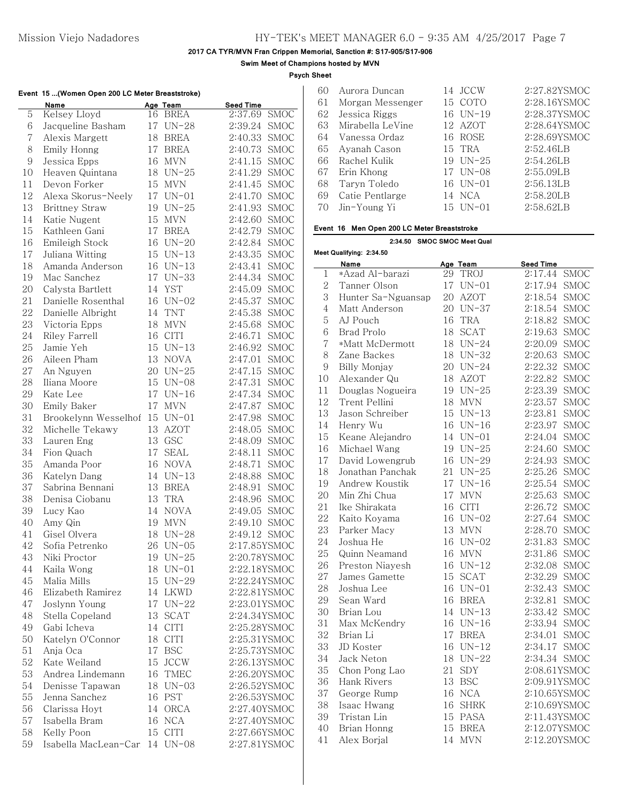**Swim Meet of Champions hosted by MVN**

**Psych Sheet**

| Event 15 (Women Open 200 LC Meter Breaststroke) |  |  |
|-------------------------------------------------|--|--|

|          | Event 15  (Women Open 200 LC Meter Breaststroke) |    |                   |                                                  |  |  |  |  |
|----------|--------------------------------------------------|----|-------------------|--------------------------------------------------|--|--|--|--|
|          | Name                                             |    | Age Team          | Seed Time                                        |  |  |  |  |
| 5.       | Kelsey Lloyd                                     |    | 16 BREA           | 2:37.69<br>SMOC                                  |  |  |  |  |
| 6        | Jacqueline Basham                                |    | 17 UN-28          | 2:39.24<br>SMOC                                  |  |  |  |  |
| 7        | Alexis Margett                                   |    | 18 BREA           | 2:40.33<br><b>SMOC</b>                           |  |  |  |  |
| 8        | Emily Honng                                      |    | 17 BREA           | 2:40.73<br><b>SMOC</b>                           |  |  |  |  |
| 9        | Jessica Epps                                     |    | 16 MVN            | 2:41.15<br>SMOC                                  |  |  |  |  |
| 10       | Heaven Quintana                                  |    | 18 UN-25          | 2:41.29<br><b>SMOC</b>                           |  |  |  |  |
| 11       | Devon Forker                                     |    | 15 MVN            | 2:41.45<br>SMOC                                  |  |  |  |  |
| 12       | Alexa Skorus-Neely                               |    | 17 UN-01          | 2:41.70<br>SMOC                                  |  |  |  |  |
| 13       | <b>Brittney Straw</b>                            |    | 19 UN-25          | 2:41.93<br>SMOC                                  |  |  |  |  |
| 14       | Katie Nugent                                     |    | 15 MVN            | 2:42.60<br>SMOC                                  |  |  |  |  |
| 15       | Kathleen Gani                                    | 17 | <b>BREA</b>       | 2:42.79<br>SMOC                                  |  |  |  |  |
| 16       | Emileigh Stock                                   |    | 16 UN-20          | 2:42.84<br>SMOC                                  |  |  |  |  |
| 17       | Juliana Witting                                  |    | 15 UN-13          | 2:43.35<br>SMOC                                  |  |  |  |  |
| 18       | Amanda Anderson                                  |    | 16 UN-13          | 2:43.41<br><b>SMOC</b>                           |  |  |  |  |
| 19       | Mac Sanchez                                      |    | 17 UN-33          | 2:44.34<br>SMOC                                  |  |  |  |  |
| 20       | Calysta Bartlett                                 |    | 14 YST            | 2:45.09<br><b>SMOC</b>                           |  |  |  |  |
| 21       | Danielle Rosenthal                               |    | 16 UN-02          | 2:45.37<br><b>SMOC</b>                           |  |  |  |  |
| 22       | Danielle Albright                                |    | 14 TNT            | 2:45.38<br><b>SMOC</b>                           |  |  |  |  |
|          |                                                  |    |                   |                                                  |  |  |  |  |
| 23<br>24 | Victoria Epps<br>Riley Farrell                   |    | 18 MVN<br>16 CITI | 2:45.68<br><b>SMOC</b><br>2:46.71<br><b>SMOC</b> |  |  |  |  |
|          |                                                  |    |                   |                                                  |  |  |  |  |
| 25       | Jamie Yeh                                        |    | 15 UN-13          | SMOC<br>2:46.92                                  |  |  |  |  |
| 26       | Aileen Pham                                      |    | 13 NOVA           | SMOC<br>2:47.01                                  |  |  |  |  |
| 27       | An Nguyen                                        |    | 20 UN-25          | 2:47.15<br><b>SMOC</b>                           |  |  |  |  |
| 28       | Iliana Moore                                     |    | 15 UN-08          | 2:47.31<br><b>SMOC</b>                           |  |  |  |  |
| 29       | Kate Lee                                         | 17 | $UN-16$           | 2:47.34<br>SMOC                                  |  |  |  |  |
| 30       | Emily Baker                                      |    | 17 MVN            | 2:47.87<br><b>SMOC</b>                           |  |  |  |  |
| 31       | Brookelynn Wesselhof 15 UN-01                    |    |                   | 2:47.98<br>SMOC                                  |  |  |  |  |
| 32       | Michelle Tekawy                                  |    | 13 AZOT           | 2:48.05<br><b>SMOC</b>                           |  |  |  |  |
| 33       | Lauren Eng                                       |    | 13 GSC            | 2:48.09<br>SMOC                                  |  |  |  |  |
| 34       | Fion Quach                                       | 17 | <b>SEAL</b>       | 2:48.11<br><b>SMOC</b>                           |  |  |  |  |
| 35       | Amanda Poor                                      |    | 16 NOVA           | 2:48.71<br><b>SMOC</b>                           |  |  |  |  |
| 36       | Katelyn Dang                                     |    | 14 UN-13          | 2:48.88<br>SMOC                                  |  |  |  |  |
| 37       | Sabrina Bennani                                  |    | 13 BREA           | SMOC<br>2:48.91                                  |  |  |  |  |
| 38       | Denisa Ciobanu                                   |    | 13 TRA            | 2:48.96<br>SMOC                                  |  |  |  |  |
| 39       | Lucy Kao                                         | 14 | <b>NOVA</b>       | 2:49.05<br><b>SMOC</b>                           |  |  |  |  |
| 40       | Amy Qin                                          | 19 | <b>MVN</b>        | <b>SMOC</b><br>2:49.10                           |  |  |  |  |
| 41       | Gisel Olvera                                     | 18 | $UN-28$           | 2:49.12<br>SMOC                                  |  |  |  |  |
| 42       | Sofia Petrenko                                   |    | 26 UN-05          | 2:17.85YSMOC                                     |  |  |  |  |
| 43       | Niki Proctor                                     |    | 19 UN-25          | 2:20.78YSMOC                                     |  |  |  |  |
| 44       | Kaila Wong                                       |    | 18 UN-01          | 2:22.18YSMOC                                     |  |  |  |  |
| 45       | Malia Mills                                      |    | 15 UN-29          | 2:22.24YSMOC                                     |  |  |  |  |
| 46       | Elizabeth Ramirez                                |    | 14 LKWD           | 2:22.81YSMOC                                     |  |  |  |  |
| 47       | Joslynn Young                                    |    | 17 UN-22          | 2:23.01YSMOC                                     |  |  |  |  |
| 48       | Stella Copeland                                  | 13 | <b>SCAT</b>       | 2:24.34YSMOC                                     |  |  |  |  |
| 49       | Gabi Icheva                                      | 14 | <b>CITI</b>       | 2:25.28YSMOC                                     |  |  |  |  |
| 50       | Katelyn O'Connor                                 | 18 | <b>CITI</b>       | 2:25.31YSMOC                                     |  |  |  |  |
| 51       | Anja Oca                                         | 17 | <b>BSC</b>        | 2:25.73YSMOC                                     |  |  |  |  |
| 52       | Kate Weiland                                     | 15 | JCCW              | 2:26.13YSMOC                                     |  |  |  |  |
| 53       | Andrea Lindemann                                 |    | 16 TMEC           | 2:26.20YSMOC                                     |  |  |  |  |
| 54       | Denisse Tapawan                                  |    | 18 UN-03          | 2:26.52YSMOC                                     |  |  |  |  |
| 55       | Jenna Sanchez                                    | 16 | PST               | 2:26.53YSMOC                                     |  |  |  |  |
| 56       | Clarissa Hoyt                                    |    | 14 ORCA           | 2:27.40YSMOC                                     |  |  |  |  |
| 57       | Isabella Bram                                    |    | 16 NCA            | 2:27.40YSMOC                                     |  |  |  |  |
| 58       | Kelly Poon                                       |    | 15 CITI           | 2:27.66YSMOC                                     |  |  |  |  |
| 59       | Isabella MacLean-Car                             | 14 | $UN-08$           | 2:27.81YSMOC                                     |  |  |  |  |
|          |                                                  |    |                   |                                                  |  |  |  |  |

| 60 | Aurora Duncan    | 14 JCCW    | 2:27.82YSMOC |
|----|------------------|------------|--------------|
| 61 | Morgan Messenger | 15 COTO    | 2:28.16YSMOC |
| 62 | Jessica Riggs    | 16 UN-19   | 2:28.37YSMOC |
| 63 | Mirabella LeVine | 12 AZOT    | 2:28.64YSMOC |
| 64 | Vanessa Ordaz    | 16 ROSE    | 2:28.69YSMOC |
| 65 | Ayanah Cason     | 15 TRA     | 2:52.46LB    |
| 66 | Rachel Kulik     | 19 UN-25   | 2:54.26LR    |
| 67 | Erin Khong       | 17 UN-08   | 2:55.09LB    |
| 68 | Taryn Toledo     | $16$ UN-01 | 2:56.13LB    |
| 69 | Catie Pentlarge  | 14 NCA     | 2:58.20LB    |
| 70 | Jin-Young Yi     | 15 UN-01   | 2:58.62LB    |

## **Event 16 Men Open 200 LC Meter Breaststroke**

| 2:34.50 SMOC SMOC Meet Qual |                                  |    |             |              |             |
|-----------------------------|----------------------------------|----|-------------|--------------|-------------|
|                             | Meet Qualifying: 2:34.50<br>Name |    | Age Team    | Seed Time    |             |
| $\mathbf{1}$                | *Azad Al-barazi                  | 29 | TROJ        | 2:17.44      | SMOC        |
| $\mathbf 2$                 | Tanner Olson                     | 17 | $UN-01$     | 2:17.94      | <b>SMOC</b> |
| 3                           | Hunter Sa-Nguansap               | 20 | <b>AZOT</b> | 2:18.54      | <b>SMOC</b> |
| $\overline{4}$              | Matt Anderson                    | 20 | $UN-37$     | 2:18.54      | <b>SMOC</b> |
| 5                           | AJ Pouch                         | 16 | <b>TRA</b>  | 2:18.82      | <b>SMOC</b> |
| 6                           | Brad Prolo                       | 18 | <b>SCAT</b> | 2:19.63      | <b>SMOC</b> |
| 7                           | *Matt McDermott                  | 18 | $UN-24$     | 2:20.09      | <b>SMOC</b> |
| 8                           | Zane Backes                      | 18 | $UN-32$     | 2:20.63      | <b>SMOC</b> |
| 9                           | Billy Monjay                     | 20 | $UN-24$     | 2:22.32      | <b>SMOC</b> |
| 10                          | Alexander Qu                     | 18 | <b>AZOT</b> | 2:22.82      | <b>SMOC</b> |
| 11                          | Douglas Nogueira                 | 19 | $UN-25$     | 2:23.39      | <b>SMOC</b> |
| 12                          | Trent Pellini                    | 18 | <b>MVN</b>  | 2:23.57      | <b>SMOC</b> |
| 13                          | Jason Schreiber                  | 15 | $UN-13$     | 2:23.81      | <b>SMOC</b> |
| 14                          | Henry Wu                         | 16 | $UN-16$     | 2:23.97      | <b>SMOC</b> |
| 15                          | Keane Alejandro                  | 14 | $UN-01$     | 2:24.04      | SMOC        |
| 16                          | Michael Wang                     | 19 | $UN-25$     | 2:24.60      | <b>SMOC</b> |
| 17                          | David Lowengrub                  | 16 | $UN-29$     | 2:24.93      | <b>SMOC</b> |
| 18                          | Jonathan Panchak                 | 21 | $UN-25$     | 2:25.26      | <b>SMOC</b> |
| 19                          | Andrew Koustik                   | 17 | $UN-16$     | 2:25.54      | <b>SMOC</b> |
| 20                          | Min Zhi Chua                     | 17 | <b>MVN</b>  | 2:25.63      | <b>SMOC</b> |
| 21                          | Ike Shirakata                    | 16 | <b>CITI</b> | 2:26.72      | SMOC        |
| 22                          | Kaito Koyama                     | 16 | $UN-02$     | 2:27.64      | <b>SMOC</b> |
| 23                          | Parker Macy                      | 13 | <b>MVN</b>  | 2:28.70      | <b>SMOC</b> |
| 24                          | Joshua He                        | 16 | $UN-02$     | 2:31.83      | <b>SMOC</b> |
| 25                          | Quinn Neamand                    | 16 | <b>MVN</b>  | 2:31.86      | <b>SMOC</b> |
| 26                          | Preston Niayesh                  | 16 | $UN-12$     | 2:32.08      | <b>SMOC</b> |
| 27                          | James Gamette                    | 15 | <b>SCAT</b> | 2:32.29      | <b>SMOC</b> |
| 28                          | Joshua Lee                       | 16 | $UN-01$     | 2:32.43      | <b>SMOC</b> |
| 29                          | Sean Ward                        | 16 | <b>BREA</b> | 2:32.81      | <b>SMOC</b> |
| 30                          | Brian Lou                        | 14 | $UN-13$     | 2:33.42      | <b>SMOC</b> |
| 31                          | Max McKendry                     | 16 | $UN-16$     | 2:33.94      | <b>SMOC</b> |
| 32                          | Brian Li                         | 17 | <b>BREA</b> | 2:34.01      | <b>SMOC</b> |
| 33                          | JD Koster                        | 16 | $UN-12$     | 2:34.17      | SMOC        |
| 34                          | Jack Neton                       | 18 | $UN-22$     | 2:34.34      | <b>SMOC</b> |
| 35                          | Chon Pong Lao                    | 21 | <b>SDY</b>  | 2:08.61YSMOC |             |
| 36                          | Hank Rivers                      | 13 | <b>BSC</b>  | 2:09.91YSMOC |             |
| 37                          | George Rump                      | 16 | <b>NCA</b>  | 2:10.65YSMOC |             |
| 38                          | Isaac Hwang                      | 16 | <b>SHRK</b> | 2:10.69YSMOC |             |
| 39                          | Tristan Lin                      | 15 | <b>PASA</b> | 2:11.43YSMOC |             |
| 40                          | Brian Honng                      | 15 | <b>BREA</b> | 2:12.07YSMOC |             |
| 41                          | Alex Borjal                      | 14 | <b>MVN</b>  | 2:12.20YSMOC |             |
|                             |                                  |    |             |              |             |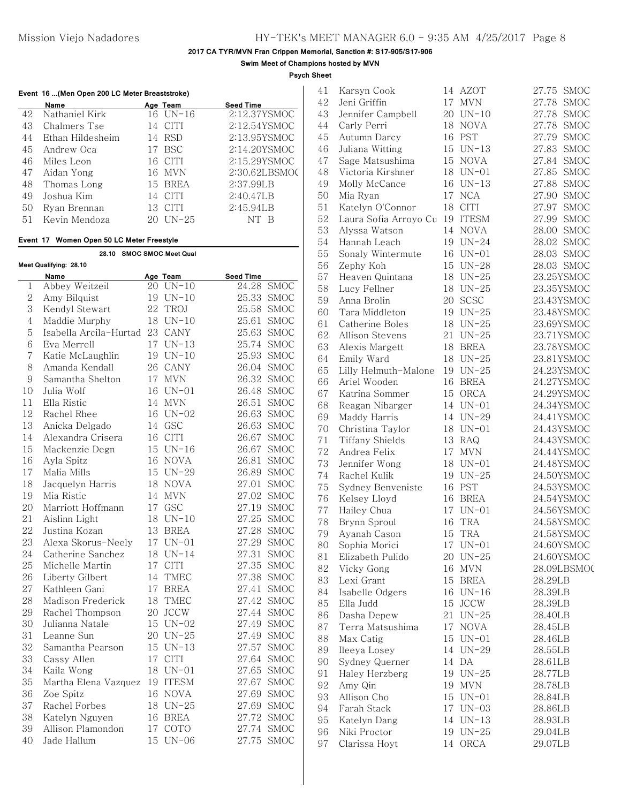**Swim Meet of Champions hosted by MVN**

**Psych Sheet**

|                                     | Event 16  (Men Open 200 LC Meter Breaststroke) |    |               |                  |  |
|-------------------------------------|------------------------------------------------|----|---------------|------------------|--|
|                                     | Name                                           |    | Age Team      | <b>Seed Time</b> |  |
| 42                                  | Nathaniel Kirk                                 | 16 | UN-16         | 2:12.37YSMOC     |  |
| 43                                  | Chalmers Tse                                   | 14 | <b>CITI</b>   | 2:12.54YSMOC     |  |
| 44                                  | Ethan Hildesheim                               |    | 14 RSD        | 2:13.95YSMOC     |  |
| 45                                  | Andrew Oca                                     |    | 17 BSC        | 2:14.20YSMOC     |  |
| 46                                  | Miles Leon                                     |    | 16 CITI       | 2:15.29YSMOC     |  |
| 47                                  | Aidan Yong                                     |    | 16 MVN        | 2:30.62LBSMOC    |  |
| 48                                  | Thomas Long                                    |    | 15 BREA       | 2:37.99LB        |  |
| 49                                  | Joshua Kim                                     |    | 14 CITI       | 2:40.47LR        |  |
| 50                                  | Ryan Brennan                                   |    | 13 CITI       | 2:45.94LR        |  |
| 51                                  | Kevin Mendoza                                  |    | $20$ UN- $25$ | NT B             |  |
|                                     | Event 17 Women Open 50 LC Meter Freestyle      |    |               |                  |  |
| <b>SMOC SMOC Meet Qual</b><br>28.10 |                                                |    |               |                  |  |

|                | Meet Qualifying: 28.10 |    |              |                      |
|----------------|------------------------|----|--------------|----------------------|
|                | Name                   |    | Age Team     | Seed Time            |
| 1              | Abbey Weitzeil         |    | 20 UN-10     | 24.28<br><b>SMOC</b> |
| $\sqrt{2}$     | Amy Bilquist           |    | 19 UN-10     | 25.33 SMOC           |
| 3              | Kendyl Stewart         |    | 22 TROJ      | 25.58 SMOC           |
| $\overline{4}$ | Maddie Murphy          | 18 | $UN-10$      | 25.61<br><b>SMOC</b> |
| 5              | Isabella Arcila-Hurtad | 23 | CANY         | 25.63 SMOC           |
| 6              | Eva Merrell            | 17 | $UN-13$      | 25.74 SMOC           |
| 7              | Katie McLaughlin       |    | 19 UN-10     | 25.93 SMOC           |
| 8              | Amanda Kendall         | 26 | CANY         | 26.04<br><b>SMOC</b> |
| 9              | Samantha Shelton       | 17 | <b>MVN</b>   | 26.32 SMOC           |
| 10             | Julia Wolf             | 16 | $UN-01$      | 26.48 SMOC           |
| 11             | Ella Ristic            | 14 | <b>MVN</b>   | 26.51<br><b>SMOC</b> |
| 12             | Rachel Rhee            | 16 | $UN-02$      | 26.63 SMOC           |
| 13             | Anicka Delgado         | 14 | GSC          | <b>SMOC</b><br>26.63 |
| 14             | Alexandra Crisera      | 16 | CITI         | 26.67<br><b>SMOC</b> |
| 15             | Mackenzie Degn         | 15 | $UN-16$      | 26.67<br><b>SMOC</b> |
| 16             | Ayla Spitz             |    | 16 NOVA      | 26.81<br><b>SMOC</b> |
| 17             | Malia Mills            | 15 | $UN-29$      | 26.89 SMOC           |
| 18             | Jacquelyn Harris       | 18 | <b>NOVA</b>  | 27.01<br><b>SMOC</b> |
| 19             | Mia Ristic             | 14 | <b>MVN</b>   | 27.02 SMOC           |
| 20             | Marriott Hoffmann      | 17 | GSC          | 27.19 SMOC           |
| 21             | Aislinn Light          | 18 | $UN-10$      | 27.25 SMOC           |
| 22             | Justina Kozan          | 13 | <b>BREA</b>  | 27.28 SMOC           |
| 23             | Alexa Skorus-Neely     | 17 | $UN-01$      | 27.29<br><b>SMOC</b> |
| 24             | Catherine Sanchez      | 18 | $UN-14$      | 27.31<br><b>SMOC</b> |
| 25             | Michelle Martin        | 17 | <b>CITI</b>  | 27.35 SMOC           |
| 26             | Liberty Gilbert        | 14 | TMEC         | 27.38 SMOC           |
| 27             | Kathleen Gani          | 17 | <b>BREA</b>  | 27.41<br><b>SMOC</b> |
| 28             | Madison Frederick      | 18 | TMEC         | 27.42 SMOC           |
| 29             | Rachel Thompson        | 20 | <b>JCCW</b>  | 27.44<br><b>SMOC</b> |
| 30             | Julianna Natale        |    | 15 UN-02     | 27.49 SMOC           |
| 31             | Leanne Sun             |    | 20 UN-25     | 27.49 SMOC           |
| 32             | Samantha Pearson       | 15 | $UN-13$      | 27.57<br><b>SMOC</b> |
| 33             | Cassy Allen            | 17 | <b>CITI</b>  | 27.64 SMOC           |
| 34             | Kaila Wong             | 18 | $UN-01$      | 27.65<br><b>SMOC</b> |
| 35             | Martha Elena Vazquez   | 19 | <b>ITESM</b> | 27.67<br><b>SMOC</b> |
| 36             | Zoe Spitz              |    | 16 NOVA      | 27.69 SMOC           |
| 37             | Rachel Forbes          | 18 | $UN-25$      | 27.69 SMOC           |
| 38             | Katelyn Nguyen         | 16 | <b>BREA</b>  | 27.72<br><b>SMOC</b> |
| 39             | Allison Plamondon      | 17 | COTO         | 27.74<br><b>SMOC</b> |
| 40             | Jade Hallum            | 15 | $UN-06$      | 27.75<br><b>SMOC</b> |

| 41 | Karsyn Cook           |    | 14 AZOT     | 27.75<br><b>SMOC</b> |
|----|-----------------------|----|-------------|----------------------|
| 42 | Jeni Griffin          | 17 | <b>MVN</b>  | 27.78<br><b>SMOC</b> |
| 43 | Jennifer Campbell     |    | 20 UN-10    | 27.78<br><b>SMOC</b> |
| 44 | Carly Perri           |    | 18 NOVA     | 27.78<br><b>SMOC</b> |
| 45 | Autumn Darcy          |    | 16 PST      | 27.79<br><b>SMOC</b> |
| 46 | Juliana Witting       |    | 15 UN-13    | 27.83<br>SMOC        |
| 47 | Sage Matsushima       |    | 15 NOVA     | 27.84<br>SMOC        |
| 48 | Victoria Kirshner     |    | 18 UN-01    | 27.85<br><b>SMOC</b> |
| 49 | Molly McCance         |    | 16 UN-13    | 27.88<br>SMOC        |
| 50 | Mia Ryan              | 17 | <b>NCA</b>  | 27.90<br>SMOC        |
| 51 | Katelyn O'Connor      |    | 18 CITI     | 27.97<br><b>SMOC</b> |
| 52 | Laura Sofia Arroyo Cu |    | 19 ITESM    | 27.99<br>SMOC        |
| 53 | Alyssa Watson         |    | 14 NOVA     | 28.00<br>SMOC        |
| 54 | Hannah Leach          |    | 19 UN-24    | <b>SMOC</b><br>28.02 |
| 55 | Sonaly Wintermute     |    | 16 UN-01    | 28.03<br>SMOC        |
| 56 | Zephy Koh             |    | 15 UN-28    | 28.03 SMOC           |
| 57 | Heaven Quintana       |    | 18 UN-25    | 23.25YSMOC           |
| 58 | Lucy Fellner          |    | 18 UN-25    | 23.35YSMOC           |
| 59 | Anna Brolin           |    | 20 SCSC     | 23.43YSMOC           |
| 60 | Tara Middleton        |    | 19 UN-25    | 23.48YSMOC           |
| 61 | Catherine Boles       |    | 18 UN-25    | 23.69YSMOC           |
| 62 | Allison Stevens       | 21 | $UN-25$     | 23.71YSMOC           |
| 63 | Alexis Margett        |    | 18 BREA     | 23.78YSMOC           |
| 64 | Emily Ward            |    | 18 UN-25    | 23.81YSMOC           |
| 65 | Lilly Helmuth-Malone  |    | 19 UN-25    | 24.23YSMOC           |
| 66 | Ariel Wooden          |    | 16 BREA     | 24.27YSMOC           |
| 67 | Katrina Sommer        |    | 15 ORCA     | 24.29YSMOC           |
| 68 | Reagan Nibarger       |    | 14 UN-01    | 24.34YSMOC           |
| 69 | Maddy Harris          |    | 14 UN-29    | 24.41YSMOC           |
| 70 | Christina Taylor      |    | 18 UN-01    | 24.43YSMOC           |
| 71 | Tiffany Shields       | 13 | RAQ         | 24.43YSMOC           |
| 72 | Andrea Felix          | 17 | <b>MVN</b>  | 24.44YSMOC           |
| 73 | Jennifer Wong         |    | 18 UN-01    | 24.48YSMOC           |
| 74 | Rachel Kulik          |    | 19 UN-25    | 24.50YSMOC           |
| 75 | Sydney Benveniste     |    | 16 PST      | 24.53YSMOC           |
| 76 | Kelsey Lloyd          | 16 | <b>BREA</b> | 24.54YSMOC           |
| 77 | Hailey Chua           | 17 | $UN-01$     | 24.56YSMOC           |
| 78 | Brynn Sproul          | 16 | <b>TRA</b>  | 24.58YSMOC           |
| 79 | Ayanah Cason          | 15 | <b>TRA</b>  | 24.58YSMOC           |
| 80 | Sophia Morici         |    | 17 UN-01    | 24.60YSMOC           |
| 81 | Elizabeth Pulido      | 20 | $UN-25$     | 24.60YSMOC           |
| 82 | Vicky Gong            | 16 | <b>MVN</b>  | 28.09LBSMOC          |
| 83 | Lexi Grant            | 15 | BREA        | 28.29LB              |
| 84 | Isabelle Odgers       | 16 | $UN-16$     | 28.39LB              |
| 85 | Ella Judd             | 15 | <b>JCCW</b> | 28.39LB              |
| 86 | Dasha Depew           | 21 | $UN-25$     | 28.40LB              |
| 87 | Terra Matsushima      | 17 | $\rm NOVA$  | 28.45LB              |
| 88 | Max Catig             | 15 | $UN-01$     | 28.46LB              |
| 89 | Ileeya Losey          | 14 | $UN-29$     | 28.55LB              |
| 90 | Sydney Querner        | 14 | DA          | 28.61LB              |
| 91 | Haley Herzberg        |    | 19 UN-25    | 28.77LB              |
| 92 | Amy Qin               |    | 19 MVN      | 28.78LB              |
| 93 | Allison Cho           |    | 15 UN-01    | 28.84LB              |
| 94 | Farah Stack           |    | 17 UN-03    | 28.86LB              |
| 95 | Katelyn Dang          |    | 14 UN-13    | 28.93LB              |
| 96 | Niki Proctor          |    | 19 UN-25    | 29.04LB              |
| 97 | Clarissa Hoyt         | 14 | ORCA        | 29.07LB              |
|    |                       |    |             |                      |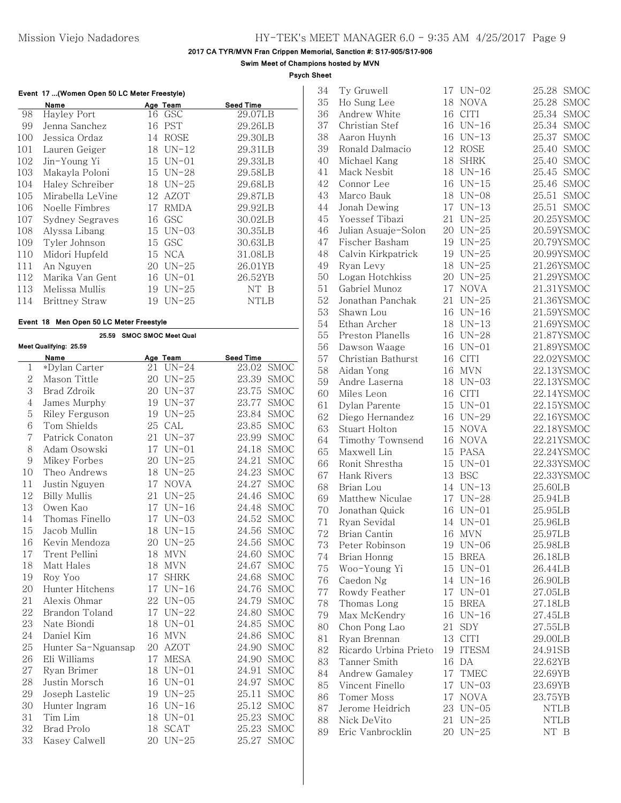**Swim Meet of Champions hosted by MVN**

**Psych Sheet**

|  | Event 17  (Women Open 50 LC Meter Freestyle) |  |  |  |
|--|----------------------------------------------|--|--|--|
|  |                                              |  |  |  |

|     | Name             |    | Age Team    | Seed Time |
|-----|------------------|----|-------------|-----------|
| 98  | Hayley Port      | 16 | GSC         | 29.07LB   |
| 99  | Jenna Sanchez    | 16 | <b>PST</b>  | 29.26LB   |
| 100 | Jessica Ordaz    | 14 | ROSE        | 29.30LB   |
| 101 | Lauren Geiger    | 18 | $UN-12$     | 29.31LB   |
| 102 | Jin-Young Yi     | 15 | $UN-01$     | 29.33LB   |
| 103 | Makayla Poloni   | 15 | UN-28       | 29.58LB   |
| 104 | Haley Schreiber  | 18 | $UN-25$     | 29.68LB   |
| 105 | Mirabella LeVine | 12 | AZOT        | 29.87LB   |
| 106 | Noelle Fimbres   | 17 | <b>RMDA</b> | 29.92LB   |
| 107 | Sydney Segraves  | 16 | GSC         | 30.02LB   |
| 108 | Alyssa Libang    | 15 | $UN-03$     | 30.35LB   |
| 109 | Tyler Johnson    | 15 | GSC         | 30.63LB   |
| 110 | Midori Hupfeld   | 15 | NCA         | 31.08LB   |
| 111 | An Nguyen        | 20 | $UN-25$     | 26.01YB   |
| 112 | Marika Van Gent  | 16 | $UN-01$     | 26.52YB   |
| 113 | Melissa Mullis   | 19 | $UN-25$     | NT B      |
| 114 | Brittney Straw   | 19 | UN-25       | NTLB      |
|     |                  |    |             |           |

### **Event 18 Men Open 50 LC Meter Freestyle**

|                | 25.59<br><b>SMOC SMOC Meet Qual</b> |    |             |                  |             |
|----------------|-------------------------------------|----|-------------|------------------|-------------|
|                | Meet Qualifying: 25.59              |    |             |                  |             |
|                | Name                                |    | Age Team    | <b>Seed Time</b> |             |
| 1              | *Dylan Carter                       | 21 | $UN-24$     |                  | 23.02 SMOC  |
| $\overline{2}$ | Mason Tittle                        |    | 20 UN-25    |                  | 23.39 SMOC  |
| 3              | Brad Zdroik                         |    | 20 UN-37    | 23.75            | <b>SMOC</b> |
| $\overline{4}$ | James Murphy                        | 19 | $UN-37$     | 23.77            | <b>SMOC</b> |
| 5              | Riley Ferguson                      | 19 | $UN-25$     | 23.84            | <b>SMOC</b> |
| 6              | Tom Shields                         | 25 | CAL         | 23.85            | <b>SMOC</b> |
| 7              | Patrick Conaton                     | 21 | $UN-37$     | 23.99            | <b>SMOC</b> |
| 8              | Adam Osowski                        |    | 17 UN-01    | 24.18            | <b>SMOC</b> |
| 9              | Mikey Forbes                        |    | 20 UN-25    | 24.21            | <b>SMOC</b> |
| 10             | Theo Andrews                        | 18 | $UN-25$     | 24.23            | <b>SMOC</b> |
| 11             | Justin Nguyen                       | 17 | NOVA        | 24.27            | <b>SMOC</b> |
| 12             | <b>Billy Mullis</b>                 | 21 | $UN-25$     | 24.46            | <b>SMOC</b> |
| 13             | Owen Kao                            | 17 | $UN-16$     | 24.48            | <b>SMOC</b> |
| 14             | Thomas Finello                      | 17 | $UN-03$     | 24.52            | <b>SMOC</b> |
| 15             | Jacob Mullin                        | 18 | $UN-15$     | 24.56            | <b>SMOC</b> |
| 16             | Kevin Mendoza                       | 20 | $UN-25$     | 24.56            | <b>SMOC</b> |
| 17             | Trent Pellini                       | 18 | <b>MVN</b>  | 24.60            | <b>SMOC</b> |
| 18             | Matt Hales                          | 18 | <b>MVN</b>  | 24.67            | <b>SMOC</b> |
| 19             | Roy Yoo                             | 17 | <b>SHRK</b> | 24.68            | <b>SMOC</b> |
| 20             | Hunter Hitchens                     | 17 | $UN-16$     | 24.76            | <b>SMOC</b> |
| 21             | Alexis Ohmar                        |    | 22 UN-05    | 24.79            | <b>SMOC</b> |
| 22             | Brandon Toland                      |    | 17 UN-22    |                  | 24.80 SMOC  |
| 23             | Nate Biondi                         | 18 | $UN-01$     |                  | 24.85 SMOC  |
| 24             | Daniel Kim                          | 16 | <b>MVN</b>  | 24.86            | <b>SMOC</b> |
| 25             | Hunter Sa-Nguansap                  | 20 | AZOT        | 24.90            | <b>SMOC</b> |
| 26             | Eli Williams                        | 17 | <b>MESA</b> | 24.90            | <b>SMOC</b> |
| 27             | Ryan Brimer                         | 18 | $UN-01$     | 24.91            | <b>SMOC</b> |
| 28             | Justin Morsch                       | 16 | $UN-01$     | 24.97            | <b>SMOC</b> |
| 29             | Joseph Lastelic                     | 19 | $UN-25$     | 25.11            | <b>SMOC</b> |
| 30             | Hunter Ingram                       | 16 | $UN-16$     | 25.12            | SMOC        |
| 31             | Tim Lim                             | 18 | $UN-01$     | 25.23            | SMOC        |
| 32             | Brad Prolo                          | 18 | <b>SCAT</b> | 25.23            | <b>SMOC</b> |
| 33             | Kasey Calwell                       | 20 | $UN-25$     | 25.27            | <b>SMOC</b> |

| 34       | Ty Gruwell            |          | 17 UN-02              | SMOC<br>25.28        |
|----------|-----------------------|----------|-----------------------|----------------------|
| 35       | Ho Sung Lee           | 18       | <b>NOVA</b>           | 25.28<br><b>SMOC</b> |
| 36       | Andrew White          | 16       | <b>CITI</b>           | 25.34<br>SMOC        |
| 37       | Christian Stef        | 16       | $UN-16$               | 25.34<br><b>SMOC</b> |
| 38       | Aaron Huynh           | 16       | $UN-13$               | 25.37<br><b>SMOC</b> |
| 39       | Ronald Dalmacio       | 12       | <b>ROSE</b>           | 25.40<br><b>SMOC</b> |
| 40       | Michael Kang          | 18       | <b>SHRK</b>           | 25.40<br><b>SMOC</b> |
| 41       | Mack Nesbit           | 18       | $UN-16$               | 25.45<br>SMOC        |
| 42       | Connor Lee            | 16       | $UN-15$               | 25.46<br>SMOC        |
| 43       | Marco Bauk            | 18       | $UN-08$               | 25.51<br><b>SMOC</b> |
| 44       | Jonah Dewing          | 17       | $UN-13$               | 25.51<br><b>SMOC</b> |
| 45       | Yoessef Tibazi        | 21       | $UN-25$               | 20.25YSMOC           |
| 46       | Julian Asuaje-Solon   | 20       | $UN-25$               | 20.59YSMOC           |
| 47       | Fischer Basham        | 19       | $UN-25$               | 20.79YSMOC           |
| 48       | Calvin Kirkpatrick    | 19       | $UN-25$               | 20.99YSMOC           |
| 49       | Ryan Levy             | 18       | $UN-25$               | 21.26YSMOC           |
| 50       | Logan Hotchkiss       | 20       | $UN-25$               | 21.29YSMOC           |
| 51       | Gabriel Munoz         | 17       | <b>NOVA</b>           | 21.31YSMOC           |
| 52       | Jonathan Panchak      | 21       | $UN-25$               | 21.36YSMOC           |
| 53       | Shawn Lou             | 16       | $UN-16$               | 21.59YSMOC           |
| 54       | Ethan Archer          | 18       | $UN-13$               | 21.69YSMOC           |
| 55       | Preston Planells      | 16       | $UN-28$               | 21.87YSMOC           |
| 56       | Dawson Waage          | 16       | $UN-01$               | 21.89YSMOC           |
| 57       | Christian Bathurst    | 16       | <b>CITI</b>           | 22.02YSMOC           |
| 58       | Aidan Yong            | 16       | <b>MVN</b>            | 22.13YSMOC           |
| 59       | Andre Laserna         | 18       | $UN-03$               | 22.13YSMOC           |
| 60       | Miles Leon            | 16       | <b>CITI</b>           | 22.14YSMOC           |
| 61       | Dylan Parente         | 15       | $UN-01$               | 22.15YSMOC           |
| 62       | Diego Hernandez       | 16       | $UN-29$               | 22.16YSMOC           |
| 63       | Stuart Holton         | 15       | <b>NOVA</b>           | 22.18YSMOC           |
| 64       | Timothy Townsend      | 16       | <b>NOVA</b>           | 22.21YSMOC           |
| 65       | Maxwell Lin           | 15       | PASA                  | 22.24YSMOC           |
| 66       | Ronit Shrestha        | 15       | $UN-01$               | 22.33YSMOC           |
| 67       | Hank Rivers           | 13       | <b>BSC</b>            | 22.33YSMOC           |
| 68       | Brian Lou             | 14       | $UN-13$               | 25.60LB              |
| 69       | Matthew Niculae       | 17       | $UN-28$               |                      |
|          |                       |          | $UN-01$               | 25.94LB              |
| 70       | Jonathan Quick        | 16       |                       | 25.95LB              |
| 71<br>72 | Ryan Sevidal          | 14<br>16 | $UN-01$<br><b>MVN</b> | 25.96LB              |
|          | Brian Cantin          |          |                       | 25.97LB              |
| 73       | Peter Robinson        |          | 19 UN-06              | 25.98LB              |
| 74       | Brian Honng           | 15       | <b>BREA</b>           | 26.18LB              |
| 75       | Woo-Young Yi          | 15       | $UN-01$               | 26.44LB              |
| 76       | Caedon Ng             | 14       | $UN-16$               | 26.90LB              |
| 77       | Rowdy Feather         | 17       | $UN-01$               | 27.05LB              |
| 78       | Thomas Long           | 15       | BREA                  | 27.18LB              |
| 79       | Max McKendry          | 16       | $UN-16$               | 27.45LB              |
| 80       | Chon Pong Lao         | 21       | <b>SDY</b>            | 27.55LB              |
| 81       | Ryan Brennan          | 13       | <b>CITI</b>           | 29.00LB              |
| 82       | Ricardo Urbina Prieto | 19       | <b>ITESM</b>          | 24.91SB              |
| 83       | Tanner Smith          | 16       | DA                    | 22.62YB              |
| 84       | Andrew Gamaley        |          | 17 TMEC               | 22.69YB              |
| 85       | Vincent Finello       | 17       | $UN-03$               | 23.69YB              |
| 86       | Tomer Moss            | 17       | <b>NOVA</b>           | 23.75YB              |
| 87       | Jerome Heidrich       | 23       | $UN-05$               | NTLB                 |
| 88       | Nick DeVito           | 21       | $UN-25$               | <b>NTLB</b>          |
| 89       | Eric Vanbrocklin      |          | 20 UN-25              | NT B                 |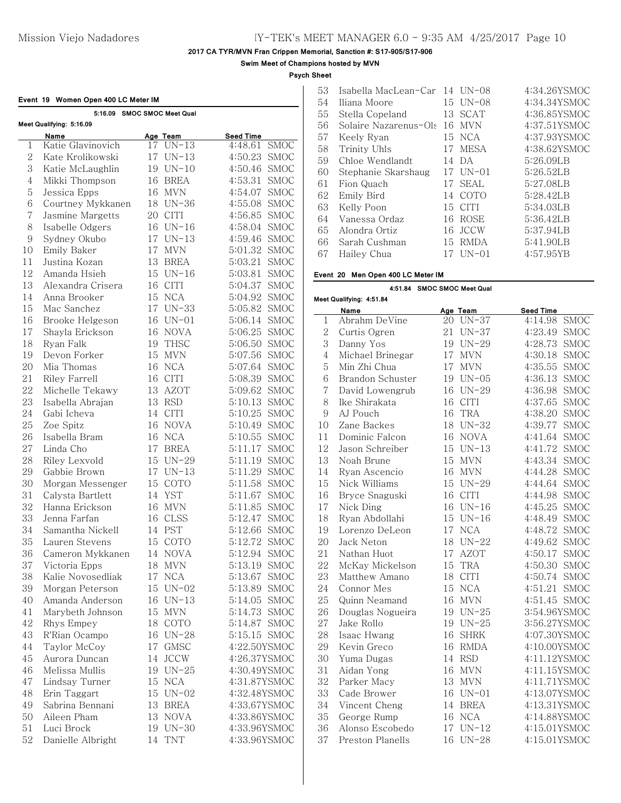**Swim Meet of Champions hosted by MVN**

### **Psych Sheet**

|  | Event 19 Women Open 400 LC Meter IM |  |
|--|-------------------------------------|--|

|                | 5:16.09 SMOC SMOC Meet Qual<br>Meet Qualifying: 5:16.09 |    |                           |                        |
|----------------|---------------------------------------------------------|----|---------------------------|------------------------|
|                | Name                                                    |    | Age Team                  | <b>Seed Time</b>       |
| 1              | Katie Glavinovich                                       |    | 17 UN-13                  | 4:48.61<br>SMOC        |
| $\overline{2}$ | Kate Krolikowski                                        |    | 17 UN-13                  | 4:50.23 SMOC           |
| 3              | Katie McLaughlin                                        |    | 19 UN-10                  | 4:50.46 SMOC           |
| $\overline{4}$ | Mikki Thompson                                          |    | 16 BREA                   | 4:53.31<br><b>SMOC</b> |
| 5              | Jessica Epps                                            |    | 16 MVN                    | 4:54.07<br><b>SMOC</b> |
| 6              | Courtney Mykkanen                                       |    | 18 UN-36                  | 4:55.08 SMOC           |
| 7              | Jasmine Margetts                                        |    | 20 CITI                   | 4:56.85 SMOC           |
| 8              | Isabelle Odgers                                         |    | 16 UN-16                  | 4:58.04 SMOC           |
| 9              | Sydney Okubo                                            |    | 17 UN-13                  | 4:59.46<br><b>SMOC</b> |
| 10             | Emily Baker                                             | 17 | $\ensuremath{\text{MVN}}$ | <b>SMOC</b><br>5:01.32 |
| 11             | Justina Kozan                                           | 13 | <b>BREA</b>               | 5:03.21<br><b>SMOC</b> |
| 12             | Amanda Hsieh                                            |    | 15 UN-16                  | 5:03.81<br>SMOC        |
| 13             | Alexandra Crisera                                       |    | 16 CITI                   | 5:04.37<br>SMOC        |
| 14             | Anna Brooker                                            |    | 15 NCA                    | 5:04.92 SMOC           |
| 15             | Mac Sanchez                                             |    | 17 UN-33                  | 5:05.82 SMOC           |
| 16             | Brooke Helgeson                                         |    | 16 UN-01                  | 5:06.14<br>SMOC        |
| 17             | Shayla Erickson                                         |    | 16 NOVA                   | 5:06.25 SMOC           |
| 18             | Ryan Falk                                               | 19 | <b>THSC</b>               | 5:06.50 SMOC           |
| 19             | Devon Forker                                            | 15 | <b>MVN</b>                | 5:07.56 SMOC           |
| 20             | Mia Thomas                                              | 16 | <b>NCA</b>                | <b>SMOC</b><br>5:07.64 |
| 21             | Riley Farrell                                           | 16 | <b>CITI</b>               | 5:08.39 SMOC           |
| 22             | Michelle Tekawy                                         | 13 | <b>AZOT</b>               | <b>SMOC</b><br>5:09.62 |
| 23             | Isabella Abrajan                                        |    | 13 RSD                    | 5:10.13 SMOC           |
|                |                                                         |    |                           |                        |
| 24<br>25       | Gabi Icheva                                             | 14 | <b>CITI</b>               | 5:10.25 SMOC           |
|                | Zoe Spitz                                               |    | 16 NOVA                   | 5:10.49 SMOC           |
| 26             | Isabella Bram                                           | 16 | <b>NCA</b>                | 5:10.55 SMOC           |
| 27             | Linda Cho                                               | 17 | <b>BREA</b>               | 5:11.17<br><b>SMOC</b> |
| 28             | Riley Lexvold                                           |    | 15 UN-29                  | 5:11.19<br><b>SMOC</b> |
| 29             | Gabbie Brown                                            |    | 17 UN-13                  | 5:11.29<br><b>SMOC</b> |
| 30             | Morgan Messenger                                        |    | 15 COTO                   | 5:11.58<br>SMOC        |
| 31             | Calysta Bartlett                                        |    | 14 YST                    | 5:11.67<br>SMOC        |
| 32             | Hanna Erickson                                          | 16 | <b>MVN</b>                | 5:11.85<br>SMOC        |
| 33             | Jenna Farfan                                            | 16 | <b>CLSS</b>               | 5:12.47 SMOC           |
| 34             | Samantha Nickell                                        | 14 | <b>PST</b>                | 5:12.66<br>SMOC        |
| 35             | Lauren Stevens                                          | 15 | COTO                      | 5:12.72<br><b>SMOC</b> |
| 36             | Cameron Mykkanen                                        | 14 | <b>NOVA</b>               | 5:12.94<br><b>SMOC</b> |
| 37             | Victoria Epps                                           | 18 | MVN                       | SMOC<br>5:13.19        |
| 38             | Kalie Novosedliak                                       | 17 | <b>NCA</b>                | 5:13.67<br>SMOC        |
| 39             | Morgan Peterson                                         | 15 | $UN-02$                   | 5:13.89<br>SMOC        |
| 40             | Amanda Anderson                                         | 16 | $UN-13$                   | 5:14.05<br>SMOC        |
| 41             | Marybeth Johnson                                        | 15 | $\ensuremath{\text{MVN}}$ | 5:14.73<br>SMOC        |
| 42             | Rhys Empey                                              | 18 | COTO                      | <b>SMOC</b><br>5:14.87 |
| 43             | R'Rian Ocampo                                           | 16 | $UN-28$                   | 5:15.15<br>SMOC        |
| 44             | Taylor McCoy                                            | 17 | GMSC                      | 4:22.50YSMOC           |
| 45             | Aurora Duncan                                           | 14 | <b>JCCW</b>               | 4:26.37YSMOC           |
| 46             | Melissa Mullis                                          | 19 | $UN-25$                   | 4:30.49YSMOC           |
| 47             | Lindsay Turner                                          | 15 | <b>NCA</b>                | 4:31.87YSMOC           |
| 48             | Erin Taggart                                            | 15 | $UN-02$                   | 4:32.48YSMOC           |
| 49             | Sabrina Bennani                                         | 13 | BREA                      | 4:33.67YSMOC           |
| 50             | Aileen Pham                                             | 13 | <b>NOVA</b>               | 4:33.86YSMOC           |
| 51             | Luci Brock                                              | 19 | $UN-30$                   | 4:33.96YSMOC           |
| 52             | Danielle Albright                                       | 14 | TNT                       | 4:33.96YSMOC           |

| 53 | Isabella MacLean-Car: 14 UN-08 |    |             | 4:34.26YSMOC |
|----|--------------------------------|----|-------------|--------------|
| 54 | Iliana Moore                   |    | $15$ UN-08  | 4:34.34YSMOC |
| 55 | Stella Copeland                |    | 13 SCAT     | 4:36.85YSMOC |
| 56 | Solaire Nazarenus-Ols          | 16 | MVN         | 4:37.51YSMOC |
| 57 | Keely Ryan                     |    | 15 NCA      | 4:37.93YSMOC |
| 58 | Trinity Uhls                   | 17 | MESA        | 4:38.62YSMOC |
| 59 | Chloe Wendlandt                |    | 14 DA       | 5:26.09LB    |
| 60 | Stephanie Skarshaug            |    | 17 UN-01    | 5:26.52LB    |
| 61 | Fion Quach                     | 17 | <b>SEAL</b> | 5:27.08LB    |
| 62 | Emily Bird                     | 14 | COTO        | 5:28.42LB    |
| 63 | Kelly Poon                     |    | 15 CITI     | 5:34.03LB    |
| 64 | Vanessa Ordaz                  | 16 | ROSE        | 5:36.42LB    |
| 65 | Alondra Ortiz                  | 16 | <b>JCCW</b> | 5:37.94LB    |
| 66 | Sarah Cushman                  | 15 | <b>RMDA</b> | 5:41.90LB    |
| 67 | Hailey Chua                    | 17 | $UN-01$     | 4:57.95YB    |

### **Event 20 Men Open 400 LC Meter IM**

### **4:51.84 SMOC SMOC Meet Qual Meet Qualifying: 4:51.84**

|                | Name             |                 | Age Team    | <b>Seed Time</b> |             |
|----------------|------------------|-----------------|-------------|------------------|-------------|
| 1              | Abrahm DeVine    |                 | 20 UN-37    | 4:14.98          | <b>SMOC</b> |
| $\overline{2}$ | Curtis Ogren     | 21              | $UN-37$     | 4:23.49 SMOC     |             |
| 3              | Danny Yos        |                 | 19 UN-29    | 4:28.73          | <b>SMOC</b> |
| $\overline{4}$ | Michael Brinegar | 17              | <b>MVN</b>  | 4:30.18          | <b>SMOC</b> |
| 5              | Min Zhi Chua     | 17              | <b>MVN</b>  | 4:35.55          | <b>SMOC</b> |
| 6              | Brandon Schuster | 19              | $UN-05$     | 4:36.13          | <b>SMOC</b> |
| 7              | David Lowengrub  | 16              | $UN-29$     | 4:36.98          | <b>SMOC</b> |
| 8              | Ike Shirakata    | 16              | <b>CITI</b> | 4:37.65          | <b>SMOC</b> |
| 9              | AJ Pouch         | 16              | <b>TRA</b>  | 4:38.20          | <b>SMOC</b> |
| 10             | Zane Backes      | 18              | $UN-32$     | 4:39.77          | SMOC        |
| 11             | Dominic Falcon   | 16              | <b>NOVA</b> | 4:41.64          | <b>SMOC</b> |
| 12             | Jason Schreiber  | 15 <sup>1</sup> | $UN-13$     | 4:41.72          | <b>SMOC</b> |
| 13             | Noah Brune       | 15              | <b>MVN</b>  | 4:43.34          | <b>SMOC</b> |
| 14             | Ryan Ascencio    | 16              | <b>MVN</b>  | 4:44.28          | <b>SMOC</b> |
| 15             | Nick Williams    | 15              | $UN-29$     | 4:44.64          | <b>SMOC</b> |
| 16             | Bryce Snaguski   | 16              | <b>CITI</b> | 4:44.98          | <b>SMOC</b> |
| 17             | Nick Ding        | 16              | $UN-16$     | 4:45.25          | <b>SMOC</b> |
| 18             | Ryan Abdollahi   | 15              | $UN-16$     | 4:48.49          | <b>SMOC</b> |
| 19             | Lorenzo DeLeon   | 17              | <b>NCA</b>  | 4:48.72          | <b>SMOC</b> |
| 20             | Jack Neton       | 18              | $UN-22$     | 4:49.62          | <b>SMOC</b> |
| 21             | Nathan Huot      | 17              | <b>AZOT</b> | 4:50.17          | <b>SMOC</b> |
| 22             | McKay Mickelson  | 15              | <b>TRA</b>  | 4:50.30          | <b>SMOC</b> |
| 23             | Matthew Amano    | 18              | <b>CITI</b> | 4:50.74          | <b>SMOC</b> |
| 24             | Connor Mes       | 15              | <b>NCA</b>  | 4:51.21          | <b>SMOC</b> |
| 25             | Quinn Neamand    | 16              | <b>MVN</b>  | 4:51.45 SMOC     |             |
| 26             | Douglas Nogueira |                 | 19 UN-25    | 3:54.96YSMOC     |             |
| 27             | Jake Rollo       | 19              | $UN-25$     | 3:56.27YSMOC     |             |
| 28             | Isaac Hwang      | 16              | <b>SHRK</b> | 4:07.30YSMOC     |             |
| 29             | Kevin Greco      | 16              | <b>RMDA</b> | 4:10.00YSMOC     |             |
| 30             | Yuma Dugas       | 14              | <b>RSD</b>  | 4:11.12YSMOC     |             |
| 31             | Aidan Yong       | 16              | <b>MVN</b>  | 4:11.15YSMOC     |             |
| 32             | Parker Macy      | 13              | <b>MVN</b>  | 4:11.71YSMOC     |             |
| 33             | Cade Brower      |                 | 16 UN-01    | 4:13.07YSMOC     |             |
| 34             | Vincent Cheng    | 14              | <b>BREA</b> | 4:13.31YSMOC     |             |
| 35             | George Rump      |                 | 16 NCA      | 4:14.88YSMOC     |             |
| 36             | Alonso Escobedo  | 17              | $UN-12$     | 4:15.01YSMOC     |             |
| 37             | Preston Planells |                 | 16 UN-28    | 4:15.01YSMOC     |             |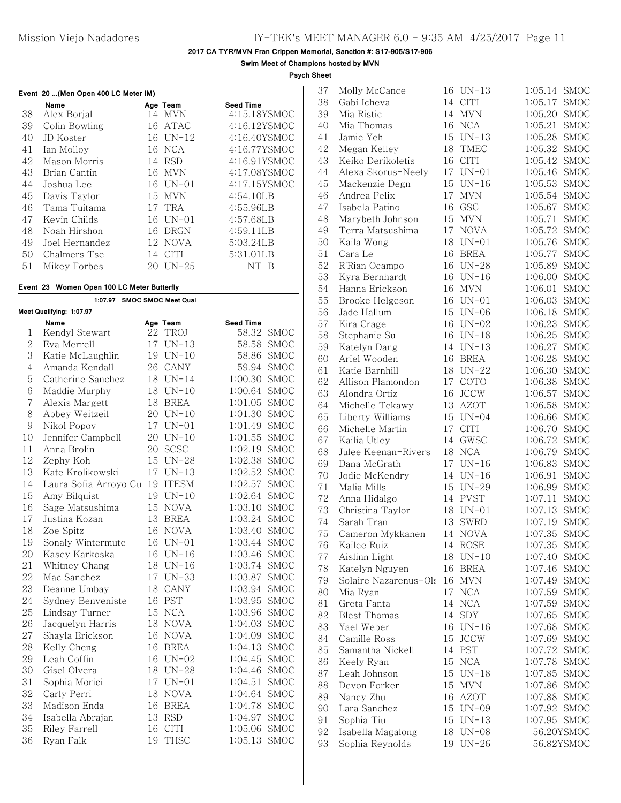**Swim Meet of Champions hosted by MVN**

**Psych Sheet**

|  |  | Event  20 (Men Open 400 LC Meter IM) |  |  |  |  |  |
|--|--|--------------------------------------|--|--|--|--|--|
|--|--|--------------------------------------|--|--|--|--|--|

|    | Name           |    | Age Team      | <b>Seed Time</b> |
|----|----------------|----|---------------|------------------|
| 38 | Alex Borjal    | 14 | <b>MVN</b>    | 4:15.18YSMOC     |
| 39 | Colin Bowling  | 16 | ATAC          | 4:16.12YSMOC     |
| 40 | JD Koster      |    | $16$ UN- $12$ | 4:16.40YSMOC     |
| 41 | Ian Molloy     |    | 16 NCA        | 4:16.77YSMOC     |
| 42 | Mason Morris   | 14 | <b>RSD</b>    | 4:16.91YSMOC     |
| 43 | Brian Cantin   | 16 | MVN           | 4:17.08YSMOC     |
| 44 | Joshua Lee     |    | $16$ UN-01    | 4:17.15YSMOC     |
| 45 | Davis Taylor   | 15 | MVN           | 4:54.10LB        |
| 46 | Tama Tuitama   |    | 17 TRA        | 4:55.96LB        |
| 47 | Kevin Childs   | 16 | $UN-01$       | 4:57.68LB        |
| 48 | Noah Hirshon   | 16 | DRGN          | 4:59.11LB        |
| 49 | Joel Hernandez |    | 12 NOVA       | 5:03.24LB        |
| 50 | Chalmers Tse   | 14 | <b>CITI</b>   | 5:31.01LB        |
| 51 | Mikey Forbes   | 20 | $UN-25$       | B<br>NT.         |

### **Event 23 Women Open 100 LC Meter Butterfly**

|                          | 1:07.97<br><b>SMOC SMOC Meet Qual</b> |    |              |           |             |  |  |  |  |  |
|--------------------------|---------------------------------------|----|--------------|-----------|-------------|--|--|--|--|--|
| Meet Qualifying: 1:07.97 |                                       |    |              |           |             |  |  |  |  |  |
|                          | Name                                  |    | Age Team     | Seed Time |             |  |  |  |  |  |
| 1                        | Kendyl Stewart                        | 22 | TROJ         | 58.32     | <b>SMOC</b> |  |  |  |  |  |
| $\overline{2}$           | Eva Merrell                           | 17 | $UN-13$      | 58.58     | <b>SMOC</b> |  |  |  |  |  |
| 3                        | Katie McLaughlin                      | 19 | $UN-10$      | 58.86     | <b>SMOC</b> |  |  |  |  |  |
| 4                        | Amanda Kendall                        | 26 | CANY         | 59.94     | SMOC        |  |  |  |  |  |
| 5                        | Catherine Sanchez                     | 18 | $UN-14$      | 1:00.30   | SMOC        |  |  |  |  |  |
| 6                        | Maddie Murphy                         | 18 | $UN-10$      | 1:00.64   | <b>SMOC</b> |  |  |  |  |  |
| $\overline{7}$           | Alexis Margett                        | 18 | <b>BREA</b>  | 1:01.05   | SMOC        |  |  |  |  |  |
| 8                        | Abbey Weitzeil                        | 20 | $UN-10$      | 1:01.30   | <b>SMOC</b> |  |  |  |  |  |
| 9                        | Nikol Popov                           | 17 | $UN-01$      | 1:01.49   | <b>SMOC</b> |  |  |  |  |  |
| 10                       | Jennifer Campbell                     | 20 | $UN-10$      | 1:01.55   | SMOC        |  |  |  |  |  |
| 11                       | Anna Brolin                           | 20 | <b>SCSC</b>  | 1:02.19   | SMOC        |  |  |  |  |  |
| 12                       | Zephy Koh                             | 15 | $UN-28$      | 1:02.38   | SMOC        |  |  |  |  |  |
| 13                       | Kate Krolikowski                      | 17 | $UN-13$      | 1:02.52   | SMOC        |  |  |  |  |  |
| 14                       | Laura Sofia Arroyo Cu                 | 19 | <b>ITESM</b> | 1:02.57   | <b>SMOC</b> |  |  |  |  |  |
| 15                       | Amy Bilquist                          | 19 | $UN-10$      | 1:02.64   | <b>SMOC</b> |  |  |  |  |  |
| 16                       | Sage Matsushima                       | 15 | <b>NOVA</b>  | 1:03.10   | <b>SMOC</b> |  |  |  |  |  |
| 17                       | Justina Kozan                         | 13 | <b>BREA</b>  | 1:03.24   | <b>SMOC</b> |  |  |  |  |  |
| 18                       | Zoe Spitz                             | 16 | <b>NOVA</b>  | 1:03.40   | <b>SMOC</b> |  |  |  |  |  |
| 19                       | Sonaly Wintermute                     | 16 | $UN-01$      | 1:03.44   | <b>SMOC</b> |  |  |  |  |  |
| 20                       | Kasey Karkoska                        | 16 | $UN-16$      | 1:03.46   | <b>SMOC</b> |  |  |  |  |  |
| 21                       | Whitney Chang                         | 18 | $UN-16$      | 1:03.74   | <b>SMOC</b> |  |  |  |  |  |
| 22                       | Mac Sanchez                           | 17 | $UN-33$      | 1:03.87   | SMOC        |  |  |  |  |  |
| 23                       | Deanne Umbay                          | 18 | CANY         | 1:03.94   | SMOC        |  |  |  |  |  |
| 24                       | Sydney Benveniste                     | 16 | <b>PST</b>   | 1:03.95   | <b>SMOC</b> |  |  |  |  |  |
| 25                       | Lindsay Turner                        | 15 | NCA          | 1:03.96   | SMOC        |  |  |  |  |  |
| 26                       | Jacquelyn Harris                      | 18 | <b>NOVA</b>  | 1:04.03   | <b>SMOC</b> |  |  |  |  |  |
| 27                       | Shayla Erickson                       | 16 | <b>NOVA</b>  | 1:04.09   | <b>SMOC</b> |  |  |  |  |  |
| 28                       | Kelly Cheng                           | 16 | <b>BREA</b>  | 1:04.13   | SMOC        |  |  |  |  |  |
| 29                       | Leah Coffin                           | 16 | $UN-02$      | 1:04.45   | <b>SMOC</b> |  |  |  |  |  |
| 30                       | Gisel Olvera                          | 18 | $UN-28$      | 1:04.46   | SMOC        |  |  |  |  |  |
| 31                       | Sophia Morici                         | 17 | $UN-01$      | 1:04.51   | SMOC        |  |  |  |  |  |
| 32                       | Carly Perri                           | 18 | <b>NOVA</b>  | 1:04.64   | SMOC        |  |  |  |  |  |
| 33                       | Madison Enda                          | 16 | <b>BREA</b>  | 1:04.78   | <b>SMOC</b> |  |  |  |  |  |
| 34                       | Isabella Abrajan                      | 13 | <b>RSD</b>   | 1:04.97   | SMOC        |  |  |  |  |  |
| 35                       | Riley Farrell                         | 16 | <b>CITI</b>  | 1:05.06   | SMOC        |  |  |  |  |  |
| 36                       | Ryan Falk                             | 19 | <b>THSC</b>  | 1:05.13   | SMOC        |  |  |  |  |  |

| 37 | Molly McCance         | 16 | $UN-13$                   | 1:05.14 | SMOC        |
|----|-----------------------|----|---------------------------|---------|-------------|
| 38 | Gabi Icheva           | 14 | <b>CITI</b>               | 1:05.17 | SMOC        |
| 39 | Mia Ristic            | 14 | <b>MVN</b>                | 1:05.20 | SMOC        |
| 40 | Mia Thomas            | 16 | <b>NCA</b>                | 1:05.21 | SMOC        |
| 41 | Jamie Yeh             | 15 | $UN-13$                   | 1:05.28 | SMOC        |
| 42 | Megan Kelley          | 18 | TMEC                      | 1:05.32 | SMOC        |
| 43 | Keiko Derikoletis     | 16 | <b>CITI</b>               | 1:05.42 | SMOC        |
| 44 | Alexa Skorus-Neely    | 17 | $UN-01$                   | 1:05.46 | SMOC        |
| 45 | Mackenzie Degn        |    | 15 UN-16                  | 1:05.53 | SMOC        |
| 46 | Andrea Felix          | 17 | <b>MVN</b>                | 1:05.54 | SMOC        |
| 47 | Isabela Patino        | 16 | GSC                       | 1:05.67 | SMOC        |
| 48 | Marybeth Johnson      | 15 | $\ensuremath{\text{MVN}}$ | 1:05.71 | SMOC        |
| 49 | Terra Matsushima      | 17 | <b>NOVA</b>               | 1:05.72 | SMOC        |
| 50 | Kaila Wong            | 18 | $UN-01$                   | 1:05.76 | SMOC        |
| 51 | Cara Le               | 16 | <b>BREA</b>               | 1:05.77 | SMOC        |
| 52 | R'Rian Ocampo         | 16 | $UN-28$                   | 1:05.89 | SMOC        |
| 53 | Kyra Bernhardt        | 16 | $UN-16$                   | 1:06.00 | SMOC        |
| 54 | Hanna Erickson        | 16 | <b>MVN</b>                | 1:06.01 | SMOC        |
| 55 | Brooke Helgeson       | 16 | $UN-01$                   | 1:06.03 | SMOC        |
|    | Jade Hallum           |    | $UN-06$                   |         |             |
| 56 |                       | 15 |                           | 1:06.18 | SMOC        |
| 57 | Kira Crage            | 16 | $UN-02$                   | 1:06.23 | SMOC        |
| 58 | Stephanie Su          | 16 | $UN-18$                   | 1:06.25 | <b>SMOC</b> |
| 59 | Katelyn Dang          | 14 | $UN-13$                   | 1:06.27 | <b>SMOC</b> |
| 60 | Ariel Wooden          | 16 | <b>BREA</b>               | 1:06.28 | SMOC        |
| 61 | Katie Barnhill        | 18 | $UN-22$                   | 1:06.30 | <b>SMOC</b> |
| 62 | Allison Plamondon     | 17 | COTO                      | 1:06.38 | SMOC        |
| 63 | Alondra Ortiz         | 16 | $\rm{JCCW}$               | 1:06.57 | SMOC        |
| 64 | Michelle Tekawy       | 13 | <b>AZOT</b>               | 1:06.58 | SMOC        |
| 65 | Liberty Williams      | 15 | $UN-04$                   | 1:06.66 | SMOC        |
| 66 | Michelle Martin       | 17 | <b>CITI</b>               | 1:06.70 | SMOC        |
| 67 | Kailia Utley          | 14 | GWSC                      | 1:06.72 | SMOC        |
| 68 | Julee Keenan-Rivers   | 18 | <b>NCA</b>                | 1:06.79 | SMOC        |
| 69 | Dana McGrath          | 17 | $UN-16$                   | 1:06.83 | SMOC        |
| 70 | Jodie McKendry        | 14 | $UN-16$                   | 1:06.91 | SMOC        |
| 71 | Malia Mills           | 15 | $UN-29$                   | 1:06.99 | SMOC        |
| 72 | Anna Hidalgo          | 14 | <b>PVST</b>               | 1:07.11 | SMOC        |
| 73 | Christina Taylor      |    | 18 UN-01                  | 1:07.13 | SMOC        |
| 74 | Sarah Tran            | 13 | <b>SWRD</b>               | 1:07.19 | SMOC        |
| 75 | Cameron Mykkanen      | 14 | <b>NOVA</b>               | 1:07.35 | SMOC        |
| 76 | Kailee Ruiz           | 14 | <b>ROSE</b>               | 1:07.35 | SMOC        |
| 77 | Aislinn Light         | 18 | $UN-10$                   | 1:07.40 | <b>SMOC</b> |
| 78 | Katelyn Nguyen        | 16 | <b>BREA</b>               | 1:07.46 | SMOC        |
| 79 | Solaire Nazarenus-Ols | 16 | $\ensuremath{\text{MVN}}$ | 1:07.49 | SMOC        |
| 80 | Mia Ryan              | 17 | <b>NCA</b>                | 1:07.59 | SMOC        |
| 81 | Greta Fanta           | 14 | <b>NCA</b>                | 1:07.59 | SMOC        |
| 82 | <b>Blest Thomas</b>   | 14 | <b>SDY</b>                | 1:07.65 | SMOC        |
| 83 | Yael Weber            | 16 | $UN-16$                   | 1:07.68 | SMOC        |
| 84 | Camille Ross          | 15 | <b>JCCW</b>               | 1:07.69 | SMOC        |
| 85 | Samantha Nickell      | 14 | <b>PST</b>                | 1:07.72 | SMOC        |
| 86 | Keely Ryan            | 15 | <b>NCA</b>                | 1:07.78 | SMOC        |
| 87 | Leah Johnson          | 15 | $UN-18$                   | 1:07.85 | SMOC        |
| 88 | Devon Forker          | 15 | MVN                       | 1:07.86 | SMOC        |
| 89 | Nancy Zhu             | 16 | AZOT                      | 1:07.88 | SMOC        |
| 90 | Lara Sanchez          | 15 | $UN-09$                   | 1:07.92 | SMOC        |
|    |                       |    |                           |         |             |
| 91 | Sophia Tiu            | 15 | $UN-13$                   | 1:07.95 | SMOC        |
| 92 | Isabella Magalong     | 18 | $UN-08$                   |         | 56.20YSMOC  |
| 93 | Sophia Reynolds       | 19 | $UN-26$                   |         | 56.82YSMOC  |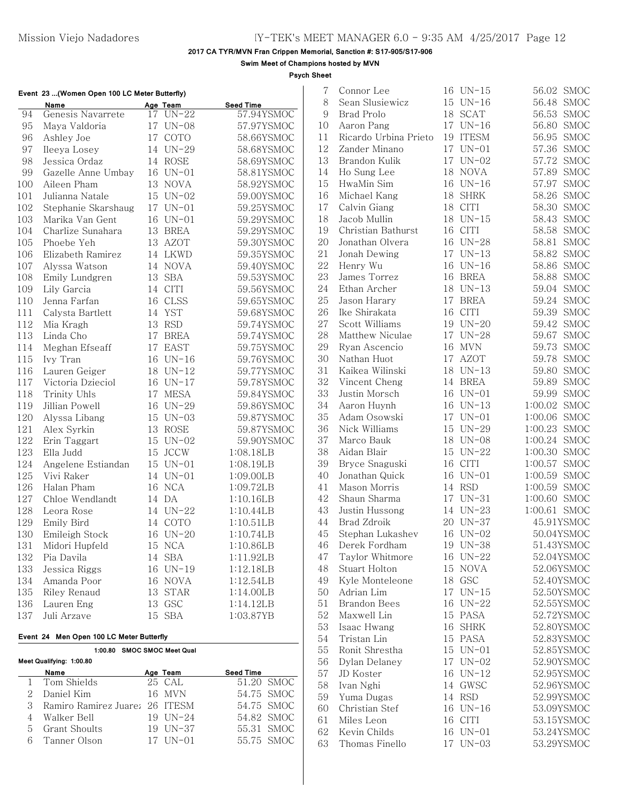7 Connor Lee 16 UN-15 56.02 SMOC

56.48 SMOC 56.53 SMOC 56.80 SMOC 56.95 SMOC 57.36 SMOC 57.72 SMOC 57.89 SMOC 57.97 SMOC 58.26 SMOC 58.30 SMOC 58.43 SMOC 58.58 SMOC 58.81 SMOC 58.82 SMOC 58.86 SMOC 58.88 SMOC 59.04 SMOC 59.24 SMOC 59.39 SMOC 59.42 SMOC 59.67 SMOC 59.73 SMOC 59.78 SMOC 59.80 SMOC 59.89 SMOC 59.99 SMOC 1:00.02 SMOC 1:00.06 SMOC 1:00.23 SMOC 1:00.24 SMOC 1:00.30 SMOC 1:00.57 SMOC 1:00.59 SMOC 1:00.59 SMOC 1:00.60 SMOC 1:00.61 SMOC 45.91YSMOC 50.04 YSMOC 51.43YSMOC 52.04 YSMOC 52.06YSMOC 52.40 YSMOC 52.50YSMOC 52.55YSMOC 52.72YSMOC 52.80YSMOC 52.83YSMOC 52.85YSMOC 52.90YSMOC 52.95YSMOC 52.96YSMOC 52.99YSMOC 53.09YSMOC 53.15YSMOC 53.24 YSMOC 53.29YSMOC

### **2017 CA TYR/MVN Fran Crippen Memorial, Sanction #: S17-905/S17-906**

**Swim Meet of Champions hosted by MVN**

**Psych Sheet**  $\mathbf{I}$ 

|     | Name                                     | Age Team | Seed Time  | 8  | Sean Slusiewicz       | $15$ UN-16 |
|-----|------------------------------------------|----------|------------|----|-----------------------|------------|
| 94  | Genesis Navarrete                        | 17 UN-22 | 57.94YSMOC | 9  | Brad Prolo            | 18 SCAT    |
| 95  | Maya Valdoria                            | 17 UN-08 | 57.97YSMOC | 10 | Aaron Pang            | 17 UN-16   |
| 96  | Ashley Joe                               | 17 COTO  | 58.66YSMOC | 11 | Ricardo Urbina Prieto | 19 ITESM   |
| 97  | Ileeya Losey                             | 14 UN-29 | 58.68YSMOC | 12 | Zander Minano         | 17 UN-01   |
| 98  | Jessica Ordaz                            | 14 ROSE  | 58.69YSMOC | 13 | Brandon Kulik         | 17 UN-02   |
| 99  | Gazelle Anne Umbay                       | 16 UN-01 | 58.81YSMOC | 14 | Ho Sung Lee           | 18 NOVA    |
| 100 | Aileen Pham                              | 13 NOVA  | 58.92YSMOC | 15 | HwaMin Sim            | 16 UN-16   |
| 101 | Julianna Natale                          | 15 UN-02 | 59.00YSMOC | 16 | Michael Kang          | 18 SHRK    |
| 102 | Stephanie Skarshaug                      | 17 UN-01 | 59.25YSMOC | 17 | Calvin Giang          | 18 CITI    |
| 103 | Marika Van Gent                          | 16 UN-01 | 59.29YSMOC | 18 | Jacob Mullin          | 18 UN-15   |
| 104 | Charlize Sunahara                        | 13 BREA  | 59.29YSMOC | 19 | Christian Bathurst    | 16 CITI    |
| 105 | Phoebe Yeh                               | 13 AZOT  | 59.30YSMOC | 20 | Jonathan Olvera       | 16 UN-28   |
| 106 | Elizabeth Ramirez                        | 14 LKWD  | 59.35YSMOC | 21 | Jonah Dewing          | 17 UN-13   |
| 107 | Alyssa Watson                            | 14 NOVA  | 59.40YSMOC | 22 | Henry Wu              | 16 UN-16   |
| 108 | Emily Lundgren                           | 13 SBA   | 59.53YSMOC | 23 | James Torrez          | 16 BREA    |
| 109 | Lily Garcia                              | 14 CITI  | 59.56YSMOC | 24 | Ethan Archer          | 18 UN-13   |
| 110 | Jenna Farfan                             | 16 CLSS  | 59.65YSMOC | 25 | Jason Harary          | 17 BREA    |
| 111 | Calysta Bartlett                         | 14 YST   | 59.68YSMOC | 26 | Ike Shirakata         | 16 CITI    |
| 112 | Mia Kragh                                | 13 RSD   | 59.74YSMOC | 27 | Scott Williams        | 19 UN-20   |
| 113 | Linda Cho                                | 17 BREA  | 59.74YSMOC | 28 | Matthew Niculae       | 17 UN-28   |
| 114 | Meghan Efseaff                           | 17 EAST  | 59.75YSMOC | 29 | Ryan Ascencio         | 16 MVN     |
| 115 | Ivy Tran                                 | 16 UN-16 | 59.76YSMOC | 30 | Nathan Huot           | 17 AZOT    |
| 116 | Lauren Geiger                            | 18 UN-12 | 59.77YSMOC | 31 | Kaikea Wilinski       | 18 UN-13   |
| 117 | Victoria Dzieciol                        | 16 UN-17 | 59.78YSMOC | 32 | Vincent Cheng         | 14 BREA    |
| 118 | Trinity Uhls                             | 17 MESA  | 59.84YSMOC | 33 | Justin Morsch         | 16 UN-01   |
| 119 | Jillian Powell                           | 16 UN-29 | 59.86YSMOC | 34 | Aaron Huynh           | 16 UN-13   |
| 120 | Alyssa Libang                            | 15 UN-03 | 59.87YSMOC | 35 | Adam Osowski          | 17 UN-01   |
| 121 | Alex Syrkin                              | 13 ROSE  | 59.87YSMOC | 36 | Nick Williams         | 15 UN-29   |
| 122 | Erin Taggart                             | 15 UN-02 | 59.90YSMOC | 37 | Marco Bauk            | 18 UN-08   |
| 123 | Ella Judd                                | 15 JCCW  | 1:08.18LB  | 38 | Aidan Blair           | 15 UN-22   |
| 124 | Angelene Estiandan                       | 15 UN-01 | 1:08.19LB  | 39 | Bryce Snaguski        | 16 CITI    |
| 125 | Vivi Raker                               | 14 UN-01 | 1:09.00LB  | 40 | Jonathan Quick        | 16 UN-01   |
| 126 | Halan Pham                               | 16 NCA   | 1:09.72LB  | 41 | Mason Morris          | 14 RSD     |
| 127 | Chloe Wendlandt                          | 14 DA    | 1:10.16LB  | 42 | Shaun Sharma          | 17 UN-31   |
| 128 | Leora Rose                               | 14 UN-22 | 1:10.44LB  | 43 | Justin Hussong        | 14 UN-23   |
| 129 | Emily Bird                               | 14 COTO  | 1:10.51LB  | 44 | Brad Zdroik           | 20 UN-37   |
| 130 | Emileigh Stock                           | 16 UN-20 | 1:10.74LB  | 45 | Stephan Lukashev      | 16 UN-02   |
| 131 | Midori Hupfeld                           | 15 NCA   | 1:10.86LB  | 46 | Derek Fordham         | 19 UN-38   |
| 132 | Pia Davila                               | 14 SBA   | 1:11.92LB  | 47 | Taylor Whitmore       | 16 UN-22   |
| 133 | Jessica Riggs                            | 16 UN-19 | 1:12.18LB  | 48 | Stuart Holton         | 15 NOVA    |
| 134 | Amanda Poor                              | 16 NOVA  | 1:12.54LB  | 49 | Kyle Monteleone       | 18 GSC     |
| 135 | Riley Renaud                             | 13 STAR  | 1:14.00LB  | 50 | Adrian Lim            | 17 UN-15   |
| 136 | Lauren Eng                               | 13 GSC   | 1:14.12LB  | 51 | <b>Brandon Bees</b>   | 16 UN-22   |
| 137 | Juli Arzave                              | 15 SBA   | 1:03.87YB  | 52 | Maxwell Lin           | 15 PASA    |
|     |                                          |          |            | 53 | Isaac Hwang           | 16 SHRK    |
|     | Event 24 Men Open 100 LC Meter Butterfly |          |            | 54 | Tristan Lin           | 15 PASA    |
|     | 1:00.80 SMOC SMOC Meet Qual              |          |            | 55 | Ronit Shrestha        | 15 UN-01   |
|     | Meet Qualifying: 1:00.80                 |          |            | 56 | Dylan Delaney         | 17 UN-02   |
|     | Name                                     | Age Team | Seed Time  | 57 | JD Koster             | 16 UN-12   |
| 1   | Tom Shields                              | 25 CAL   | 51.20 SMOC | 58 | Ivan Nghi             | 14 GWSC    |
| 2   | Daniel Kim                               | 16 MVN   | 54.75 SMOC | 59 | Yuma Dugas            | 14 RSD     |
| 3   | Ramiro Ramirez Juarez 26 ITESM           |          | 54.75 SMOC | 60 | Christian Stef        | 16 UN-16   |
| 4   | Walker Bell                              | 19 UN-24 | 54.82 SMOC | 61 | Miles Leon            | 16 CITI    |
| 5   | Grant Shoults                            | 19 UN-37 | 55.31 SMOC | 62 | Kevin Childs          | 16 UN-01   |
| 6   | Tanner Olson                             | 17 UN-01 | 55.75 SMOC | 63 | Thomas Finello        | 17 UN-03   |
|     |                                          |          |            |    |                       |            |

### **Event 23 ...(Women Open 100 LC Meter Butterfly)**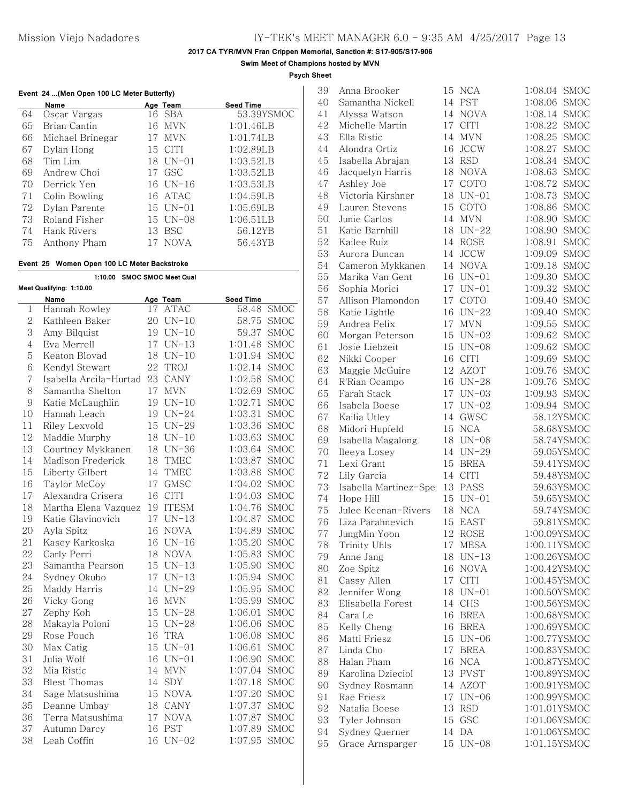**Swim Meet of Champions hosted by MVN**

**Psych Sheet**

|  |  |  | Event 24  (Men Open 100 LC Meter Butterfly) |
|--|--|--|---------------------------------------------|
|  |  |  |                                             |

|    | Name             | Age Team           | <b>Seed Time</b> |
|----|------------------|--------------------|------------------|
| 64 | Oscar Vargas     | 16 SBA             | 53.39YSMOC       |
| 65 | Brian Cantin     | 16 MVN             | 1:01.46LB        |
| 66 | Michael Brinegar | MVN<br>17          | 1:01.74LR        |
| 67 | Dylan Hong       | <b>CITI</b><br>15. | 1:02.89LR        |
| 68 | Tim Lim          | $18$ UN-01         | 1:03.52LB        |
| 69 | Andrew Choi      | 17 GSC             | 1:03.52LB        |
| 70 | Derrick Yen      | $16$ UN-16         | 1:03.53LR        |
| 71 | Colin Bowling    | 16 ATAC            | 1:04.59LR        |
| 72 | Dylan Parente    | $15$ UN-01         | 1:05.69LB        |
| 73 | Roland Fisher    | $15$ UN-08         | 1:06.51LR        |
| 74 | Hank Rivers      | <b>BSC</b><br>13   | 56.12YB          |
| 75 | Anthony Pham     | <b>NOVA</b>        | 56.43YB          |

#### **Event 25 Women Open 100 LC Meter Backstroke**

| 1:10.00<br><b>SMOC SMOC Meet Qual</b> |                        |    |                           |           |             |  |  |  |  |  |
|---------------------------------------|------------------------|----|---------------------------|-----------|-------------|--|--|--|--|--|
| Meet Qualifying: 1:10.00              |                        |    |                           |           |             |  |  |  |  |  |
|                                       | Name                   |    | Age Team                  | Seed Time |             |  |  |  |  |  |
| 1                                     | Hannah Rowley          | 17 | <b>ATAC</b>               | 58.48     | SMOC        |  |  |  |  |  |
| $\overline{2}$                        | Kathleen Baker         |    | 20 UN-10                  | 58.75     | <b>SMOC</b> |  |  |  |  |  |
| 3                                     | Amy Bilquist           | 19 | $UN-10$                   | 59.37     | SMOC        |  |  |  |  |  |
| 4                                     | Eva Merrell            | 17 | $UN-13$                   | 1:01.48   | <b>SMOC</b> |  |  |  |  |  |
| 5                                     | Keaton Blovad          | 18 | $UN-10$                   | 1:01.94   | <b>SMOC</b> |  |  |  |  |  |
| 6                                     | Kendyl Stewart         | 22 | TROJ                      | 1:02.14   | <b>SMOC</b> |  |  |  |  |  |
| 7                                     | Isabella Arcila-Hurtad | 23 | CANY                      | 1:02.58   | <b>SMOC</b> |  |  |  |  |  |
| 8                                     | Samantha Shelton       | 17 | <b>MVN</b>                | 1:02.69   | <b>SMOC</b> |  |  |  |  |  |
| 9                                     | Katie McLaughlin       | 19 | $UN-10$                   | 1:02.71   | <b>SMOC</b> |  |  |  |  |  |
| 10                                    | Hannah Leach           | 19 | $UN-24$                   | 1:03.31   | <b>SMOC</b> |  |  |  |  |  |
| 11                                    | Riley Lexvold          | 15 | $UN-29$                   | 1:03.36   | <b>SMOC</b> |  |  |  |  |  |
| 12                                    | Maddie Murphy          | 18 | $UN-10$                   | 1:03.63   | <b>SMOC</b> |  |  |  |  |  |
| 13                                    | Courtney Mykkanen      | 18 | $UN-36$                   | 1:03.64   | <b>SMOC</b> |  |  |  |  |  |
| 14                                    | Madison Frederick      | 18 | TMEC                      | 1:03.87   | <b>SMOC</b> |  |  |  |  |  |
| 15                                    | Liberty Gilbert        | 14 | TMEC                      | 1:03.88   | <b>SMOC</b> |  |  |  |  |  |
| 16                                    | Taylor McCoy           | 17 | GMSC                      | 1:04.02   | <b>SMOC</b> |  |  |  |  |  |
| 17                                    | Alexandra Crisera      | 16 | <b>CITI</b>               | 1:04.03   | <b>SMOC</b> |  |  |  |  |  |
| 18                                    | Martha Elena Vazquez   | 19 | <b>ITESM</b>              | 1:04.76   | <b>SMOC</b> |  |  |  |  |  |
| 19                                    | Katie Glavinovich      | 17 | $UN-13$                   | 1:04.87   | <b>SMOC</b> |  |  |  |  |  |
| 20                                    | Ayla Spitz             | 16 | <b>NOVA</b>               | 1:04.89   | <b>SMOC</b> |  |  |  |  |  |
| 21                                    | Kasey Karkoska         | 16 | $UN-16$                   | 1:05.20   | SMOC        |  |  |  |  |  |
| 22                                    | Carly Perri            | 18 | <b>NOVA</b>               | 1:05.83   | <b>SMOC</b> |  |  |  |  |  |
| 23                                    | Samantha Pearson       | 15 | $UN-13$                   | 1:05.90   | <b>SMOC</b> |  |  |  |  |  |
| 24                                    | Sydney Okubo           | 17 | $UN-13$                   | 1:05.94   | <b>SMOC</b> |  |  |  |  |  |
| 25                                    | Maddy Harris           | 14 | $UN-29$                   | 1:05.95   | <b>SMOC</b> |  |  |  |  |  |
| 26                                    | Vicky Gong             | 16 | <b>MVN</b>                | 1:05.99   | <b>SMOC</b> |  |  |  |  |  |
| 27                                    | Zephy Koh              | 15 | $UN-28$                   | 1:06.01   | <b>SMOC</b> |  |  |  |  |  |
| 28                                    | Makayla Poloni         | 15 | $UN-28$                   | 1:06.06   | <b>SMOC</b> |  |  |  |  |  |
| 29                                    | Rose Pouch             | 16 | <b>TRA</b>                | 1:06.08   | <b>SMOC</b> |  |  |  |  |  |
| 30                                    | Max Catig              | 15 | $UN-01$                   | 1:06.61   | SMOC        |  |  |  |  |  |
| 31                                    | Julia Wolf             | 16 | $UN-01$                   | 1:06.90   | <b>SMOC</b> |  |  |  |  |  |
| 32                                    | Mia Ristic             | 14 | $\ensuremath{\text{MVN}}$ | 1:07.04   | SMOC        |  |  |  |  |  |
| 33                                    | <b>Blest Thomas</b>    | 14 | SDY                       | 1:07.18   | <b>SMOC</b> |  |  |  |  |  |
| 34                                    | Sage Matsushima        | 15 | <b>NOVA</b>               | 1:07.20   | SMOC        |  |  |  |  |  |
| 35                                    | Deanne Umbay           | 18 | CANY                      | 1:07.37   | <b>SMOC</b> |  |  |  |  |  |
| 36                                    | Terra Matsushima       | 17 | <b>NOVA</b>               | 1:07.87   | <b>SMOC</b> |  |  |  |  |  |
| 37                                    | Autumn Darcy           | 16 | <b>PST</b>                | 1:07.89   | <b>SMOC</b> |  |  |  |  |  |
| 38                                    | Leah Coffin            | 16 | $UN-02$                   | 1:07.95   | <b>SMOC</b> |  |  |  |  |  |

| 39 | Anna Brooker           | 15  | <b>NCA</b>  | 1:08.04      | SMOC        |
|----|------------------------|-----|-------------|--------------|-------------|
| 40 | Samantha Nickell       |     | 14 PST      | 1:08.06      | SMOC        |
| 41 | Alyssa Watson          | 14  | <b>NOVA</b> | 1:08.14      | SMOC        |
| 42 | Michelle Martin        | 17  | <b>CITI</b> | 1:08.22      | SMOC        |
| 43 | Ella Ristic            | 14  | <b>MVN</b>  | 1:08.25      | <b>SMOC</b> |
| 44 | Alondra Ortiz          | 16  | <b>JCCW</b> | 1:08.27      | SMOC        |
| 45 | Isabella Abrajan       | 13  | <b>RSD</b>  | 1:08.34      | SMOC        |
| 46 | Jacquelyn Harris       | 18  | <b>NOVA</b> | 1:08.63      | SMOC        |
| 47 | Ashley Joe             | 17  | COTO        | 1:08.72      | SMOC        |
| 48 | Victoria Kirshner      | 18  | $UN-01$     | 1:08.73      | SMOC        |
| 49 | Lauren Stevens         | 15  | COTO        | 1:08.86      | <b>SMOC</b> |
| 50 | Junie Carlos           | 14  | <b>MVN</b>  | 1:08.90      | SMOC        |
| 51 | Katie Barnhill         | 18  | $UN-22$     | 1:08.90      | <b>SMOC</b> |
| 52 | Kailee Ruiz            | 14  | <b>ROSE</b> | 1:08.91      | <b>SMOC</b> |
| 53 | Aurora Duncan          | 14  | <b>JCCW</b> | 1:09.09      | SMOC        |
| 54 | Cameron Mykkanen       | 14  | <b>NOVA</b> | 1:09.18      | SMOC        |
| 55 | Marika Van Gent        | 16  | $UN-01$     | 1:09.30      | SMOC        |
| 56 | Sophia Morici          | 17  | $UN-01$     | 1:09.32      | SMOC        |
| 57 | Allison Plamondon      | 17  | COTO        | 1:09.40      | SMOC        |
| 58 | Katie Lightle          | 16  | $UN-22$     | 1:09.40      | <b>SMOC</b> |
| 59 | Andrea Felix           | 17  | <b>MVN</b>  | 1:09.55      | SMOC        |
| 60 | Morgan Peterson        | 15  | $UN-02$     | 1:09.62      | SMOC        |
| 61 | Josie Liebzeit         | 15  | $UN-08$     | 1:09.62      | <b>SMOC</b> |
| 62 | Nikki Cooper           | 16  | <b>CITI</b> | 1:09.69      | SMOC        |
| 63 | Maggie McGuire         | 12  | <b>AZOT</b> | 1:09.76      | <b>SMOC</b> |
| 64 | R'Rian Ocampo          | 16  | $UN-28$     | 1:09.76      | <b>SMOC</b> |
| 65 | Farah Stack            | 17  | $UN-03$     | 1:09.93      | SMOC        |
| 66 | Isabela Boese          | 17  | $UN-02$     | 1:09.94      | SMOC        |
| 67 | Kailia Utley           | 14  | GWSC        |              | 58.12YSMOC  |
| 68 | Midori Hupfeld         | 15  | <b>NCA</b>  |              | 58.68YSMOC  |
| 69 | Isabella Magalong      | 18  | $UN-08$     |              | 58.74YSMOC  |
| 70 | Ileeya Losey           | 14  | $UN-29$     |              | 59.05YSMOC  |
| 71 | Lexi Grant             | 15  | <b>BREA</b> |              | 59.41YSMOC  |
| 72 | Lily Garcia            | 14  | <b>CITI</b> |              | 59.48YSMOC  |
| 73 | Isabella Martinez-Sper | 13  | PASS        |              | 59.63YSMOC  |
| 74 | Hope Hill              | 15  | $UN-01$     |              | 59.65YSMOC  |
| 75 | Julee Keenan-Rivers    | 18  | <b>NCA</b>  |              | 59.74YSMOC  |
| 76 | Liza Parahnevich       | 15  | <b>EAST</b> |              | 59.81YSMOC  |
| 77 | JungMin Yoon           | 12  | <b>ROSE</b> | 1:00.09YSMOC |             |
| 78 | Trinity Uhls           | 17  | <b>MESA</b> | 1:00.11YSMOC |             |
| 79 | Anne Jang              | 18. | $UN-13$     | 1:00.26YSMOC |             |
| 80 | Zoe Spitz              | 16  | <b>NOVA</b> | 1:00.42YSMOC |             |
| 81 | Cassy Allen            | 17  | <b>CITI</b> | 1:00.45YSMOC |             |
| 82 | Jennifer Wong          | 18  | $UN-01$     | 1:00.50YSMOC |             |
| 83 | Elisabella Forest      | 14  | <b>CHS</b>  | 1:00.56YSMOC |             |
| 84 | Cara Le                | 16  | <b>BREA</b> | 1:00.68YSMOC |             |
| 85 | Kelly Cheng            | 16  | <b>BREA</b> | 1:00.69YSMOC |             |
| 86 | Matti Friesz           | 15  | $UN-06$     | 1:00.77YSMOC |             |
| 87 | Linda Cho              | 17  | <b>BREA</b> | 1:00.83YSMOC |             |
| 88 | Halan Pham             | 16  | <b>NCA</b>  | 1:00.87YSMOC |             |
| 89 | Karolina Dzieciol      | 13  | <b>PVST</b> | 1:00.89YSMOC |             |
| 90 | Sydney Rosmann         | 14  | <b>AZOT</b> | 1:00.91YSMOC |             |
| 91 | Rae Friesz             | 17  | $UN-06$     | 1:00.99YSMOC |             |
| 92 | Natalia Boese          | 13  | <b>RSD</b>  | 1:01.01YSMOC |             |
| 93 | Tyler Johnson          | 15  | GSC         | 1:01.06YSMOC |             |
| 94 | Sydney Querner         | 14  | DA          | 1:01.06YSMOC |             |
| 95 | Grace Arnsparger       | 15  | $UN-08$     | 1:01.15YSMOC |             |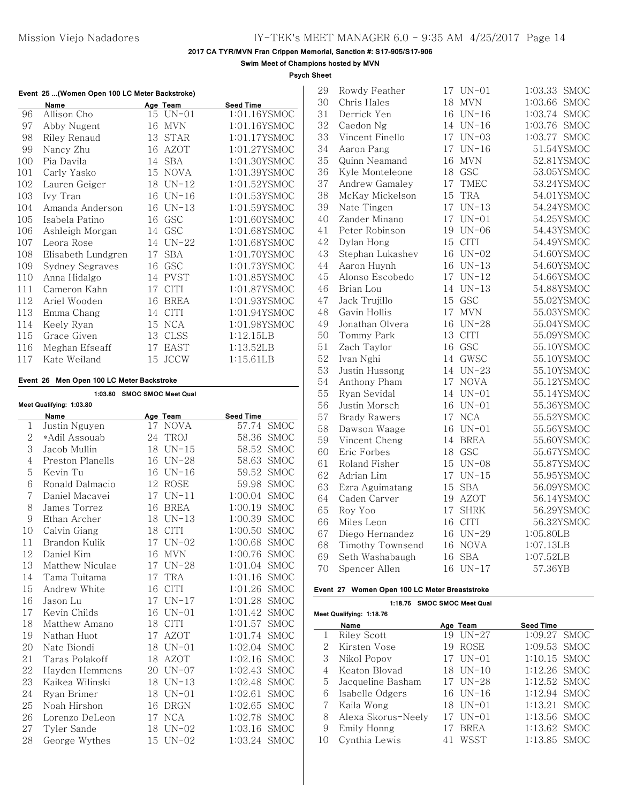**Swim Meet of Champions hosted by MVN**

**Psych Sheet**

|  | Event 25  (Women Open 100 LC Meter Backstroke) |  |  |  |
|--|------------------------------------------------|--|--|--|
|  |                                                |  |  |  |

|     | Name               | Age Team          | <b>Seed Time</b> |  |  |
|-----|--------------------|-------------------|------------------|--|--|
| 96  | Allison Cho        | 15 UN-01          | 1:01.16YSMOC     |  |  |
| 97  | Abby Nugent        | <b>MVN</b><br>16  | 1:01.16YSMOC     |  |  |
| 98  | Riley Renaud       | <b>STAR</b><br>13 | 1:01.17YSMOC     |  |  |
| 99  | Nancy Zhu          | <b>AZOT</b><br>16 | 1:01.27YSMOC     |  |  |
| 100 | Pia Davila         | <b>SBA</b><br>14  | 1:01.30YSMOC     |  |  |
| 101 | Carly Yasko        | <b>NOVA</b><br>15 | 1:01.39YSMOC     |  |  |
| 102 | Lauren Geiger      | $UN-12$<br>18     | 1:01.52YSMOC     |  |  |
| 103 | Ivy Tran           | $UN-16$<br>16     | 1:01.53YSMOC     |  |  |
| 104 | Amanda Anderson    | UN-13<br>16       | 1:01.59YSMOC     |  |  |
| 105 | Isabela Patino     | GSC<br>16         | 1:01.60YSMOC     |  |  |
| 106 | Ashleigh Morgan    | GSC<br>14         | 1:01.68YSMOC     |  |  |
| 107 | Leora Rose         | $UN-22$<br>14     | 1:01.68YSMOC     |  |  |
| 108 | Elisabeth Lundgren | <b>SBA</b><br>17  | 1:01.70YSMOC     |  |  |
| 109 | Sydney Segraves    | GSC<br>16         | 1:01.73YSMOC     |  |  |
| 110 | Anna Hidalgo       | <b>PVST</b><br>14 | 1:01.85YSMOC     |  |  |
| 111 | Cameron Kahn       | <b>CITI</b><br>17 | 1:01.87YSMOC     |  |  |
| 112 | Ariel Wooden       | <b>BREA</b><br>16 | 1:01.93YSMOC     |  |  |
| 113 | Emma Chang         | <b>CITI</b><br>14 | 1:01.94YSMOC     |  |  |
| 114 | Keely Ryan         | NCA<br>15         | 1:01.98YSMOC     |  |  |
| 115 | Grace Given        | <b>CLSS</b><br>13 | 1:12.15LB        |  |  |
| 116 | Meghan Efseaff     | EAST<br>17        | 1:13.52LB        |  |  |
| 117 | Kate Weiland       | <b>JCCW</b><br>15 | 1:15.61LB        |  |  |

#### **Event 26 Men Open 100 LC Meter Backstroke**

|                | 1:03.80                  | <b>SMOC SMOC Meet Qual</b> |             |           |             |
|----------------|--------------------------|----------------------------|-------------|-----------|-------------|
|                | Meet Qualifying: 1:03.80 |                            |             |           |             |
|                | Name                     |                            | Age Team    | Seed Time |             |
| 1              | Justin Nguyen            | 17                         | <b>NOVA</b> | 57.74     | SMOC        |
| 2              | *Adil Assouab            | 24                         | TROJ        | 58.36     | <b>SMOC</b> |
| 3              | Jacob Mullin             | 18                         | $UN-15$     | 58.52     | <b>SMOC</b> |
| $\overline{4}$ | Preston Planells         | 16                         | UN-28       | 58.63     | <b>SMOC</b> |
| 5              | Kevin Tu                 | 16                         | $UN-16$     | 59.52     | <b>SMOC</b> |
| 6              | Ronald Dalmacio          | 12                         | <b>ROSE</b> | 59.98     | <b>SMOC</b> |
| 7              | Daniel Macavei           | 17                         | $UN-11$     | 1:00.04   | <b>SMOC</b> |
| 8              | James Torrez             | 16                         | <b>BREA</b> | 1:00.19   | <b>SMOC</b> |
| 9              | Ethan Archer             | 18                         | $UN-13$     | 1:00.39   | <b>SMOC</b> |
| 10             | Calvin Giang             | 18                         | <b>CITI</b> | 1:00.50   | <b>SMOC</b> |
| 11             | Brandon Kulik            |                            | 17 UN-02    | 1:00.68   | <b>SMOC</b> |
| 12             | Daniel Kim               | 16                         | <b>MVN</b>  | 1:00.76   | SMOC        |
| 13             | Matthew Niculae          | 17                         | $UN-28$     | 1:01.04   | <b>SMOC</b> |
| 14             | Tama Tuitama             | 17                         | <b>TRA</b>  | 1:01.16   | <b>SMOC</b> |
| 15             | Andrew White             | 16                         | <b>CITI</b> | 1:01.26   | <b>SMOC</b> |
| 16             | Jason Lu                 |                            | 17 UN-17    | 1:01.28   | SMOC        |
| 17             | Kevin Childs             | 16                         | $UN-01$     | 1:01.42   | <b>SMOC</b> |
| 18             | Matthew Amano            | 18                         | <b>CITI</b> | 1:01.57   | <b>SMOC</b> |
| 19             | Nathan Huot              | 17                         | <b>AZOT</b> | 1:01.74   | <b>SMOC</b> |
| 20             | Nate Biondi              | 18                         | $UN-01$     | 1:02.04   | <b>SMOC</b> |
| 21             | Taras Polakoff           | 18                         | <b>AZOT</b> | 1:02.16   | <b>SMOC</b> |
| 22             | Hayden Hemmens           | 20                         | $UN-07$     | 1:02.43   | <b>SMOC</b> |
| 23             | Kaikea Wilinski          | 18                         | $UN-13$     | 1:02.48   | <b>SMOC</b> |
| 24             | Ryan Brimer              | 18                         | $UN-01$     | 1:02.61   | <b>SMOC</b> |
| 25             | Noah Hirshon             | 16                         | <b>DRGN</b> | 1:02.65   | <b>SMOC</b> |
| 26             | Lorenzo DeLeon           | 17                         | <b>NCA</b>  | 1:02.78   | <b>SMOC</b> |
| 27             | Tyler Sande              | 18                         | $UN-02$     | 1:03.16   | <b>SMOC</b> |
| 28             | George Wythes            | 15                         | $UN-02$     | 1:03.24   | <b>SMOC</b> |

| 29 | Rowdy Feather       | 17 | $UN-01$     | <b>SMOC</b><br>1:03.33 |
|----|---------------------|----|-------------|------------------------|
| 30 | Chris Hales         |    | 18 MVN      | 1:03.66 SMOC           |
| 31 | Derrick Yen         |    | 16 UN-16    | 1:03.74<br><b>SMOC</b> |
| 32 | Caedon Ng           | 14 | $UN-16$     | 1:03.76<br><b>SMOC</b> |
| 33 | Vincent Finello     | 17 | $UN-03$     | 1:03.77 SMOC           |
| 34 | Aaron Pang          | 17 | $UN-16$     | 51.54YSMOC             |
| 35 | Quinn Neamand       | 16 | <b>MVN</b>  | 52.81YSMOC             |
| 36 | Kyle Monteleone     | 18 | GSC         | 53.05YSMOC             |
| 37 | Andrew Gamaley      | 17 | TMEC        | 53.24YSMOC             |
| 38 | McKay Mickelson     | 15 | <b>TRA</b>  | 54.01YSMOC             |
| 39 | Nate Tingen         | 17 | $UN-13$     | 54.24YSMOC             |
| 40 | Zander Minano       | 17 | $UN-01$     | 54.25YSMOC             |
| 41 | Peter Robinson      | 19 | $UN-06$     | 54.43YSMOC             |
| 42 | Dylan Hong          | 15 | <b>CITI</b> | 54.49YSMOC             |
| 43 | Stephan Lukashev    | 16 | $UN-02$     | 54.60YSMOC             |
| 44 | Aaron Huynh         |    | 16 UN-13    | 54.60YSMOC             |
| 45 | Alonso Escobedo     | 17 | $UN-12$     | 54.66YSMOC             |
| 46 | Brian Lou           | 14 | $UN-13$     | 54.88YSMOC             |
| 47 | Jack Trujillo       | 15 | GSC         | 55.02YSMOC             |
| 48 | Gavin Hollis        | 17 | <b>MVN</b>  | 55.03YSMOC             |
| 49 | Jonathan Olvera     | 16 | $UN-28$     | 55.04YSMOC             |
| 50 | Tommy Park          | 13 | <b>CITI</b> | 55.09YSMOC             |
| 51 | Zach Taylor         | 16 | GSC         | 55.10YSMOC             |
| 52 | Ivan Nghi           | 14 | GWSC        | 55.10YSMOC             |
| 53 | Justin Hussong      | 14 | $UN-23$     | 55.10YSMOC             |
| 54 | Anthony Pham        | 17 | <b>NOVA</b> | 55.12YSMOC             |
| 55 | Ryan Sevidal        | 14 | $UN-01$     | 55.14YSMOC             |
| 56 | Justin Morsch       |    | 16 UN-01    | 55.36YSMOC             |
| 57 | <b>Brady Rawers</b> | 17 | <b>NCA</b>  | 55.52YSMOC             |
| 58 | Dawson Waage        | 16 | $UN-01$     | 55.56YSMOC             |
| 59 | Vincent Cheng       | 14 | <b>BREA</b> | 55.60YSMOC             |
| 60 | Eric Forbes         | 18 | GSC         | 55.67YSMOC             |
| 61 | Roland Fisher       |    | 15 UN-08    | 55.87YSMOC             |
| 62 | Adrian Lim          | 17 | $UN-15$     | 55.95YSMOC             |
| 63 | Ezra Aguimatang     | 15 | <b>SBA</b>  | 56.09YSMOC             |
| 64 | Caden Carver        | 19 | <b>AZOT</b> | 56.14YSMOC             |
| 65 | Roy Yoo             | 17 | <b>SHRK</b> | 56.29YSMOC             |
| 66 | Miles Leon          | 16 | <b>CITI</b> | 56.32YSMOC             |
| 67 | Diego Hernandez     |    | 16 UN-29    | 1:05.80LB              |
| 68 | Timothy Townsend    | 16 | <b>NOVA</b> | 1:07.13LB              |
| 69 | Seth Washabaugh     | 16 | <b>SBA</b>  | 1:07.52LB              |
| 70 | Spencer Allen       | 16 | $UN-17$     | 57.36YB                |

### **Event 27 Women Open 100 LC Meter Breaststroke**

### **1:18.76 SMOC SMOC Meet Qual**

| Meet Qualifying: 1:18.76 |                    |  |               |                  |  |  |  |  |  |
|--------------------------|--------------------|--|---------------|------------------|--|--|--|--|--|
|                          | Name               |  | Age Team      | <b>Seed Time</b> |  |  |  |  |  |
| 1                        | <b>Riley Scott</b> |  | 19 UN-27      | 1:09.27 SMOC     |  |  |  |  |  |
| 2                        | Kirsten Vose       |  | 19 ROSE       | 1:09.53 SMOC     |  |  |  |  |  |
| 3                        | Nikol Popov        |  | $17$ UN-01    | $1:10.15$ SMOC   |  |  |  |  |  |
| 4                        | Keaton Blovad      |  | $18$ UN $-10$ | 1:12.26 SMOC     |  |  |  |  |  |
| 5                        | Jacqueline Basham  |  | 17 UN-28      | 1:12.52 SMOC     |  |  |  |  |  |
| 6                        | Isabelle Odgers    |  | $16$ UN-16    | 1:12.94 SMOC     |  |  |  |  |  |
|                          | Kaila Wong         |  | 18 UN-01      | 1:13.21 SMOC     |  |  |  |  |  |
| 8                        | Alexa Skorus-Neely |  | 17 UN-01      | 1:13.56 SMOC     |  |  |  |  |  |
| 9                        | Emily Honng        |  | <b>BREA</b>   | 1:13.62 SMOC     |  |  |  |  |  |
| 10                       | Cynthia Lewis      |  | WSST          | 1:13.85 SMOC     |  |  |  |  |  |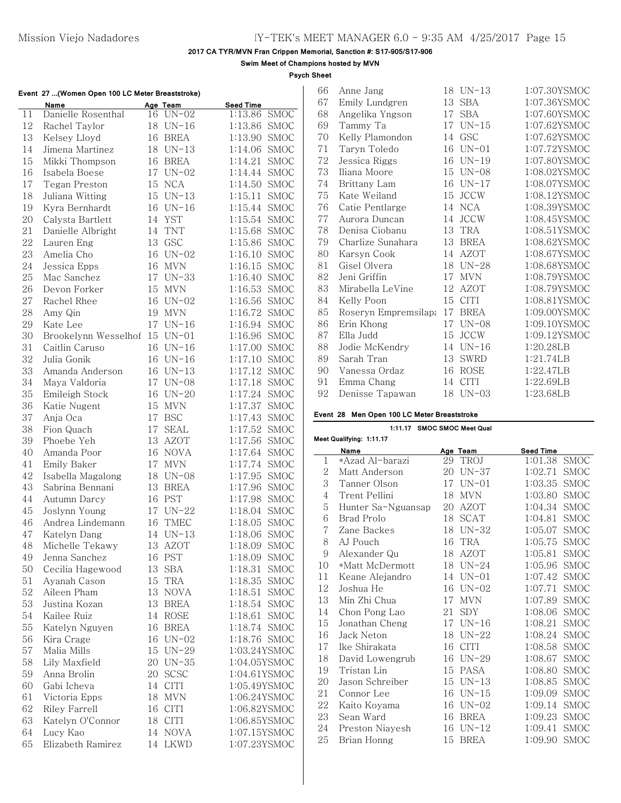**Swim Meet of Champions hosted by MVN**

**Psych Sheet**

|  |  |  | Event 27 (Women Open 100 LC Meter Breaststroke) |  |
|--|--|--|-------------------------------------------------|--|

|    | Name                 |    | Age Team    | Seed Time              |
|----|----------------------|----|-------------|------------------------|
| 11 | Danielle Rosenthal   | 16 | $UN-02$     | 1:13.86 SMOC           |
| 12 | Rachel Taylor        |    | 18 UN-16    | 1:13.86<br>SMOC        |
| 13 | Kelsey Lloyd         |    | 16 BREA     | 1:13.90<br>SMOC        |
| 14 | Jimena Martinez      |    | 18 UN-13    | SMOC<br>1:14.06        |
| 15 | Mikki Thompson       | 16 | BREA        | 1:14.21<br>SMOC        |
| 16 | Isabela Boese        | 17 | $UN-02$     | 1:14.44<br>SMOC        |
| 17 | Tegan Preston        | 15 | NCA         | <b>SMOC</b><br>1:14.50 |
| 18 | Juliana Witting      | 15 | $UN-13$     | <b>SMOC</b><br>1:15.11 |
| 19 | Kyra Bernhardt       | 16 | UN-16       | 1:15.44<br>SMOC        |
| 20 | Calysta Bartlett     | 14 | YST         | 1:15.54<br><b>SMOC</b> |
| 21 | Danielle Albright    | 14 | <b>TNT</b>  | 1:15.68<br>SMOC        |
| 22 | Lauren Eng           | 13 | GSC         | 1:15.86<br>SMOC        |
| 23 |                      |    |             |                        |
|    | Amelia Cho           | 16 | UN-02       | 1:16.10<br><b>SMOC</b> |
| 24 | Jessica Epps         | 16 | MVN         | 1:16.15<br>SMOC        |
| 25 | Mac Sanchez          | 17 | $UN-33$     | 1:16.40<br>SMOC        |
| 26 | Devon Forker         | 15 | MVN         | 1:16.53<br>SMOC        |
| 27 | Rachel Rhee          | 16 | UN-02       | 1:16.56<br>SMOC        |
| 28 | Amy Qin              | 19 | <b>MVN</b>  | 1:16.72<br>SMOC        |
| 29 | Kate Lee             | 17 | UN-16       | 1:16.94<br>SMOC        |
| 30 | Brookelynn Wesselhof | 15 | UN-01       | SMOC<br>1:16.96        |
| 31 | Caitlin Caruso       | 16 | UN-16       | 1:17.00<br>SMOC        |
| 32 | Julia Gonik          | 16 | UN-16       | <b>SMOC</b><br>1:17.10 |
| 33 | Amanda Anderson      | 16 | UN-13       | 1:17.12<br>SMOC        |
| 34 | Maya Valdoria        | 17 | $UN-08$     | 1:17.18<br>SMOC        |
| 35 | Emileigh Stock       | 16 | $UN-20$     | 1:17.24<br><b>SMOC</b> |
| 36 | Katie Nugent         | 15 | <b>MVN</b>  | 1:17.37<br>SMOC        |
| 37 | Anja Oca             | 17 | <b>BSC</b>  | 1:17.43<br>SMOC        |
| 38 | Fion Quach           | 17 | <b>SEAL</b> | 1:17.52<br>SMOC        |
| 39 | Phoebe Yeh           | 13 | <b>AZOT</b> | 1:17.56<br>SMOC        |
| 40 | Amanda Poor          | 16 | <b>NOVA</b> | 1:17.64<br>SMOC        |
| 41 | Emily Baker          | 17 | <b>MVN</b>  | 1:17.74<br><b>SMOC</b> |
| 42 | Isabella Magalong    | 18 | UN-08       | SMOC<br>1:17.95        |
| 43 | Sabrina Bennani      | 13 | BREA        | SMOC<br>1:17.96        |
| 44 | Autumn Darcy         | 16 | PST         | <b>SMOC</b><br>1:17.98 |
| 45 | Joslynn Young        | 17 | $UN-22$     | SMOC<br>1:18.04        |
| 46 | Andrea Lindemann     | 16 | TMEC        | 1:18.05<br>SMOC        |
| 47 | Katelyn Dang         | 14 | $UN-13$     | SMOC<br>1:18.06        |
| 48 | Michelle Tekawy      | 13 | <b>AZOT</b> | SMOC<br>1:18.09        |
| 49 | Jenna Sanchez        | 16 | PST         | 1:18.09<br>SMOC        |
| 50 | Cecilia Hagewood     | 13 | <b>SBA</b>  | 1:18.31<br>SMOC        |
| 51 | Ayanah Cason         | 15 | TRA         | 1:18.35<br>SMOC        |
| 52 | Aileen Pham          | 13 | <b>NOVA</b> | 1:18.51<br>SMOC        |
| 53 | Justina Kozan        | 13 | BREA        | 1:18.54<br>SMOC        |
| 54 | Kailee Ruiz          | 14 | <b>ROSE</b> | SMOC<br>1:18.61        |
| 55 | Katelyn Nguyen       | 16 | BREA        | 1:18.74<br>SMOC        |
| 56 | Kira Crage           | 16 | $UN-02$     | 1:18.76<br><b>SMOC</b> |
| 57 | Malia Mills          | 15 | $UN-29$     | 1:03.24YSMOC           |
| 58 | Lily Maxfield        | 20 |             | 1:04.05YSMOC           |
|    |                      |    | UN-35       |                        |
| 59 | Anna Brolin          | 20 | <b>SCSC</b> | 1:04.61YSMOC           |
| 60 | Gabi Icheva          | 14 | CITI        | 1:05.49YSMOC           |
| 61 | Victoria Epps        | 18 | <b>MVN</b>  | 1:06.24YSMOC           |
| 62 | Riley Farrell        | 16 | CITI        | 1:06.82YSMOC           |
| 63 | Katelyn O'Connor     | 18 | <b>CITI</b> | 1:06.85YSMOC           |
| 64 | Lucy Kao             | 14 | NOVA        | 1:07.15YSMOC           |
| 65 | Elizabeth Ramirez    | 14 | LKWD        | 1:07.23YSMOC           |

| 66 | Anne Jang            | 18 | UN-13       | 1:07.30YSMOC |
|----|----------------------|----|-------------|--------------|
| 67 | Emily Lundgren       |    | 13 SBA      | 1:07.36YSMOC |
| 68 | Angelika Yngson      | 17 | <b>SBA</b>  | 1:07.60YSMOC |
| 69 | Tammy Ta             | 17 | $UN-15$     | 1:07.62YSMOC |
| 70 | Kelly Plamondon      | 14 | GSC         | 1:07.62YSMOC |
| 71 | Taryn Toledo         | 16 | $UN-01$     | 1:07.72YSMOC |
| 72 | Jessica Riggs        | 16 | $UN-19$     | 1:07.80YSMOC |
| 73 | Iliana Moore         | 15 | $UN-08$     | 1:08.02YSMOC |
| 74 | Brittany Lam         | 16 | $UN-17$     | 1:08.07YSMOC |
| 75 | Kate Weiland         | 15 | <b>JCCW</b> | 1:08.12YSMOC |
| 76 | Catie Pentlarge      | 14 | <b>NCA</b>  | 1:08.39YSMOC |
| 77 | Aurora Duncan        | 14 | <b>JCCW</b> | 1:08.45YSMOC |
| 78 | Denisa Ciobanu       | 13 | <b>TRA</b>  | 1:08.51YSMOC |
| 79 | Charlize Sunahara    | 13 | <b>BREA</b> | 1:08.62YSMOC |
| 80 | Karsyn Cook          | 14 | <b>AZOT</b> | 1:08.67YSMOC |
| 81 | Gisel Olvera         | 18 | $UN-28$     | 1:08.68YSMOC |
| 82 | Jeni Griffin         | 17 | <b>MVN</b>  | 1:08.79YSMOC |
| 83 | Mirabella LeVine     | 12 | <b>AZOT</b> | 1:08.79YSMOC |
| 84 | Kelly Poon           | 15 | <b>CITI</b> | 1:08.81YSMOC |
| 85 | Roseryn Empremsilapa | 17 | <b>BREA</b> | 1:09.00YSMOC |
| 86 | Erin Khong           | 17 | $UN-08$     | 1:09.10YSMOC |
| 87 | Ella Judd            | 15 | <b>JCCW</b> | 1:09.12YSMOC |
| 88 | Jodie McKendry       | 14 | $UN-16$     | 1:20.28LB    |
| 89 | Sarah Tran           | 13 | <b>SWRD</b> | 1:21.74LB    |
| 90 | Vanessa Ordaz        | 16 | <b>ROSE</b> | 1:22.47LB    |
| 91 | Emma Chang           | 14 | <b>CITI</b> | 1:22.69LB    |
| 92 | Denisse Tapawan      |    | 18 UN-03    | 1:23.68LB    |

## **Event 28 Men Open 100 LC Meter Breaststroke**

#### **1:11.17 SMOC SMOC Meet Qual**

**Meet Qualifying: 1:11.17**

|    | Name               |    | Age Team    | <b>Seed Time</b> |             |  |
|----|--------------------|----|-------------|------------------|-------------|--|
| 1  | *Azad Al-barazi    | 29 | TROJ        | 1:01.38          | <b>SMOC</b> |  |
| 2  | Matt Anderson      | 20 | $UN-37$     | 1:02.71          | SMOC        |  |
| 3  | Tanner Olson       | 17 | $UN-01$     | 1:03.35          | SMOC        |  |
| 4  | Trent Pellini      | 18 | <b>MVN</b>  | 1:03.80          | <b>SMOC</b> |  |
| 5  | Hunter Sa-Nguansap | 20 | <b>AZOT</b> | 1:04.34          | <b>SMOC</b> |  |
| 6  | Brad Prolo         | 18 | <b>SCAT</b> | 1:04.81          | SMOC        |  |
| 7  | Zane Backes        | 18 | $UN-32$     | 1:05.07          | SMOC        |  |
| 8  | AJ Pouch           | 16 | <b>TRA</b>  | 1:05.75          | <b>SMOC</b> |  |
| 9  | Alexander Qu       | 18 | <b>AZOT</b> | 1:05.81          | <b>SMOC</b> |  |
| 10 | *Matt McDermott    | 18 | $UN-24$     | 1:05.96          | <b>SMOC</b> |  |
| 11 | Keane Alejandro    | 14 | $UN-01$     | 1:07.42          | SMOC        |  |
| 12 | Joshua He          | 16 | $UN-02$     | 1:07.71          | <b>SMOC</b> |  |
| 13 | Min Zhi Chua       | 17 | <b>MVN</b>  | 1:07.89          | <b>SMOC</b> |  |
| 14 | Chon Pong Lao      | 21 | <b>SDY</b>  | 1:08.06          | <b>SMOC</b> |  |
| 15 | Jonathan Cheng     | 17 | $UN-16$     | 1:08.21          | SMOC        |  |
| 16 | Jack Neton         | 18 | $UN-22$     | 1:08.24          | <b>SMOC</b> |  |
| 17 | Ike Shirakata      | 16 | <b>CITI</b> | 1:08.58          | <b>SMOC</b> |  |
| 18 | David Lowengrub    | 16 | $UN-29$     | 1:08.67          | <b>SMOC</b> |  |
| 19 | Tristan Lin        | 15 | PASA        | 1:08.80          | <b>SMOC</b> |  |
| 20 | Jason Schreiber    | 15 | $UN-13$     | 1:08.85          | SMOC        |  |
| 21 | Connor Lee         | 16 | $UN-15$     | 1:09.09          | SMOC        |  |
| 22 | Kaito Koyama       | 16 | $UN-02$     | 1:09.14          | SMOC        |  |
| 23 | Sean Ward          | 16 | <b>BREA</b> | 1:09.23          | <b>SMOC</b> |  |
| 24 | Preston Niayesh    | 16 | $UN-12$     | 1:09.41          | SMOC        |  |
| 25 | Brian Honng        | 15 | <b>BREA</b> | 1:09.90          | <b>SMOC</b> |  |
|    |                    |    |             |                  |             |  |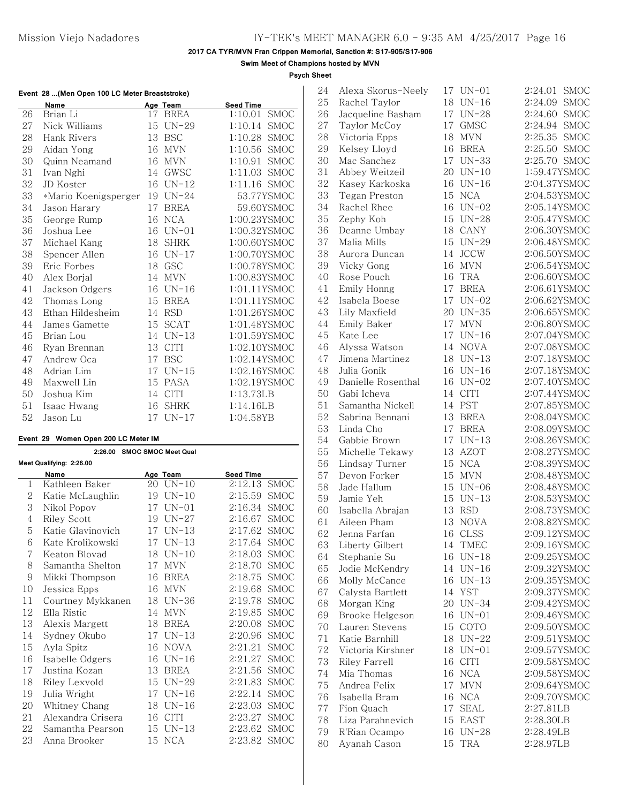**Swim Meet of Champions hosted by MVN**

**Psych Sheet**

| Event 28  (Men Open 100 LC Meter Breaststroke) |  |  |  |  |  |
|------------------------------------------------|--|--|--|--|--|

|    | Name                 |    | Age Team    | <b>Seed Time</b>       |
|----|----------------------|----|-------------|------------------------|
| 26 | Brian Li             | 17 | <b>BREA</b> | 1:10.01<br><b>SMOC</b> |
| 27 | Nick Williams        | 15 | $UN-29$     | 1:10.14<br><b>SMOC</b> |
| 28 | Hank Rivers          | 13 | <b>BSC</b>  | 1:10.28<br><b>SMOC</b> |
| 29 | Aidan Yong           | 16 | <b>MVN</b>  | <b>SMOC</b><br>1:10.56 |
| 30 | Quinn Neamand        | 16 | <b>MVN</b>  | 1:10.91<br><b>SMOC</b> |
| 31 | Ivan Nghi            | 14 | GWSC        | 1:11.03<br><b>SMOC</b> |
| 32 | JD Koster            | 16 | $UN-12$     | 1:11.16 SMOC           |
| 33 | *Mario Koenigsperger | 19 | $UN-24$     | 53.77YSMOC             |
| 34 | Jason Harary         | 17 | <b>BREA</b> | 59.60YSMOC             |
| 35 | George Rump          | 16 | <b>NCA</b>  | 1:00.23YSMOC           |
| 36 | Joshua Lee           | 16 | $UN-01$     | 1:00.32YSMOC           |
| 37 | Michael Kang         | 18 | <b>SHRK</b> | 1:00.60YSMOC           |
| 38 | Spencer Allen        | 16 | $UN-17$     | 1:00.70YSMOC           |
| 39 | Eric Forbes          | 18 | GSC         | 1:00.78YSMOC           |
| 40 | Alex Borjal          | 14 | <b>MVN</b>  | 1:00.83YSMOC           |
| 41 | Jackson Odgers       | 16 | $UN-16$     | 1:01.11YSMOC           |
| 42 | Thomas Long          | 15 | <b>BREA</b> | 1:01.11YSMOC           |
| 43 | Ethan Hildesheim     | 14 | <b>RSD</b>  | 1:01.26YSMOC           |
| 44 | James Gamette        | 15 | <b>SCAT</b> | 1:01.48YSMOC           |
| 45 | Brian Lou            | 14 | $UN-13$     | 1:01.59YSMOC           |
| 46 | Ryan Brennan         | 13 | <b>CITI</b> | 1:02.10YSMOC           |
| 47 | Andrew Oca           | 17 | <b>BSC</b>  | 1:02.14YSMOC           |
| 48 | Adrian Lim           | 17 | $UN-15$     | 1:02.16YSMOC           |
| 49 | Maxwell Lin          | 15 | PASA        | 1:02.19YSMOC           |
| 50 | Joshua Kim           | 14 | <b>CITI</b> | 1:13.73LB              |
| 51 | Isaac Hwang          | 16 | <b>SHRK</b> | 1:14.16LB              |
| 52 | Jason Lu             | 17 | $UN-17$     | 1:04.58YB              |

#### **Event 29 Women Open 200 LC Meter IM**

| 2:26.00<br><b>SMOC SMOC Meet Qual</b> |                          |    |             |           |             |  |  |  |
|---------------------------------------|--------------------------|----|-------------|-----------|-------------|--|--|--|
|                                       | Meet Qualifying: 2:26.00 |    |             |           |             |  |  |  |
|                                       | Name                     |    | Age Team    | Seed Time |             |  |  |  |
| $\mathbf{1}$                          | Kathleen Baker           | 20 | $UN-10$     | 2:12.13   | <b>SMOC</b> |  |  |  |
| 2                                     | Katie McLaughlin         | 19 | $UN-10$     | 2:15.59   | <b>SMOC</b> |  |  |  |
| 3                                     | Nikol Popov              | 17 | $UN-01$     | 2:16.34   | <b>SMOC</b> |  |  |  |
| $\overline{4}$                        | <b>Riley Scott</b>       | 19 | $UN-27$     | 2:16.67   | <b>SMOC</b> |  |  |  |
| 5                                     | Katie Glavinovich        | 17 | $UN-13$     | 2:17.62   | <b>SMOC</b> |  |  |  |
| 6                                     | Kate Krolikowski         | 17 | UN-13       | 2:17.64   | <b>SMOC</b> |  |  |  |
| 7                                     | Keaton Blovad            | 18 | $UN-10$     | 2:18.03   | <b>SMOC</b> |  |  |  |
| 8                                     | Samantha Shelton         | 17 | <b>MVN</b>  | 2:18.70   | <b>SMOC</b> |  |  |  |
| 9                                     | Mikki Thompson           | 16 | <b>BREA</b> | 2:18.75   | <b>SMOC</b> |  |  |  |
| 10                                    | Jessica Epps             | 16 | <b>MVN</b>  | 2:19.68   | <b>SMOC</b> |  |  |  |
| 11                                    | Courtney Mykkanen        | 18 | $UN-36$     | 2:19.78   | <b>SMOC</b> |  |  |  |
| 12                                    | Ella Ristic              | 14 | <b>MVN</b>  | 2:19.85   | <b>SMOC</b> |  |  |  |
| 13                                    | Alexis Margett           | 18 | <b>BREA</b> | 2:20.08   | <b>SMOC</b> |  |  |  |
| 14                                    | Sydney Okubo             | 17 | $UN-13$     | 2:20.96   | <b>SMOC</b> |  |  |  |
| 15                                    | Ayla Spitz               | 16 | <b>NOVA</b> | 2:21.21   | <b>SMOC</b> |  |  |  |
| 16                                    | Isabelle Odgers          | 16 | $UN-16$     | 2:21.27   | <b>SMOC</b> |  |  |  |
| 17                                    | Justina Kozan            | 13 | <b>BREA</b> | 2:21.56   | <b>SMOC</b> |  |  |  |
| 18                                    | Riley Lexvold            | 15 | $UN-29$     | 2:21.83   | <b>SMOC</b> |  |  |  |
| 19                                    | Julia Wright             | 17 | $UN-16$     | 2:22.14   | SMOC        |  |  |  |
| 20                                    | Whitney Chang            | 18 | $UN-16$     | 2:23.03   | <b>SMOC</b> |  |  |  |
| 21                                    | Alexandra Crisera        | 16 | <b>CITI</b> | 2:23.27   | SMOC        |  |  |  |
| 22                                    | Samantha Pearson         | 15 | $UN-13$     | 2:23.62   | <b>SMOC</b> |  |  |  |
| 23                                    | Anna Brooker             |    | 15 NCA      | 2:23.82   | <b>SMOC</b> |  |  |  |

| 24 | Alexa Skorus-Neely |    | 17 UN-01    | SMOC<br>2:24.01        |
|----|--------------------|----|-------------|------------------------|
| 25 | Rachel Taylor      |    | 18 UN-16    | 2:24.09<br><b>SMOC</b> |
| 26 | Jacqueline Basham  |    | 17 UN-28    | 2:24.60<br>SMOC        |
| 27 | Taylor McCoy       | 17 | GMSC        | 2:24.94<br>SMOC        |
| 28 | Victoria Epps      | 18 | <b>MVN</b>  | 2:25.35<br>SMOC        |
| 29 | Kelsey Lloyd       | 16 | <b>BREA</b> | 2:25.50<br>SMOC        |
| 30 | Mac Sanchez        | 17 | $UN-33$     | 2:25.70<br>SMOC        |
| 31 | Abbey Weitzeil     | 20 | $UN-10$     | 1:59.47YSMOC           |
| 32 | Kasey Karkoska     | 16 | $UN-16$     | 2:04.37YSMOC           |
| 33 | Tegan Preston      | 15 | <b>NCA</b>  | 2:04.53YSMOC           |
| 34 | Rachel Rhee        | 16 | $UN-02$     | 2:05.14YSMOC           |
| 35 | Zephy Koh          | 15 | $UN-28$     | 2:05.47YSMOC           |
| 36 | Deanne Umbay       | 18 | CANY        | 2:06.30YSMOC           |
| 37 | Malia Mills        | 15 | $UN-29$     | 2:06.48YSMOC           |
| 38 | Aurora Duncan      | 14 | <b>JCCW</b> | 2:06.50YSMOC           |
| 39 | Vicky Gong         | 16 | <b>MVN</b>  | 2:06.54YSMOC           |
| 40 | Rose Pouch         | 16 | <b>TRA</b>  | 2:06.60YSMOC           |
| 41 | Emily Honng        | 17 | <b>BREA</b> | 2:06.61YSMOC           |
| 42 | Isabela Boese      |    | 17 UN-02    | 2:06.62YSMOC           |
| 43 | Lily Maxfield      | 20 | $UN-35$     | 2:06.65YSMOC           |
| 44 | Emily Baker        | 17 | <b>MVN</b>  | 2:06.80YSMOC           |
| 45 | Kate Lee           | 17 | $UN-16$     | 2:07.04YSMOC           |
| 46 | Alyssa Watson      | 14 | <b>NOVA</b> | 2:07.08YSMOC           |
| 47 | Jimena Martinez    |    | 18 UN-13    | 2:07.18YSMOC           |
| 48 | Julia Gonik        | 16 | $UN-16$     | 2:07.18YSMOC           |
| 49 | Danielle Rosenthal | 16 | $UN-02$     | 2:07.40YSMOC           |
| 50 | Gabi Icheva        | 14 | <b>CITI</b> | 2:07.44YSMOC           |
| 51 | Samantha Nickell   | 14 | PST         | 2:07.85YSMOC           |
| 52 | Sabrina Bennani    | 13 | <b>BREA</b> | 2:08.04YSMOC           |
| 53 | Linda Cho          | 17 | <b>BREA</b> | 2:08.09YSMOC           |
| 54 | Gabbie Brown       | 17 | $UN-13$     | 2:08.26YSMOC           |
| 55 | Michelle Tekawy    | 13 | <b>AZOT</b> | 2:08.27YSMOC           |
| 56 | Lindsay Turner     | 15 | <b>NCA</b>  | 2:08.39YSMOC           |
| 57 | Devon Forker       | 15 | <b>MVN</b>  | 2:08.48YSMOC           |
| 58 | Jade Hallum        | 15 | $UN-06$     | 2:08.48YSMOC           |
| 59 | Jamie Yeh          | 15 | UN-13       | 2:08.53YSMOC           |
| 60 | Isabella Abrajan   | 13 | <b>RSD</b>  | 2:08.73YSMOC           |
| 61 | Aileen Pham        | 13 | <b>NOVA</b> | 2:08.82YSMOC           |
| 62 | Jenna Farfan       | 16 | <b>CLSS</b> | 2:09.12YSMOC           |
| 63 | Liberty Gilbert    | 14 | <b>TMEC</b> | 2:09.16YSMOC           |
| 64 | Stephanie Su       | 16 | $UN-18$     | 2:09.25YSMOC           |
| 65 | Jodie McKendry     | 14 | $UN-16$     | 2:09.32YSMOC           |
| 66 | Molly McCance      | 16 | $UN-13$     | 2:09.35YSMOC           |
| 67 | Calysta Bartlett   | 14 | <b>YST</b>  | 2:09.37YSMOC           |
| 68 | Morgan King        | 20 | $UN-34$     | 2:09.42YSMOC           |
| 69 | Brooke Helgeson    | 16 | $UN-01$     | 2:09.46YSMOC           |
| 70 | Lauren Stevens     | 15 | COTO        | 2:09.50YSMOC           |
| 71 | Katie Barnhill     | 18 | UN-22       | 2:09.51YSMOC           |
| 72 | Victoria Kirshner  | 18 | $UN-01$     | 2:09.57YSMOC           |
| 73 | Riley Farrell      | 16 | <b>CITI</b> | 2:09.58YSMOC           |
| 74 | Mia Thomas         | 16 | <b>NCA</b>  | 2:09.58YSMOC           |
| 75 | Andrea Felix       | 17 | MVN         | 2:09.64YSMOC           |
| 76 | Isabella Bram      | 16 | NCA         | 2:09.70YSMOC           |
| 77 | Fion Quach         | 17 | SEAL        | 2:27.81LB              |
| 78 | Liza Parahnevich   | 15 | EAST        | 2:28.30LB              |
| 79 | R'Rian Ocampo      | 16 | $UN-28$     | 2:28.49LB              |
| 80 | Ayanah Cason       | 15 | TRA         | 2:28.97LB              |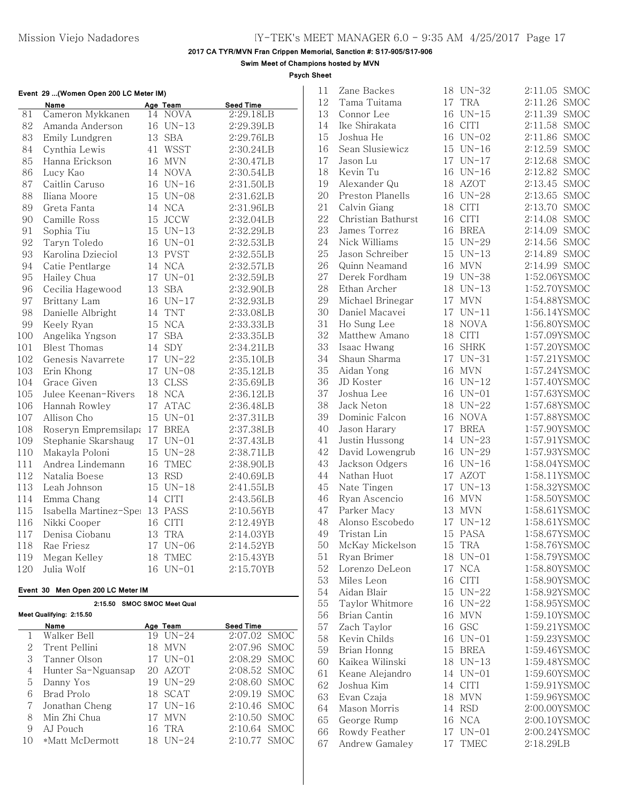**Swim Meet of Champions hosted by MVN**

**Psych Sheet**

### **Event 29 ...(Women Open 200 LC Meter IM)**

|     | Name                   |    | Age Team    | Seed Time |
|-----|------------------------|----|-------------|-----------|
| 81  | Cameron Mykkanen       | 14 | <b>NOVA</b> | 2:29.18LB |
| 82  | Amanda Anderson        |    | 16 UN-13    | 2:29.39LB |
| 83  | Emily Lundgren         | 13 | <b>SBA</b>  | 2:29.76LB |
| 84  | Cynthia Lewis          | 41 | WSST        | 2:30.24LB |
| 85  | Hanna Erickson         | 16 | <b>MVN</b>  | 2:30.47LB |
| 86  | Lucy Kao               | 14 | <b>NOVA</b> | 2:30.54LB |
| 87  | Caitlin Caruso         | 16 | $UN-16$     | 2:31.50LB |
| 88  | Iliana Moore           | 15 | $UN-08$     | 2:31.62LB |
| 89  | Greta Fanta            | 14 | <b>NCA</b>  | 2:31.96LB |
| 90  | Camille Ross           | 15 | <b>JCCW</b> | 2:32.04LB |
| 91  | Sophia Tiu             | 15 | $UN-13$     | 2:32.29LB |
| 92  | Taryn Toledo           | 16 | $UN-01$     | 2:32.53LB |
| 93  | Karolina Dzieciol      | 13 | <b>PVST</b> | 2:32.55LB |
| 94  | Catie Pentlarge        | 14 | NCA         | 2:32.57LB |
| 95  | Hailey Chua            |    | 17 UN-01    | 2:32.59LB |
| 96  | Cecilia Hagewood       | 13 | <b>SBA</b>  | 2:32.90LB |
| 97  | Brittany Lam           | 16 | $UN-17$     | 2:32.93LB |
| 98  | Danielle Albright      | 14 | <b>TNT</b>  | 2:33.08LB |
| 99  | Keely Ryan             | 15 | <b>NCA</b>  | 2:33.33LB |
| 100 | Angelika Yngson        | 17 | <b>SBA</b>  | 2:33.35LB |
| 101 | <b>Blest Thomas</b>    | 14 | <b>SDY</b>  | 2:34.21LB |
| 102 | Genesis Navarrete      | 17 | $UN-22$     | 2:35.10LB |
| 103 | Erin Khong             | 17 | $UN-08$     | 2:35.12LB |
| 104 | Grace Given            | 13 | <b>CLSS</b> | 2:35.69LB |
| 105 | Julee Keenan-Rivers    | 18 | <b>NCA</b>  | 2:36.12LB |
| 106 | Hannah Rowley          | 17 | ATAC        | 2:36.48LB |
| 107 | Allison Cho            | 15 | $UN-01$     | 2:37.31LB |
| 108 | Roseryn Empremsilapa   | 17 | <b>BREA</b> | 2:37.38LB |
| 109 | Stephanie Skarshaug    | 17 | $UN-01$     | 2:37.43LB |
| 110 | Makayla Poloni         | 15 | $UN-28$     | 2:38.71LB |
| 111 | Andrea Lindemann       | 16 | TMEC        | 2:38.90LB |
| 112 | Natalia Boese          | 13 | <b>RSD</b>  | 2:40.69LB |
| 113 | Leah Johnson           | 15 | $UN-18$     | 2:41.55LB |
| 114 | Emma Chang             | 14 | <b>CITI</b> | 2:43.56LB |
| 115 | Isabella Martinez-Sper | 13 | PASS        | 2:10.56YB |
| 116 | Nikki Cooper           | 16 | <b>CITI</b> | 2:12.49YB |
| 117 | Denisa Ciobanu         | 13 | <b>TRA</b>  | 2:14.03YB |
| 118 | Rae Friesz             | 17 | $UN-06$     | 2:14.52YB |
| 119 | Megan Kelley           | 18 | TMEC        | 2:15.43YB |
| 120 | Julia Wolf             | 16 | $UN-01$     | 2:15.70YB |
|     |                        |    |             |           |

### **Event 30 Men Open 200 LC Meter IM**

| <b>SMOC SMOC Meet Qual</b><br>2:15.50 |                          |     |            |              |  |  |
|---------------------------------------|--------------------------|-----|------------|--------------|--|--|
|                                       | Meet Qualifying: 2:15.50 |     |            |              |  |  |
|                                       | Name                     |     | Age Team   | Seed Time    |  |  |
|                                       | Walker Bell              |     | 19 UN-24   | 2:07.02 SMOC |  |  |
| 2                                     | Trent Pellini            | 18. | MVN        | 2:07.96 SMOC |  |  |
| 3                                     | Tanner Olson             |     | 17 UN-01   | 2:08.29 SMOC |  |  |
| 4                                     | Hunter Sa-Nguansap       | 20. | AZOT       | 2:08.52 SMOC |  |  |
| 5                                     | Danny Yos                |     | 19 UN-29   | 2:08.60 SMOC |  |  |
| 6                                     | Brad Prolo               |     | 18 SCAT    | 2:09.19 SMOC |  |  |
|                                       | Jonathan Cheng           |     | $17$ UN-16 | 2:10.46 SMOC |  |  |
| 8                                     | Min Zhi Chua             | 17  | <b>MVN</b> | 2:10.50 SMOC |  |  |
| 9                                     | AJ Pouch                 |     | 16 TRA     | 2:10.64 SMOC |  |  |
| 10                                    | *Matt McDermott          |     | 18 UN-24   | 2:10.77 SMOC |  |  |

| 11 | Zane Backes        | 18 | $UN-32$     | 2:11.05<br>SMOC        |
|----|--------------------|----|-------------|------------------------|
| 12 | Tama Tuitama       | 17 | <b>TRA</b>  | 2:11.26<br>SMOC        |
| 13 | Connor Lee         | 16 | $UN-15$     | 2:11.39<br>SMOC        |
| 14 | Ike Shirakata      | 16 | <b>CITI</b> | 2:11.58<br>SMOC        |
| 15 | Joshua He          | 16 | $UN-02$     | <b>SMOC</b><br>2:11.86 |
| 16 | Sean Slusiewicz    | 15 | $UN-16$     | 2:12.59<br><b>SMOC</b> |
| 17 | Jason Lu           | 17 | $UN-17$     | 2:12.68<br><b>SMOC</b> |
| 18 | Kevin Tu           | 16 | $UN-16$     | 2:12.82<br>SMOC        |
| 19 | Alexander Qu       | 18 | <b>AZOT</b> | 2:13.45<br>SMOC        |
| 20 | Preston Planells   | 16 | $UN-28$     | 2:13.65<br>SMOC        |
| 21 | Calvin Giang       | 18 | <b>CITI</b> | <b>SMOC</b><br>2:13.70 |
| 22 | Christian Bathurst | 16 | <b>CITI</b> | <b>SMOC</b><br>2:14.08 |
| 23 | James Torrez       | 16 | <b>BREA</b> | 2:14.09<br>SMOC        |
| 24 | Nick Williams      | 15 | $UN-29$     | 2:14.56<br>SMOC        |
| 25 | Jason Schreiber    | 15 | $UN-13$     | 2:14.89<br>SMOC        |
| 26 | Quinn Neamand      | 16 | <b>MVN</b>  | 2:14.99<br>SMOC        |
| 27 | Derek Fordham      | 19 | $UN-38$     | 1:52.06YSMOC           |
| 28 | Ethan Archer       | 18 | $UN-13$     | 1:52.70YSMOC           |
| 29 | Michael Brinegar   | 17 | <b>MVN</b>  | 1:54.88YSMOC           |
| 30 | Daniel Macavei     | 17 | $UN-11$     | 1:56.14YSMOC           |
| 31 | Ho Sung Lee        | 18 | <b>NOVA</b> | 1:56.80YSMOC           |
| 32 | Matthew Amano      | 18 | <b>CITI</b> | 1:57.09YSMOC           |
| 33 | Isaac Hwang        | 16 | <b>SHRK</b> | 1:57.20YSMOC           |
| 34 | Shaun Sharma       | 17 | $UN-31$     | 1:57.21YSMOC           |
| 35 |                    |    | <b>MVN</b>  | 1:57.24YSMOC           |
|    | Aidan Yong         | 16 |             |                        |
| 36 | JD Koster          | 16 | $UN-12$     | 1:57.40YSMOC           |
| 37 | Joshua Lee         | 16 | $UN-01$     | 1:57.63YSMOC           |
| 38 | Jack Neton         | 18 | $UN-22$     | 1:57.68YSMOC           |
| 39 | Dominic Falcon     | 16 | <b>NOVA</b> | 1:57.88YSMOC           |
| 40 | Jason Harary       | 17 | <b>BREA</b> | 1:57.90YSMOC           |
| 41 | Justin Hussong     | 14 | $UN-23$     | 1:57.91YSMOC           |
| 42 | David Lowengrub    | 16 | $UN-29$     | 1:57.93YSMOC           |
| 43 | Jackson Odgers     | 16 | $UN-16$     | 1:58.04YSMOC           |
| 44 | Nathan Huot        | 17 | <b>AZOT</b> | 1:58.11YSMOC           |
| 45 | Nate Tingen        | 17 | $UN-13$     | 1:58.32YSMOC           |
| 46 | Ryan Ascencio      | 16 | <b>MVN</b>  | 1:58.50YSMOC           |
| 47 | Parker Macy        | 13 | <b>MVN</b>  | 1:58.61YSMOC           |
| 48 | Alonso Escobedo    | 17 | $UN-12$     | 1:58.61YSMOC           |
| 49 | Tristan Lin        | 15 | PASA        | 1:58.67YSMOC           |
| 50 | McKay Mickelson    | 15 | TRA         | 1:58.76YSMOC           |
| 51 | Ryan Brimer        | 18 | $UN-01$     | 1:58.79YSMOC           |
| 52 | Lorenzo DeLeon     | 17 | <b>NCA</b>  | 1:58.80YSMOC           |
| 53 | Miles Leon         | 16 | <b>CITI</b> | 1:58.90YSMOC           |
| 54 | Aidan Blair        | 15 | $UN-22$     | 1:58.92YSMOC           |
| 55 | Taylor Whitmore    | 16 | $UN-22$     | 1:58.95YSMOC           |
| 56 | Brian Cantin       | 16 | <b>MVN</b>  | 1:59.10YSMOC           |
| 57 | Zach Taylor        | 16 | GSC         | 1:59.21YSMOC           |
| 58 | Kevin Childs       | 16 | $UN-01$     | 1:59.23YSMOC           |
| 59 | Brian Honng        | 15 | <b>BREA</b> | 1:59.46YSMOC           |
| 60 | Kaikea Wilinski    | 18 | $UN-13$     | 1:59.48YSMOC           |
| 61 | Keane Alejandro    | 14 | $UN-01$     | 1:59.60YSMOC           |
| 62 | Joshua Kim         | 14 | CITI        | 1:59.91YSMOC           |
| 63 | Evan Czaja         | 18 | <b>MVN</b>  | 1:59.96YSMOC           |
| 64 | Mason Morris       | 14 | RSD         | 2:00.00YSMOC           |
| 65 | George Rump        | 16 | <b>NCA</b>  | 2:00.10YSMOC           |
| 66 | Rowdy Feather      | 17 | $UN-01$     | 2:00.24YSMOC           |
| 67 | Andrew Gamaley     | 17 | TMEC        | 2:18.29LB              |
|    |                    |    |             |                        |